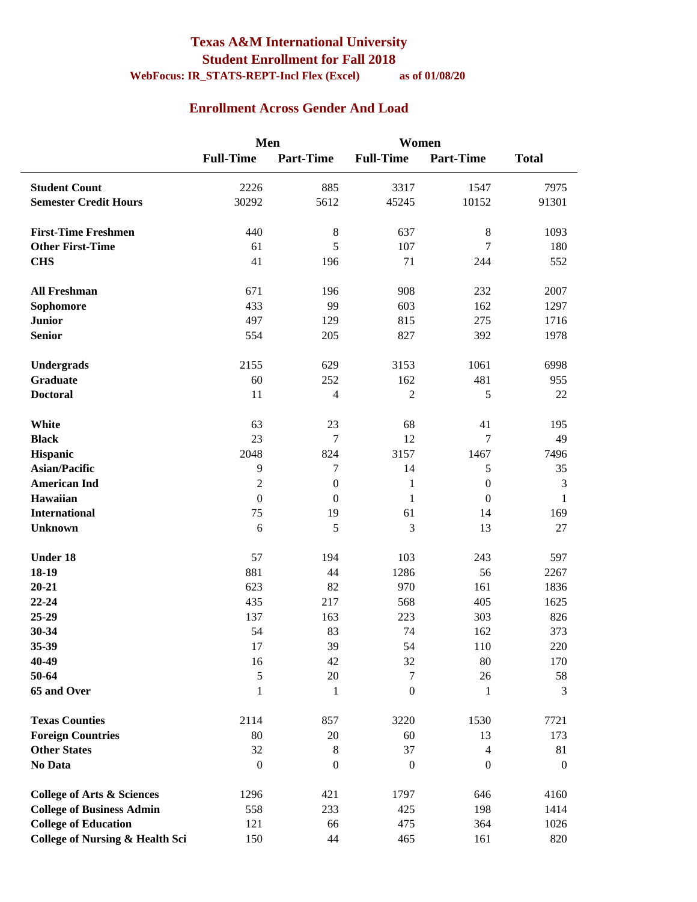### **Texas A&M International University Student Enrollment for Fall 2018 WebFocus: IR\_STATS-REPT-Incl Flex (Excel) as of 01/08/20**

### **Enrollment Across Gender And Load**

 $\overline{a}$ 

|                                            | Men              |                  | Women            |                  |                  |
|--------------------------------------------|------------------|------------------|------------------|------------------|------------------|
|                                            | <b>Full-Time</b> | <b>Part-Time</b> | <b>Full-Time</b> | <b>Part-Time</b> | <b>Total</b>     |
| <b>Student Count</b>                       | 2226             | 885              | 3317             | 1547             | 7975             |
| <b>Semester Credit Hours</b>               | 30292            | 5612             | 45245            | 10152            | 91301            |
|                                            |                  |                  |                  |                  |                  |
| <b>First-Time Freshmen</b>                 | 440              | $\,8\,$          | 637              | $\,8\,$          | 1093             |
| <b>Other First-Time</b>                    | 61               | 5                | 107              | 7                | 180              |
| <b>CHS</b>                                 | 41               | 196              | 71               | 244              | 552              |
|                                            |                  |                  |                  |                  |                  |
| <b>All Freshman</b>                        | 671              | 196              | 908              | 232              | 2007             |
| Sophomore                                  | 433              | 99               | 603              | 162              | 1297             |
| <b>Junior</b>                              | 497              | 129              | 815              | 275              | 1716             |
| <b>Senior</b>                              | 554              | 205              | 827              | 392              | 1978             |
|                                            |                  |                  |                  |                  |                  |
| Undergrads                                 | 2155             | 629              | 3153             | 1061             | 6998             |
| <b>Graduate</b>                            | 60               | 252              | 162              | 481              | 955              |
| <b>Doctoral</b>                            | 11               | $\overline{4}$   | $\overline{2}$   | 5                | 22               |
|                                            |                  |                  |                  |                  |                  |
| White                                      | 63               | 23               | 68               | 41               | 195              |
| <b>Black</b>                               | 23               | 7                | 12               | 7                | 49               |
| Hispanic                                   | 2048             | 824              | 3157             | 1467             | 7496             |
| <b>Asian/Pacific</b>                       | 9                | 7                | 14               | 5                | 35               |
| <b>American Ind</b>                        | $\overline{c}$   | $\boldsymbol{0}$ | $\mathbf{1}$     | $\boldsymbol{0}$ | 3                |
| Hawaiian                                   | $\mathbf{0}$     | $\boldsymbol{0}$ | $\mathbf{1}$     | $\mathbf{0}$     | $\mathbf{1}$     |
| <b>International</b>                       | 75               | 19               | 61               | 14               | 169              |
| <b>Unknown</b>                             | 6                | 5                | 3                | 13               | 27               |
|                                            |                  |                  |                  |                  |                  |
| <b>Under 18</b>                            | 57               | 194              | 103              | 243              | 597              |
| $18-19$                                    | 881              | 44               | 1286             | 56               | 2267             |
| $20 - 21$                                  | 623              | 82               | 970              | 161              | 1836             |
| $22 - 24$                                  | 435              | 217              | 568              | 405              | 1625             |
| 25-29                                      | 137              | 163              | 223              | 303              | 826              |
| 30-34                                      | 54               | 83               | 74               | 162              | 373              |
| 35-39<br>40-49                             | 17               | 39               | 54               | $110\,$          | $220\,$          |
| 50-64                                      | 16               | 42               | 32<br>$\tau$     | 80               | 170              |
|                                            | 5                | $20\,$           | $\boldsymbol{0}$ | 26               | 58<br>3          |
| 65 and Over                                | $\mathbf{1}$     | 1                |                  | 1                |                  |
| <b>Texas Counties</b>                      | 2114             | 857              | 3220             | 1530             | 7721             |
| <b>Foreign Countries</b>                   | 80               | 20               | 60               | 13               | 173              |
| <b>Other States</b>                        | 32               | $\,8\,$          | 37               | 4                | 81               |
| No Data                                    | $\boldsymbol{0}$ | $\boldsymbol{0}$ | $\boldsymbol{0}$ | $\overline{0}$   | $\boldsymbol{0}$ |
|                                            |                  |                  |                  |                  |                  |
| <b>College of Arts &amp; Sciences</b>      | 1296             | 421              | 1797             | 646              | 4160             |
| <b>College of Business Admin</b>           | 558              | 233              | 425              | 198              | 1414             |
| <b>College of Education</b>                | 121              | 66               | 475              | 364              | 1026             |
| <b>College of Nursing &amp; Health Sci</b> | 150              | 44               | 465              | 161              | 820              |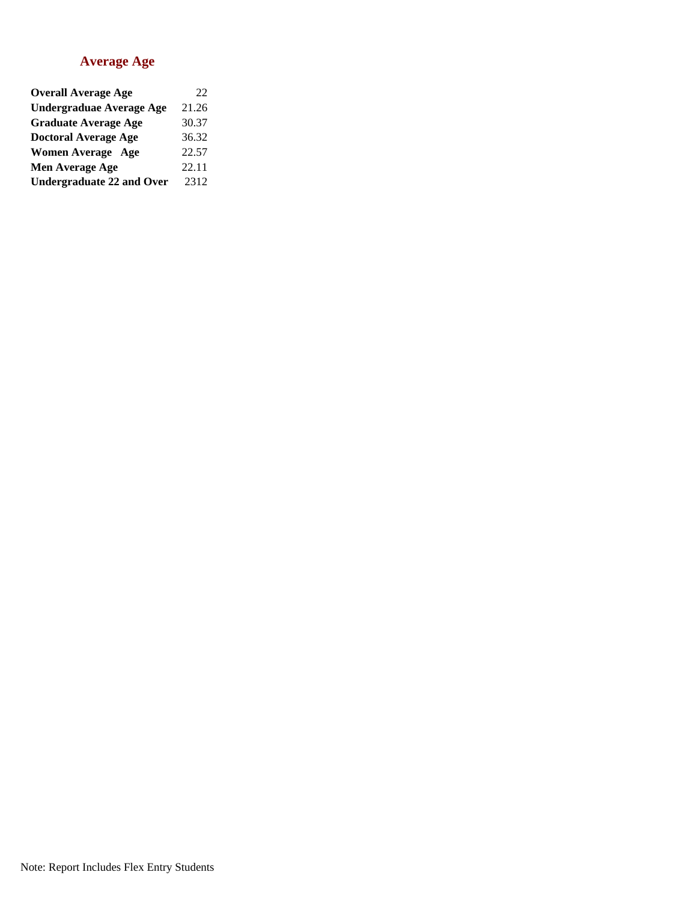#### **Average Age**

| <b>Overall Average Age</b>       | 22    |
|----------------------------------|-------|
| <b>Undergraduae Average Age</b>  | 21.26 |
| <b>Graduate Average Age</b>      | 30.37 |
| <b>Doctoral Average Age</b>      | 36.32 |
| <b>Women Average Age</b>         | 22.57 |
| Men Average Age                  | 22.11 |
| <b>Undergraduate 22 and Over</b> | 2312  |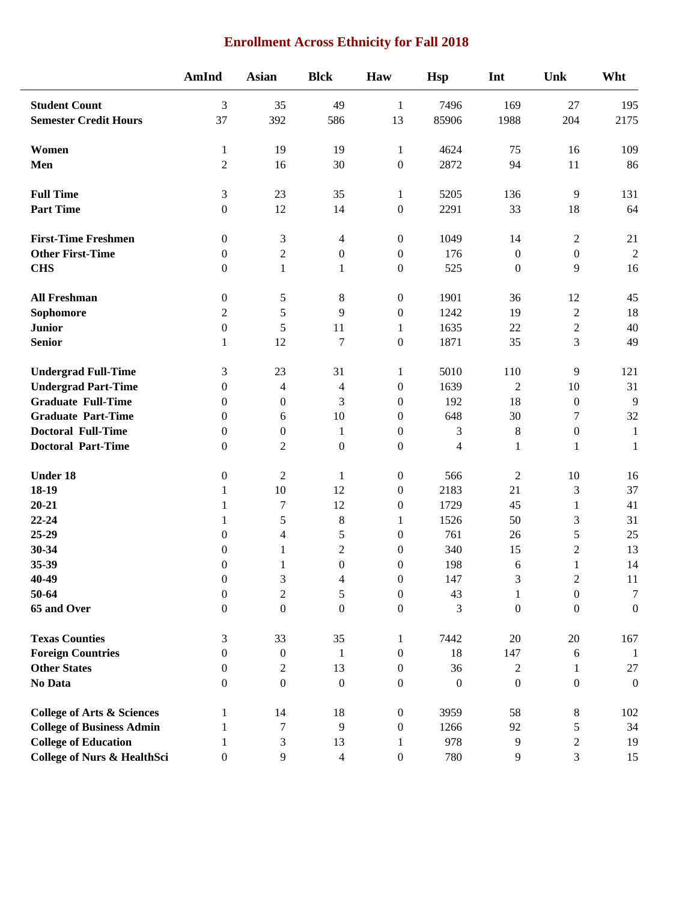## **Enrollment Across Ethnicity for Fall 2018**

|                                        | <b>AmInd</b>     | <b>Asian</b>             | <b>Blck</b>      | Haw              | <b>Hsp</b>               | Int              | Unk              | Wht              |
|----------------------------------------|------------------|--------------------------|------------------|------------------|--------------------------|------------------|------------------|------------------|
| <b>Student Count</b>                   | 3                | 35                       | 49               | 1                | 7496                     | 169              | 27               | 195              |
| <b>Semester Credit Hours</b>           | 37               | 392                      | 586              | 13               | 85906                    | 1988             | 204              | 2175             |
| Women                                  | $\mathbf{1}$     | 19                       | 19               | $\mathbf{1}$     | 4624                     | 75               | 16               | 109              |
| Men                                    | $\mathbf{2}$     | 16                       | 30               | $\boldsymbol{0}$ | 2872                     | 94               | 11               | 86               |
| <b>Full Time</b>                       | $\mathfrak{Z}$   | 23                       | 35               | $\mathbf{1}$     | 5205                     | 136              | 9                | 131              |
| <b>Part Time</b>                       | $\boldsymbol{0}$ | 12                       | 14               | $\boldsymbol{0}$ | 2291                     | 33               | 18               | 64               |
| <b>First-Time Freshmen</b>             | $\mathbf{0}$     | 3                        | 4                | $\boldsymbol{0}$ | 1049                     | 14               | $\overline{c}$   | 21               |
| <b>Other First-Time</b>                | $\mathbf{0}$     | $\mathfrak{2}$           | $\boldsymbol{0}$ | $\boldsymbol{0}$ | 176                      | $\boldsymbol{0}$ | $\boldsymbol{0}$ | $\overline{2}$   |
| <b>CHS</b>                             | $\mathbf{0}$     | $\mathbf{1}$             | 1                | $\boldsymbol{0}$ | 525                      | $\boldsymbol{0}$ | 9                | 16               |
| <b>All Freshman</b>                    | $\boldsymbol{0}$ | 5                        | 8                | $\boldsymbol{0}$ | 1901                     | 36               | 12               | 45               |
| Sophomore                              | $\mathbf{2}$     | 5                        | 9                | $\boldsymbol{0}$ | 1242                     | 19               | $\sqrt{2}$       | 18               |
| <b>Junior</b>                          | $\boldsymbol{0}$ | 5                        | 11               | $\mathbf{1}$     | 1635                     | 22               | $\overline{c}$   | 40               |
| <b>Senior</b>                          | 1                | 12                       | $\tau$           | $\boldsymbol{0}$ | 1871                     | 35               | 3                | 49               |
| <b>Undergrad Full-Time</b>             | 3                | 23                       | 31               | $\mathbf{1}$     | 5010                     | 110              | 9                | 121              |
| <b>Undergrad Part-Time</b>             | $\boldsymbol{0}$ | $\overline{\mathcal{A}}$ | 4                | $\boldsymbol{0}$ | 1639                     | $\sqrt{2}$       | 10               | 31               |
| <b>Graduate Full-Time</b>              | $\mathbf{0}$     | $\boldsymbol{0}$         | 3                | $\boldsymbol{0}$ | 192                      | 18               | $\boldsymbol{0}$ | 9                |
| <b>Graduate Part-Time</b>              | $\Omega$         | 6                        | 10               | $\boldsymbol{0}$ | 648                      | 30               | 7                | 32               |
| <b>Doctoral Full-Time</b>              | $\mathbf{0}$     | $\boldsymbol{0}$         | 1                | $\boldsymbol{0}$ | 3                        | $\,8\,$          | $\boldsymbol{0}$ | $\mathbf{1}$     |
| <b>Doctoral Part-Time</b>              | $\mathbf{0}$     | $\overline{2}$           | $\boldsymbol{0}$ | $\boldsymbol{0}$ | $\overline{\mathcal{L}}$ | $\mathbf{1}$     | $\mathbf{1}$     | $\mathbf{1}$     |
| <b>Under 18</b>                        | $\boldsymbol{0}$ | $\overline{2}$           | 1                | $\boldsymbol{0}$ | 566                      | $\boldsymbol{2}$ | $10\,$           | 16               |
| 18-19                                  | $\mathbf{1}$     | 10                       | 12               | $\boldsymbol{0}$ | 2183                     | 21               | 3                | 37               |
| $20 - 21$                              | 1                | $\tau$                   | 12               | $\boldsymbol{0}$ | 1729                     | 45               | $\mathbf{1}$     | 41               |
| 22-24                                  | 1                | 5                        | 8                | $\mathbf{1}$     | 1526                     | 50               | 3                | 31               |
| 25-29                                  | $\boldsymbol{0}$ | 4                        | 5                | $\boldsymbol{0}$ | 761                      | 26               | 5                | 25               |
| 30-34                                  | $\theta$         | $\mathbf{1}$             | $\overline{2}$   | $\boldsymbol{0}$ | 340                      | 15               | $\overline{2}$   | 13               |
| 35-39                                  | $\boldsymbol{0}$ | 1                        | $\boldsymbol{0}$ | $\boldsymbol{0}$ | 198                      | 6                | $\mathbf{1}$     | 14               |
| 40-49                                  | $\boldsymbol{0}$ | 3                        | 4                | $\boldsymbol{0}$ | 147                      | 3                | $\sqrt{2}$       | 11               |
| 50-64                                  | $\boldsymbol{0}$ | $\boldsymbol{2}$         | 5                | $\boldsymbol{0}$ | 43                       | $\mathbf{1}$     | $\boldsymbol{0}$ | $\tau$           |
| 65 and Over                            | $\mathbf{0}$     | $\boldsymbol{0}$         | $\boldsymbol{0}$ | $\boldsymbol{0}$ | 3                        | $\boldsymbol{0}$ | $\boldsymbol{0}$ | $\boldsymbol{0}$ |
| <b>Texas Counties</b>                  | 3                | 33                       | 35               | $\mathbf{1}$     | 7442                     | $20\,$           | 20               | 167              |
| <b>Foreign Countries</b>               | $\boldsymbol{0}$ | $\boldsymbol{0}$         | 1                | $\boldsymbol{0}$ | 18                       | 147              | 6                | -1               |
| <b>Other States</b>                    | $\boldsymbol{0}$ | $\mathfrak{2}$           | 13               | $\boldsymbol{0}$ | 36                       | 2                | 1                | $27\,$           |
| No Data                                | $\Omega$         | $\mathbf{0}$             | $\boldsymbol{0}$ | $\boldsymbol{0}$ | $\mathbf{0}$             | $\boldsymbol{0}$ | $\boldsymbol{0}$ | $\boldsymbol{0}$ |
| <b>College of Arts &amp; Sciences</b>  | 1                | 14                       | 18               | $\boldsymbol{0}$ | 3959                     | 58               | 8                | 102              |
| <b>College of Business Admin</b>       | 1                | 7                        | 9                | $\boldsymbol{0}$ | 1266                     | 92               | 5                | 34               |
| <b>College of Education</b>            | 1                | 3                        | 13               | 1                | 978                      | 9                | $\overline{c}$   | 19               |
| <b>College of Nurs &amp; HealthSci</b> | $\boldsymbol{0}$ | 9                        | $\overline{4}$   | $\boldsymbol{0}$ | 780                      | 9                | 3                | 15               |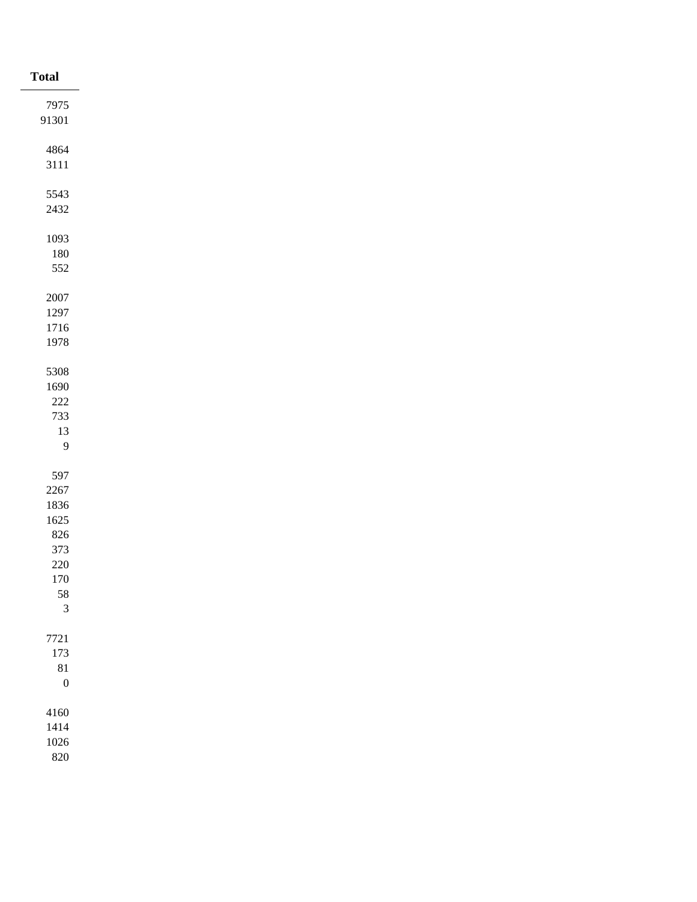| <b>Total</b>     |
|------------------|
| 7975             |
| 91301            |
|                  |
| 4864             |
| $3111\,$         |
| 5543             |
| 2432             |
|                  |
| 1093             |
| $180\,$          |
| 552              |
|                  |
| $2007\,$         |
| 1297             |
| 1716<br>1978     |
|                  |
| 5308             |
| 1690             |
| $222\,$          |
| 733              |
| $13\,$           |
| $\overline{9}$   |
|                  |
| 597              |
| 2267             |
| 1836<br>$1625\,$ |
| $826\,$          |
| 373              |
| $220\,$          |
| $170\,$          |
| $\frac{58}{3}$   |
|                  |
| $7721\,$         |
| 173              |
| 81               |
| $\boldsymbol{0}$ |
|                  |
| $4160\,$         |
| 1414             |
| $1026\,$<br>820  |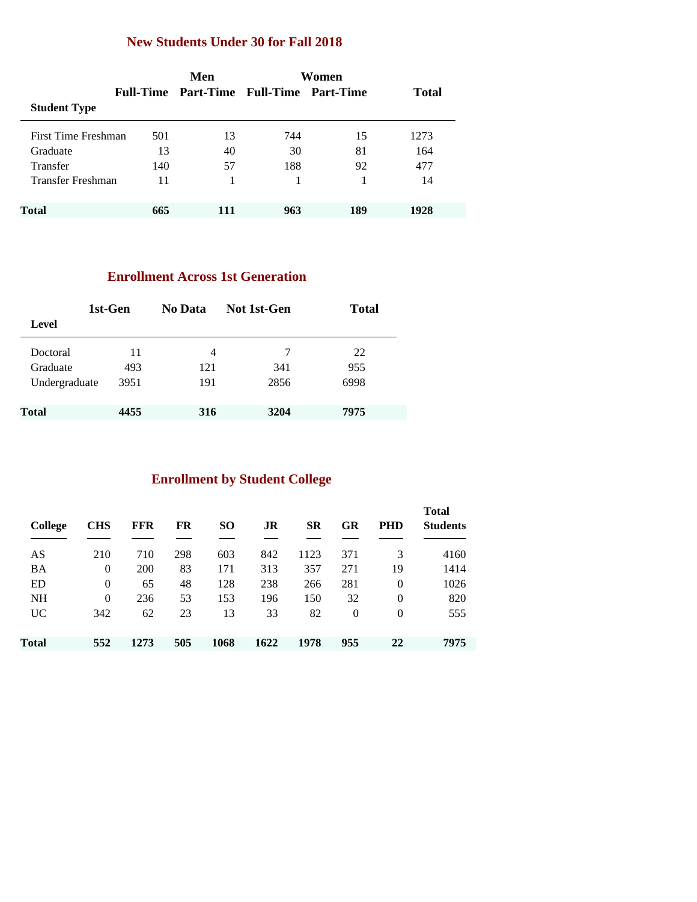### **New Students Under 30 for Fall 2018**

|                            | Men |     |     |                                                  |
|----------------------------|-----|-----|-----|--------------------------------------------------|
|                            |     |     |     | <b>Total</b>                                     |
|                            |     |     |     |                                                  |
| First Time Freshman<br>501 | 13  | 744 | 15  | 1273                                             |
| 13                         | 40  | 30  | 81  | 164                                              |
| 140                        | 57  | 188 | 92  | 477                                              |
| Transfer Freshman<br>11    |     |     |     | 14                                               |
|                            |     |     |     |                                                  |
| 665                        | 111 | 963 | 189 | 1928                                             |
|                            |     |     |     | Women<br>Full-Time Part-Time Full-Time Part-Time |

### **Enrollment Across 1st Generation**

| 1st-Gen       |      | No Data | Not 1st-Gen | <b>Total</b> |
|---------------|------|---------|-------------|--------------|
| Level         |      |         |             |              |
| Doctoral      | 11   | 4       | 7           | 22           |
| Graduate      | 493  | 121     | 341         | 955          |
| Undergraduate | 3951 | 191     | 2856        | 6998         |
| <b>Total</b>  | 4455 | 316     | 3204        | 7975         |

## **Enrollment by Student College**

| <b>College</b> | <b>CHS</b>     | FFR  | FR  | <b>SO</b> | JR   | SR   | GR       | <b>PHD</b> | <b>Total</b><br><b>Students</b> |
|----------------|----------------|------|-----|-----------|------|------|----------|------------|---------------------------------|
| AS             | 210            | 710  | 298 | 603       | 842  | 1123 | 371      | 3          | 4160                            |
| <b>BA</b>      | $\overline{0}$ | 200  | 83  | 171       | 313  | 357  | 271      | 19         | 1414                            |
| ED             | $\overline{0}$ | 65   | 48  | 128       | 238  | 266  | 281      | 0          | 1026                            |
| <b>NH</b>      | $\overline{0}$ | 236  | 53  | 153       | 196  | 150  | 32       | $\theta$   | 820                             |
| UC.            | 342            | 62   | 23  | 13        | 33   | 82   | $\theta$ | $\Omega$   | 555                             |
| Total          | 552            | 1273 | 505 | 1068      | 1622 | 1978 | 955      | 22         | 7975                            |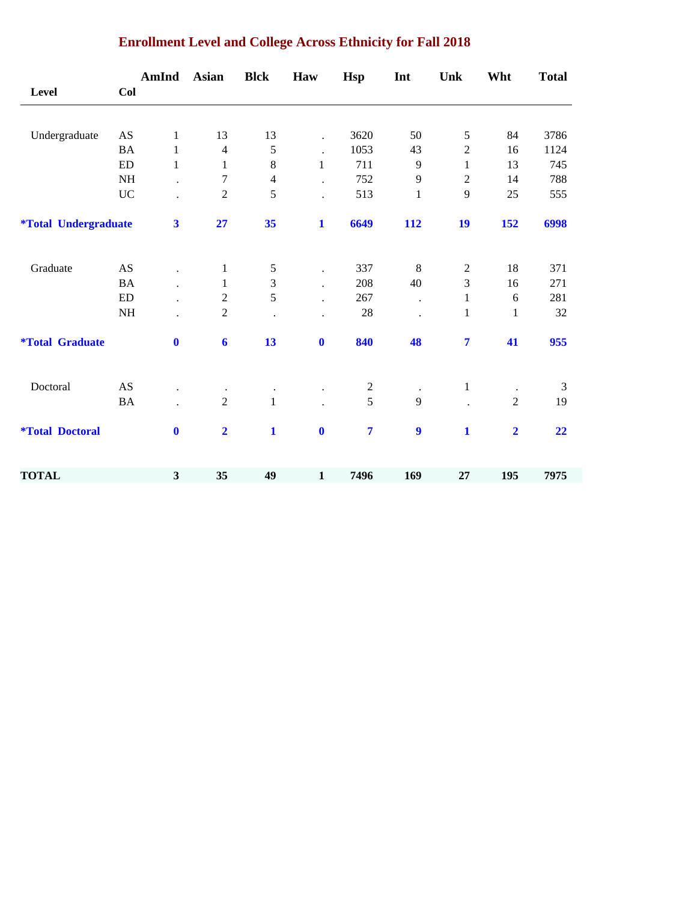|                                    |                            | AmInd                   | <b>Asian</b>            | <b>Blck</b>    | Haw                  | <b>Hsp</b>       | Int                  | Unk            | Wht            | <b>Total</b> |
|------------------------------------|----------------------------|-------------------------|-------------------------|----------------|----------------------|------------------|----------------------|----------------|----------------|--------------|
| Level                              | Col                        |                         |                         |                |                      |                  |                      |                |                |              |
|                                    |                            |                         |                         |                |                      |                  |                      |                |                |              |
| Undergraduate                      | AS                         | $\mathbf{1}$            | 13                      | 13             | $\ddot{\phantom{0}}$ | 3620             | 50                   | 5              | 84             | 3786         |
|                                    | <b>BA</b>                  | $\mathbf{1}$            | $\overline{4}$          | 5              | $\ddot{\phantom{a}}$ | 1053             | 43                   | $\overline{2}$ | 16             | 1124         |
|                                    | ${\rm ED}$                 | $\mathbf{1}$            | 1                       | $8\,$          | $\mathbf{1}$         | 711              | 9                    | 1              | 13             | 745          |
|                                    | <b>NH</b>                  |                         | $\tau$                  | $\overline{4}$ |                      | 752              | 9                    | $\overline{c}$ | 14             | 788          |
|                                    | <b>UC</b>                  |                         | $\overline{2}$          | 5              |                      | 513              | $\mathbf{1}$         | 9              | 25             | 555          |
| <i><b>*Total Undergraduate</b></i> |                            | $\overline{\mathbf{3}}$ | 27                      | 35             | $\mathbf{1}$         | 6649             | 112                  | 19             | 152            | 6998         |
| Graduate                           | AS                         |                         | $\mathbf{1}$            | $\sqrt{5}$     | $\bullet$            | 337              | $\,8\,$              | $\overline{c}$ | 18             | 371          |
|                                    | <b>BA</b>                  |                         | $\mathbf{1}$            | 3              |                      | 208              | 40                   | 3              | 16             | 271          |
|                                    | $\mathop{\rm ED}\nolimits$ |                         | $\overline{c}$          | 5              |                      | 267              | $\ddot{\phantom{a}}$ | $\mathbf{1}$   | 6              | 281          |
|                                    | NH                         |                         | $\overline{2}$          |                |                      | $28\,$           | $\ddot{\phantom{0}}$ | $\mathbf{1}$   | $\mathbf{1}$   | 32           |
| <i><b>*Total Graduate</b></i>      |                            | $\bf{0}$                | $\boldsymbol{6}$        | 13             | $\boldsymbol{0}$     | 840              | 48                   | $\overline{7}$ | 41             | 955          |
| Doctoral                           | AS                         |                         | $\cdot$                 |                |                      | $\boldsymbol{2}$ |                      | $\,1$          | $\bullet$      | 3            |
|                                    | <b>BA</b>                  |                         | $\overline{2}$          | $\mathbf{1}$   |                      | 5                | 9                    |                | $\overline{2}$ | 19           |
| <i><b>*Total Doctoral</b></i>      |                            | $\bf{0}$                | $\overline{\mathbf{2}}$ | $\mathbf{1}$   | $\bf{0}$             | $\overline{7}$   | 9                    | $\mathbf{1}$   | $\overline{2}$ | 22           |
| <b>TOTAL</b>                       |                            | $\mathbf{3}$            | 35                      | 49             | $\mathbf{1}$         | 7496             | 169                  | 27             | 195            | 7975         |

## **Enrollment Level and College Across Ethnicity for Fall 2018**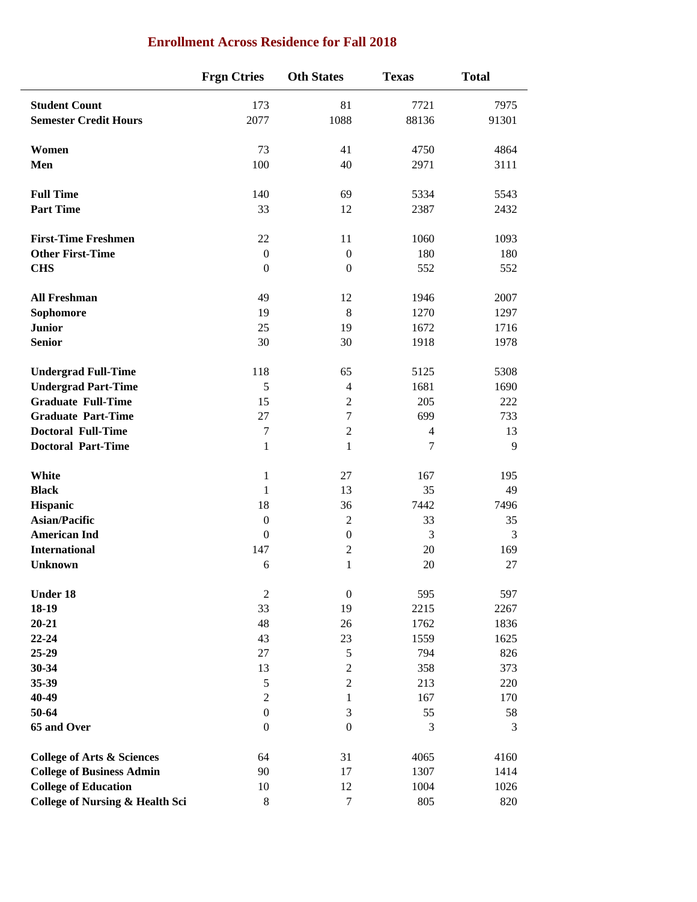|                                            | <b>Frgn Ctries</b> | <b>Oth States</b> | <b>Texas</b>   | <b>Total</b> |
|--------------------------------------------|--------------------|-------------------|----------------|--------------|
| <b>Student Count</b>                       | 173                | 81                | 7721           | 7975         |
| <b>Semester Credit Hours</b>               | 2077               | 1088              | 88136          | 91301        |
| Women                                      | 73                 | 41                | 4750           | 4864         |
| Men                                        | 100                | 40                | 2971           | 3111         |
| <b>Full Time</b>                           | 140                | 69                | 5334           | 5543         |
| <b>Part Time</b>                           | 33                 | 12                | 2387           | 2432         |
| <b>First-Time Freshmen</b>                 | 22                 | 11                | 1060           | 1093         |
| <b>Other First-Time</b>                    | $\boldsymbol{0}$   | $\boldsymbol{0}$  | 180            | 180          |
| <b>CHS</b>                                 | $\boldsymbol{0}$   | $\boldsymbol{0}$  | 552            | 552          |
| <b>All Freshman</b>                        | 49                 | 12                | 1946           | 2007         |
| Sophomore                                  | 19                 | 8                 | 1270           | 1297         |
| <b>Junior</b>                              | 25                 | 19                | 1672           | 1716         |
| <b>Senior</b>                              | 30                 | 30                | 1918           | 1978         |
| <b>Undergrad Full-Time</b>                 | 118                | 65                | 5125           | 5308         |
| <b>Undergrad Part-Time</b>                 | 5                  | $\overline{4}$    | 1681           | 1690         |
| <b>Graduate Full-Time</b>                  | 15                 | $\sqrt{2}$        | 205            | 222          |
| <b>Graduate Part-Time</b>                  | 27                 | $\tau$            | 699            | 733          |
| <b>Doctoral Full-Time</b>                  | 7                  | $\sqrt{2}$        | $\overline{4}$ | 13           |
| <b>Doctoral Part-Time</b>                  | $\mathbf{1}$       | $\mathbf{1}$      | $\tau$         | 9            |
| White                                      | $\mathbf{1}$       | 27                | 167            | 195          |
| <b>Black</b>                               | 1                  | 13                | 35             | 49           |
| Hispanic                                   | 18                 | 36                | 7442           | 7496         |
| <b>Asian/Pacific</b>                       | $\boldsymbol{0}$   | $\mathbf{2}$      | 33             | 35           |
| <b>American Ind</b>                        | $\boldsymbol{0}$   | $\boldsymbol{0}$  | 3              | 3            |
| <b>International</b>                       | 147                | $\boldsymbol{2}$  | 20             | 169          |
| <b>Unknown</b>                             | 6                  | 1                 | 20             | 27           |
| Under 18                                   | $\sqrt{2}$         | $\boldsymbol{0}$  | 595            | 597          |
| $18-19$                                    | 33                 | 19                | 2215           | 2267         |
| $20 - 21$                                  | 48                 | 26                | 1762           | 1836         |
| $22 - 24$                                  | 43                 | 23                | 1559           | 1625         |
| 25-29                                      | 27                 | $\mathfrak s$     | 794            | 826          |
| $30 - 34$                                  | 13                 | $\sqrt{2}$        | 358            | 373          |
| 35-39                                      | 5                  | $\boldsymbol{2}$  | 213            | 220          |
| 40-49                                      | $\sqrt{2}$         | $\mathbf{1}$      | 167            | 170          |
| 50-64                                      | $\boldsymbol{0}$   | $\mathfrak{Z}$    | 55             | 58           |
| 65 and Over                                | $\boldsymbol{0}$   | $\mathbf{0}$      | 3              | 3            |
| <b>College of Arts &amp; Sciences</b>      | 64                 | 31                | 4065           | 4160         |
| <b>College of Business Admin</b>           | 90                 | 17                | 1307           | 1414         |
| <b>College of Education</b>                | 10                 | 12                | 1004           | 1026         |
| <b>College of Nursing &amp; Health Sci</b> | 8                  | $\boldsymbol{7}$  | 805            | 820          |
|                                            |                    |                   |                |              |

### **Enrollment Across Residence for Fall 2018**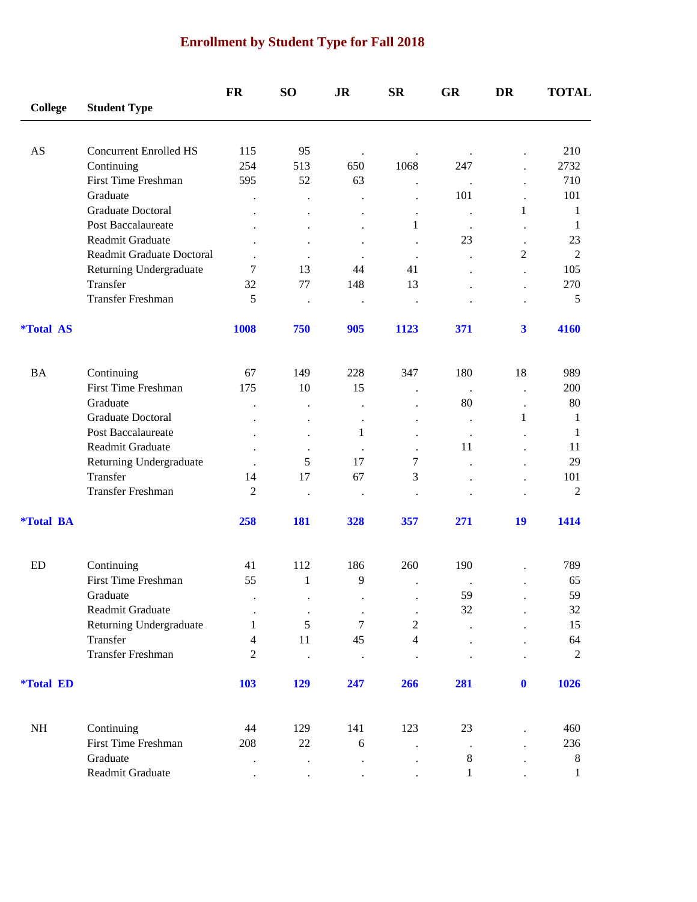# **Enrollment by Student Type for Fall 2018**

|                         |                               | FR                   | SO <sub>1</sub>      | <b>JR</b>            | <b>SR</b>            | <b>GR</b>            | DR                      | <b>TOTAL</b>      |
|-------------------------|-------------------------------|----------------------|----------------------|----------------------|----------------------|----------------------|-------------------------|-------------------|
| <b>College</b>          | <b>Student Type</b>           |                      |                      |                      |                      |                      |                         |                   |
| AS                      | <b>Concurrent Enrolled HS</b> | 115                  | 95                   |                      |                      |                      |                         | 210               |
|                         | Continuing                    | 254                  | 513                  | $\bullet$<br>650     | 1068                 | $\bullet$<br>247     |                         | 2732              |
|                         | <b>First Time Freshman</b>    | 595                  | 52                   | 63                   | $\ddot{\phantom{0}}$ | $\ddot{\phantom{0}}$ |                         | 710               |
|                         | Graduate                      | $\ddot{\phantom{0}}$ | $\cdot$              | $\ddot{\phantom{0}}$ | $\cdot$              | 101                  | $\ddot{\phantom{a}}$    | 101               |
|                         | <b>Graduate Doctoral</b>      |                      |                      |                      | $\ddot{\phantom{0}}$ | $\cdot$              | 1                       | 1                 |
|                         | Post Baccalaureate            |                      |                      |                      | 1                    | $\cdot$              |                         | 1                 |
|                         | Readmit Graduate              |                      |                      | $\ddot{\phantom{0}}$ |                      | 23                   |                         | 23                |
|                         | Readmit Graduate Doctoral     |                      | $\bullet$            |                      |                      |                      | 2                       | $\overline{2}$    |
|                         | Returning Undergraduate       | 7                    | 13                   | 44                   | 41                   |                      | $\ddot{\phantom{0}}$    | 105               |
|                         | Transfer                      | 32                   | 77                   | 148                  | 13                   |                      | $\ddot{\phantom{0}}$    | 270               |
|                         | Transfer Freshman             | 5                    | $\bullet$            |                      | $\ddot{\phantom{0}}$ |                      |                         | $\mathfrak s$     |
| <i><b>*Total AS</b></i> |                               | 1008                 | 750                  | 905                  | 1123                 | 371                  | $\overline{\mathbf{3}}$ | 4160              |
| <b>BA</b>               | Continuing                    | 67                   | 149                  | 228                  | 347                  | 180                  | 18                      | 989               |
|                         | First Time Freshman           | 175                  | 10                   | 15                   |                      |                      | $\ddot{\phantom{0}}$    | 200               |
|                         | Graduate                      |                      |                      |                      |                      | 80                   |                         | 80                |
|                         | Graduate Doctoral             |                      |                      |                      |                      |                      | 1                       | 1                 |
|                         | Post Baccalaureate            |                      | $\ddot{\phantom{0}}$ | 1                    |                      | $\cdot$<br>$\cdot$   |                         | 1                 |
|                         | Readmit Graduate              |                      |                      |                      |                      | 11                   |                         | 11                |
|                         | Returning Undergraduate       | $\ddot{\phantom{a}}$ | 5                    | 17                   | 7                    |                      |                         | 29                |
|                         | Transfer                      | 14                   | 17                   | 67                   | 3                    |                      |                         | 101               |
|                         | Transfer Freshman             | $\overline{2}$       | $\bullet$            |                      |                      |                      |                         | $\overline{2}$    |
| <i><b>*Total BA</b></i> |                               | 258                  | 181                  | 328                  | 357                  | 271                  | 19                      | 1414              |
| <b>ED</b>               | Continuing                    | 41                   | 112                  | 186                  | 260                  | 190                  |                         | 789               |
|                         | First Time Freshman           | 55                   | 1                    | 9                    |                      |                      |                         | 65                |
|                         | Graduate                      |                      |                      |                      |                      | 59                   |                         | 59                |
|                         | Readmit Graduate              |                      | $\bullet$            |                      |                      | 32                   |                         | 32                |
|                         | Returning Undergraduate       | 1                    | $\cdot$<br>5         | 7                    | $\sqrt{2}$           |                      |                         | 15                |
|                         | Transfer                      | 4                    | 11                   | 45                   | $\overline{4}$       |                      |                         | 64                |
|                         | Transfer Freshman             | $\overline{2}$       | $\cdot$              |                      |                      |                      |                         | $\sqrt{2}$        |
| <i><b>*Total ED</b></i> |                               | 103                  | 129                  | 247                  | 266                  | 281                  | $\mathbf{0}$            | 1026              |
| $\rm NH$                | Continuing                    | 44                   | 129                  | 141                  | 123                  | 23                   |                         | 460               |
|                         | First Time Freshman           | 208                  | $22\,$               | 6                    |                      |                      |                         | 236               |
|                         | Graduate                      |                      |                      |                      | $\ddot{\phantom{0}}$ | $\,8\,$              |                         |                   |
|                         | Readmit Graduate              |                      |                      |                      |                      | 1                    |                         | 8<br>$\mathbf{1}$ |
|                         |                               |                      |                      |                      |                      |                      |                         |                   |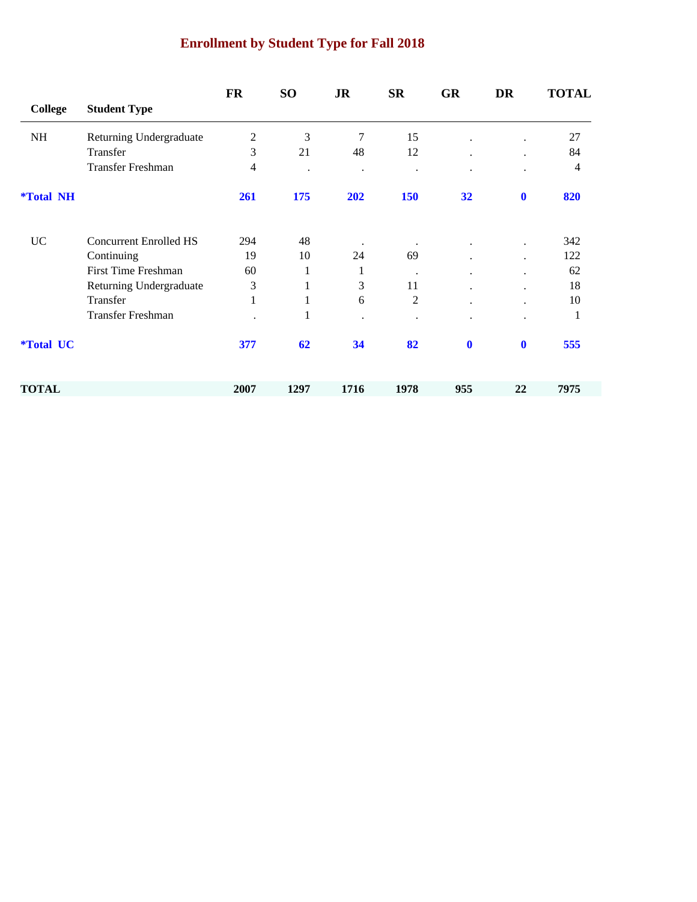# **Enrollment by Student Type for Fall 2018**

|                         |                               | <b>FR</b>      | SO <sub>1</sub> | <b>JR</b>            | <b>SR</b>      | <b>GR</b> | <b>DR</b>   | <b>TOTAL</b>   |
|-------------------------|-------------------------------|----------------|-----------------|----------------------|----------------|-----------|-------------|----------------|
| <b>College</b>          | <b>Student Type</b>           |                |                 |                      |                |           |             |                |
| NH                      | Returning Undergraduate       | $\mathfrak{2}$ | 3               | 7                    | 15             |           |             | 27             |
|                         | Transfer                      | 3              | 21              | 48                   | 12             |           |             | 84             |
|                         | <b>Transfer Freshman</b>      | 4              |                 | $\ddot{\phantom{a}}$ |                |           |             | $\overline{4}$ |
| <i><b>*Total NH</b></i> |                               | 261            | 175             | 202                  | 150            | 32        | $\mathbf 0$ | 820            |
| <b>UC</b>               | <b>Concurrent Enrolled HS</b> | 294            | 48              |                      |                |           |             | 342            |
|                         | Continuing                    | 19             | 10              | 24                   | 69             |           |             | 122            |
|                         | <b>First Time Freshman</b>    | 60             | 1               | 1                    | $\bullet$      |           |             | 62             |
|                         | Returning Undergraduate       | 3              | 1               | 3                    | 11             |           |             | 18             |
|                         | Transfer                      | $\mathbf{1}$   | 1               | 6                    | $\overline{c}$ |           | $\bullet$   | 10             |
|                         | <b>Transfer Freshman</b>      |                | 1               |                      |                |           |             | 1              |
| <i><b>*Total UC</b></i> |                               | 377            | 62              | 34                   | 82             | $\bf{0}$  | $\mathbf 0$ | 555            |
| <b>TOTAL</b>            |                               | 2007           | 1297            | 1716                 | 1978           | 955       | 22          | 7975           |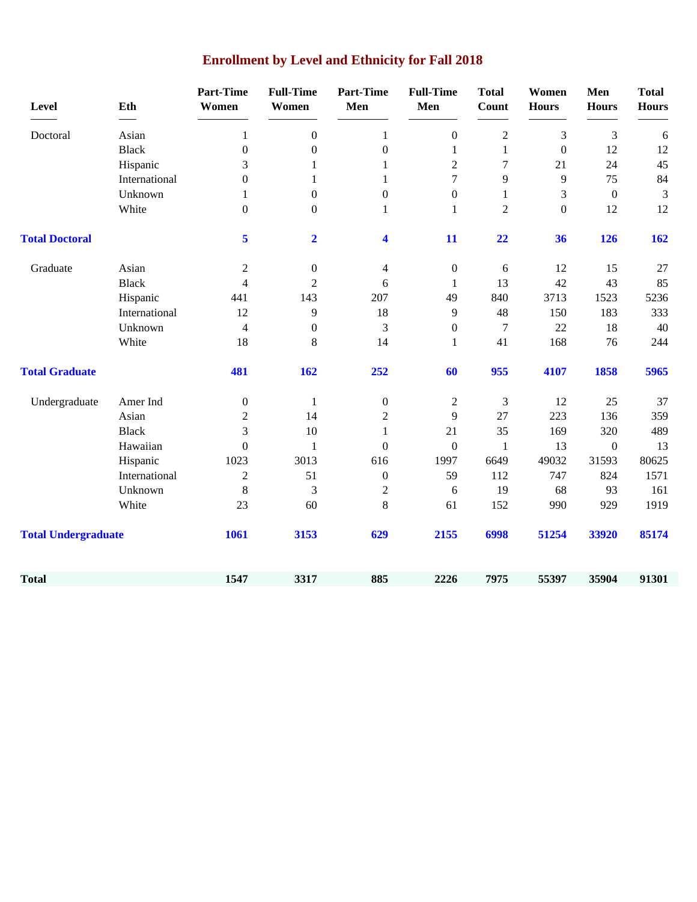| <b>Level</b>               | Eth           | <b>Part-Time</b><br>Women | <b>Full-Time</b><br>Women | <b>Part-Time</b><br>Men | <b>Full-Time</b><br>Men | <b>Total</b><br>Count | Women<br><b>Hours</b> | Men<br><b>Hours</b> | <b>Total</b><br><b>Hours</b> |
|----------------------------|---------------|---------------------------|---------------------------|-------------------------|-------------------------|-----------------------|-----------------------|---------------------|------------------------------|
| Doctoral                   | Asian         | $\mathbf{1}$              | $\overline{0}$            | $\mathbf{1}$            | $\boldsymbol{0}$        | $\overline{2}$        | 3                     | 3                   | 6                            |
|                            | <b>Black</b>  | $\boldsymbol{0}$          | $\overline{0}$            | $\boldsymbol{0}$        | $\mathbf{1}$            | $\mathbf{1}$          | $\boldsymbol{0}$      | 12                  | 12                           |
|                            | Hispanic      | 3                         | 1                         | $\mathbf{1}$            | $\overline{c}$          | $\tau$                | 21                    | 24                  | 45                           |
|                            | International | $\boldsymbol{0}$          | 1                         | $\mathbf{1}$            | $\tau$                  | 9                     | 9                     | 75                  | 84                           |
|                            | Unknown       | 1                         | $\overline{0}$            | $\boldsymbol{0}$        | $\boldsymbol{0}$        | 1                     | 3                     | $\boldsymbol{0}$    | 3                            |
|                            | White         | $\boldsymbol{0}$          | $\boldsymbol{0}$          | $\mathbf{1}$            | $\mathbf{1}$            | $\overline{2}$        | $\boldsymbol{0}$      | 12                  | 12                           |
| <b>Total Doctoral</b>      |               | 5                         | $\overline{\mathbf{2}}$   | 4                       | 11                      | 22                    | 36                    | 126                 | 162                          |
| Graduate                   | Asian         | $\mathfrak{2}$            | $\boldsymbol{0}$          | 4                       | $\boldsymbol{0}$        | 6                     | 12                    | 15                  | $27\,$                       |
|                            | <b>Black</b>  | 4                         | 2                         | 6                       | 1                       | 13                    | 42                    | 43                  | 85                           |
|                            | Hispanic      | 441                       | 143                       | 207                     | 49                      | 840                   | 3713                  | 1523                | 5236                         |
|                            | International | 12                        | 9                         | 18                      | 9                       | 48                    | 150                   | 183                 | 333                          |
|                            | Unknown       | $\overline{4}$            | $\boldsymbol{0}$          | 3                       | $\boldsymbol{0}$        | 7                     | 22                    | 18                  | 40                           |
|                            | White         | 18                        | 8                         | 14                      | $\mathbf{1}$            | 41                    | 168                   | 76                  | 244                          |
| <b>Total Graduate</b>      |               | 481                       | 162                       | 252                     | 60                      | 955                   | 4107                  | 1858                | 5965                         |
| Undergraduate              | Amer Ind      | $\boldsymbol{0}$          | 1                         | $\boldsymbol{0}$        | $\overline{c}$          | 3                     | 12                    | 25                  | 37                           |
|                            | Asian         | $\overline{2}$            | 14                        | $\mathbf{2}$            | 9                       | 27                    | 223                   | 136                 | 359                          |
|                            | <b>Black</b>  | 3                         | 10                        | $\mathbf{1}$            | 21                      | 35                    | 169                   | 320                 | 489                          |
|                            | Hawaiian      | $\boldsymbol{0}$          | 1                         | $\mathbf{0}$            | $\boldsymbol{0}$        | $\mathbf{1}$          | 13                    | $\boldsymbol{0}$    | 13                           |
|                            | Hispanic      | 1023                      | 3013                      | 616                     | 1997                    | 6649                  | 49032                 | 31593               | 80625                        |
|                            | International | $\overline{2}$            | 51                        | $\boldsymbol{0}$        | 59                      | 112                   | 747                   | 824                 | 1571                         |
|                            | Unknown       | 8                         | 3                         | $\overline{2}$          | 6                       | 19                    | 68                    | 93                  | 161                          |
|                            | White         | 23                        | 60                        | 8                       | 61                      | 152                   | 990                   | 929                 | 1919                         |
| <b>Total Undergraduate</b> |               | 1061                      | 3153                      | 629                     | 2155                    | 6998                  | 51254                 | 33920               | 85174                        |
| <b>Total</b>               |               | 1547                      | 3317                      | 885                     | 2226                    | 7975                  | 55397                 | 35904               | 91301                        |

# **Enrollment by Level and Ethnicity for Fall 2018**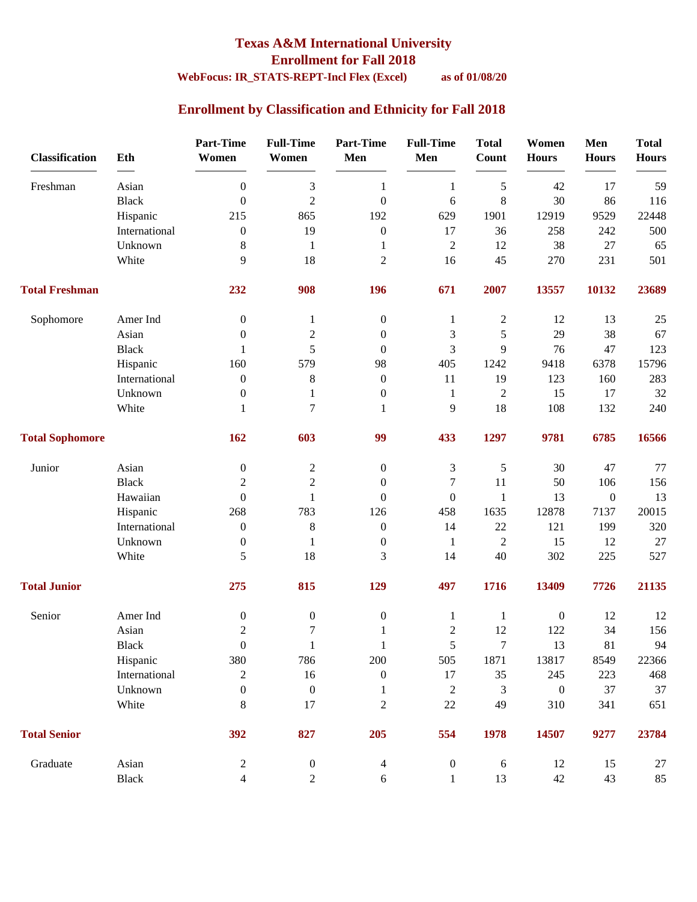### **Texas A&M International University Enrollment for Fall 2018**

### **WebFocus: IR\_STATS-REPT-Incl Flex (Excel) as of 01/08/20**

### **Enrollment by Classification and Ethnicity for Fall 2018**

| <b>Classification</b>  | Eth           | <b>Part-Time</b><br>Women | <b>Full-Time</b><br>Women | <b>Part-Time</b><br>Men | <b>Full-Time</b><br>Men | <b>Total</b><br><b>Count</b> | Women<br><b>Hours</b> | Men<br><b>Hours</b> | <b>Total</b><br><b>Hours</b> |
|------------------------|---------------|---------------------------|---------------------------|-------------------------|-------------------------|------------------------------|-----------------------|---------------------|------------------------------|
| Freshman               | Asian         | $\overline{0}$            | $\mathfrak{Z}$            | $\mathbf{1}$            | $\mathbf{1}$            | $\sqrt{5}$                   | 42                    | 17                  | 59                           |
|                        | <b>Black</b>  | $\overline{0}$            | $\overline{2}$            | $\boldsymbol{0}$        | 6                       | $\,8\,$                      | 30                    | 86                  | 116                          |
|                        | Hispanic      | 215                       | 865                       | 192                     | 629                     | 1901                         | 12919                 | 9529                | 22448                        |
|                        | International | $\boldsymbol{0}$          | 19                        | $\boldsymbol{0}$        | 17                      | 36                           | 258                   | 242                 | 500                          |
|                        | Unknown       | 8                         | $\mathbf{1}$              | 1                       | $\boldsymbol{2}$        | 12                           | 38                    | 27                  | 65                           |
|                        | White         | $\mathbf{Q}$              | 18                        | $\overline{c}$          | 16                      | 45                           | 270                   | 231                 | 501                          |
| <b>Total Freshman</b>  |               | 232                       | 908                       | 196                     | 671                     | 2007                         | 13557                 | 10132               | 23689                        |
| Sophomore              | Amer Ind      | $\mathbf{0}$              | 1                         | $\boldsymbol{0}$        | 1                       | $\boldsymbol{2}$             | 12                    | 13                  | 25                           |
|                        | Asian         | $\mathbf{0}$              | $\mathfrak{2}$            | $\boldsymbol{0}$        | 3                       | 5                            | 29                    | 38                  | 67                           |
|                        | <b>Black</b>  | 1                         | 5                         | $\boldsymbol{0}$        | 3                       | 9                            | 76                    | 47                  | 123                          |
|                        | Hispanic      | 160                       | 579                       | 98                      | 405                     | 1242                         | 9418                  | 6378                | 15796                        |
|                        | International | $\boldsymbol{0}$          | $\,8$                     | $\boldsymbol{0}$        | 11                      | 19                           | 123                   | 160                 | 283                          |
|                        | Unknown       | $\boldsymbol{0}$          | $\mathbf{1}$              | $\boldsymbol{0}$        | 1                       | $\boldsymbol{2}$             | 15                    | 17                  | 32                           |
|                        | White         | 1                         | $\overline{7}$            | 1                       | 9                       | 18                           | 108                   | 132                 | 240                          |
| <b>Total Sophomore</b> |               | 162                       | 603                       | 99                      | 433                     | 1297                         | 9781                  | 6785                | 16566                        |
| Junior                 | Asian         | $\boldsymbol{0}$          | $\boldsymbol{2}$          | $\boldsymbol{0}$        | 3                       | $\sqrt{5}$                   | 30                    | 47                  | 77                           |
|                        | <b>Black</b>  | $\overline{2}$            | $\overline{2}$            | $\boldsymbol{0}$        | 7                       | 11                           | 50                    | 106                 | 156                          |
|                        | Hawaiian      | $\overline{0}$            | $\mathbf{1}$              | $\mathbf{0}$            | $\overline{0}$          | $\mathbf{1}$                 | 13                    | $\boldsymbol{0}$    | 13                           |
|                        | Hispanic      | 268                       | 783                       | 126                     | 458                     | 1635                         | 12878                 | 7137                | 20015                        |
|                        | International | $\boldsymbol{0}$          | $\,8$                     | $\boldsymbol{0}$        | 14                      | 22                           | 121                   | 199                 | 320                          |
|                        | Unknown       | $\boldsymbol{0}$          | $\mathbf{1}$              | $\boldsymbol{0}$        | 1                       | $\mathfrak{2}$               | 15                    | 12                  | 27                           |
|                        | White         | 5                         | 18                        | 3                       | 14                      | 40                           | 302                   | 225                 | 527                          |
| <b>Total Junior</b>    |               | 275                       | 815                       | 129                     | 497                     | 1716                         | 13409                 | 7726                | 21135                        |
| Senior                 | Amer Ind      | $\boldsymbol{0}$          | $\boldsymbol{0}$          | $\boldsymbol{0}$        | $\mathbf{1}$            | $\mathbf{1}$                 | $\boldsymbol{0}$      | 12                  | 12                           |
|                        | Asian         | $\boldsymbol{2}$          | $\tau$                    | 1                       | $\overline{c}$          | 12                           | 122                   | 34                  | 156                          |
|                        | Black         | $\boldsymbol{0}$          | $\mathbf{1}$              | $\mathbf{1}$            | 5                       | $\boldsymbol{7}$             | 13                    | $81\,$              | 94                           |
|                        | Hispanic      | 380                       | 786                       | 200                     | 505                     | 1871                         | 13817                 | 8549                | 22366                        |
|                        | International | $\sqrt{2}$                | 16                        | $\boldsymbol{0}$        | 17                      | 35                           | 245                   | 223                 | 468                          |
|                        | Unknown       | $\boldsymbol{0}$          | $\boldsymbol{0}$          | $\mathbf{1}$            | $\boldsymbol{2}$        | 3                            | $\boldsymbol{0}$      | 37                  | 37                           |
|                        | White         | $8\,$                     | 17                        | $\sqrt{2}$              | $22\,$                  | 49                           | 310                   | 341                 | 651                          |
| <b>Total Senior</b>    |               | 392                       | 827                       | 205                     | 554                     | 1978                         | 14507                 | 9277                | 23784                        |
| Graduate               | Asian         | $\mathbf{2}$              | $\boldsymbol{0}$          | $\overline{4}$          | $\boldsymbol{0}$        | $\sqrt{6}$                   | 12                    | 15                  | 27                           |
|                        | Black         | $\overline{4}$            | $\overline{2}$            | $6\,$                   | $\mathbf{1}$            | 13                           | $42\,$                | 43                  | 85                           |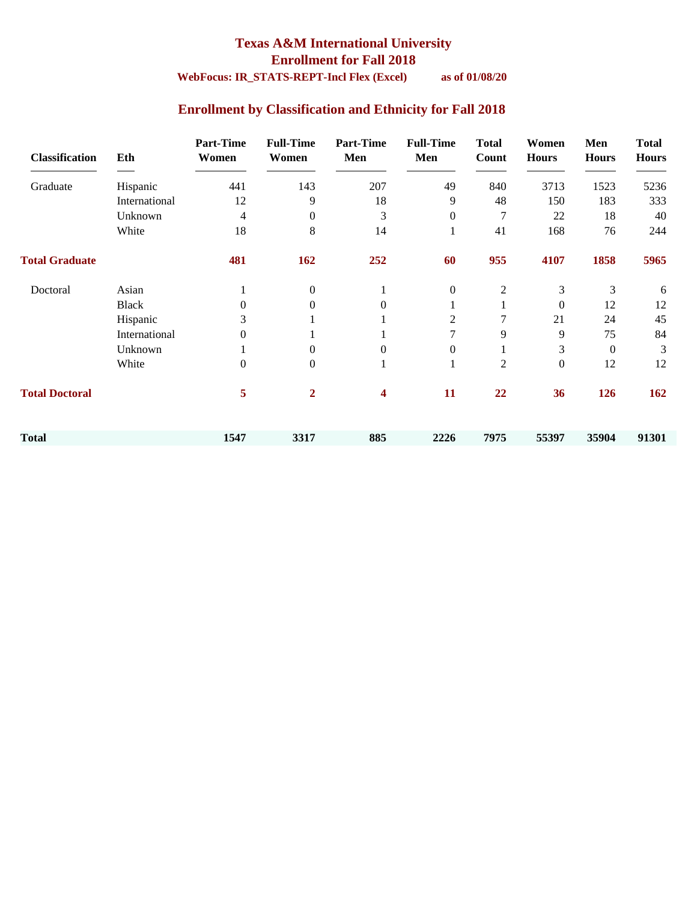## **Texas A&M International University Enrollment for Fall 2018**

### **WebFocus: IR\_STATS-REPT-Incl Flex (Excel) as of 01/08/20**

### **Enrollment by Classification and Ethnicity for Fall 2018**

| <b>Classification</b> | Eth           | <b>Part-Time</b><br>Women | <b>Full-Time</b><br>Women | <b>Part-Time</b><br>Men | <b>Full-Time</b><br>Men | <b>Total</b><br>Count | Women<br><b>Hours</b> | Men<br><b>Hours</b> | <b>Total</b><br><b>Hours</b> |
|-----------------------|---------------|---------------------------|---------------------------|-------------------------|-------------------------|-----------------------|-----------------------|---------------------|------------------------------|
| Graduate              | Hispanic      | 441                       | 143                       | 207                     | 49                      | 840                   | 3713                  | 1523                | 5236                         |
|                       | International | 12                        | 9                         | 18                      | 9                       | 48                    | 150                   | 183                 | 333                          |
|                       | Unknown       | $\overline{4}$            | $\mathbf{0}$              | 3                       | $\overline{0}$          | $\overline{7}$        | 22                    | 18                  | 40                           |
|                       | White         | 18                        | 8                         | 14                      | 1                       | 41                    | 168                   | 76                  | 244                          |
| <b>Total Graduate</b> |               | 481                       | 162                       | 252                     | 60                      | 955                   | 4107                  | 1858                | 5965                         |
| Doctoral              | Asian         |                           | $\mathbf{0}$              |                         | $\overline{0}$          | $\overline{c}$        | 3                     | 3                   | 6                            |
|                       | <b>Black</b>  | 0                         | $\Omega$                  | 0                       |                         |                       | $\overline{0}$        | 12                  | 12                           |
|                       | Hispanic      | 3                         |                           |                         | 2                       |                       | 21                    | 24                  | 45                           |
|                       | International | $\Omega$                  |                           |                         |                         | 9                     | 9                     | 75                  | 84                           |
|                       | Unknown       |                           | $\Omega$                  | $\Omega$                | $\Omega$                |                       | 3                     | $\boldsymbol{0}$    | 3                            |
|                       | White         | $\Omega$                  | $\mathbf{0}$              |                         | 1                       | $\mathbf{2}$          | $\boldsymbol{0}$      | 12                  | 12                           |
| <b>Total Doctoral</b> |               | 5                         | $\overline{2}$            | 4                       | 11                      | 22                    | 36                    | 126                 | 162                          |
| <b>Total</b>          |               | 1547                      | 3317                      | 885                     | 2226                    | 7975                  | 55397                 | 35904               | 91301                        |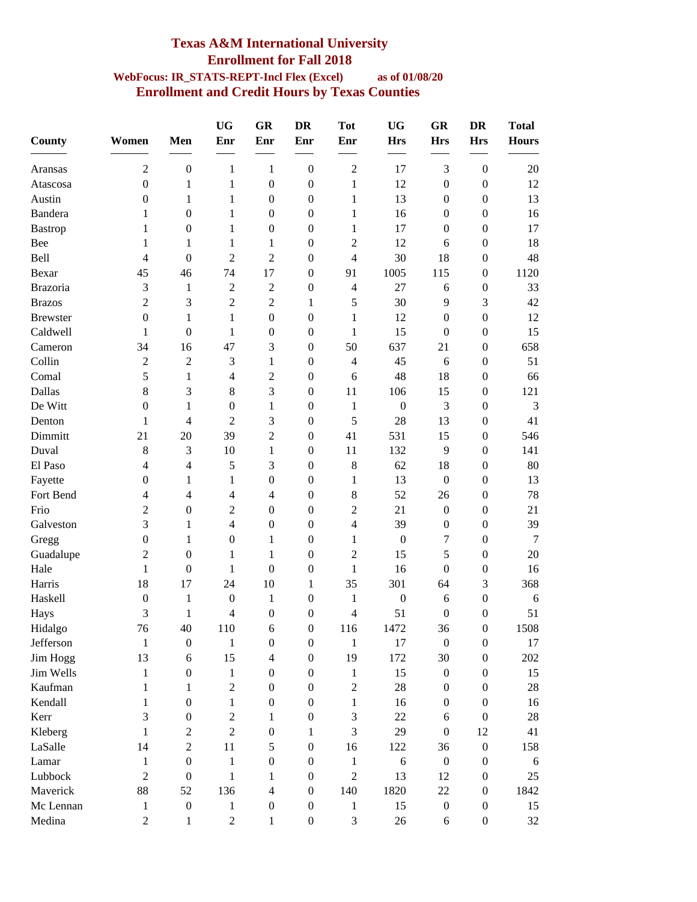### **Texas A&M International University Enrollment for Fall 2018 WebFocus: IR\_STATS-REPT-Incl Flex (Excel) as of 01/08/20 Enrollment and Credit Hours by Texas Counties**

| County          | Women            | Men                      | <b>UG</b><br>Enr | GR<br>Enr                | <b>DR</b><br>Enr | <b>Tot</b><br>Enr | <b>UG</b><br><b>Hrs</b> | GR<br><b>Hrs</b> | <b>DR</b><br><b>Hrs</b> | <b>Total</b><br><b>Hours</b> |
|-----------------|------------------|--------------------------|------------------|--------------------------|------------------|-------------------|-------------------------|------------------|-------------------------|------------------------------|
| Aransas         | $\overline{c}$   | $\boldsymbol{0}$         | 1                | 1                        | $\boldsymbol{0}$ | $\overline{2}$    | 17                      | 3                | $\boldsymbol{0}$        | 20                           |
| Atascosa        | $\boldsymbol{0}$ | 1                        | 1                | $\boldsymbol{0}$         | $\boldsymbol{0}$ | 1                 | 12                      | $\boldsymbol{0}$ | $\boldsymbol{0}$        | 12                           |
| Austin          | $\mathbf{0}$     | 1                        | $\mathbf{1}$     | $\boldsymbol{0}$         | $\boldsymbol{0}$ | $\mathbf{1}$      | 13                      | $\boldsymbol{0}$ | $\mathbf{0}$            | 13                           |
| Bandera         | 1                | $\boldsymbol{0}$         | 1                | $\boldsymbol{0}$         | $\boldsymbol{0}$ | $\mathbf{1}$      | 16                      | $\boldsymbol{0}$ | $\boldsymbol{0}$        | 16                           |
| <b>Bastrop</b>  | 1                | $\boldsymbol{0}$         | 1                | $\boldsymbol{0}$         | $\boldsymbol{0}$ | $\mathbf{1}$      | 17                      | $\boldsymbol{0}$ | $\boldsymbol{0}$        | 17                           |
| Bee             | 1                | 1                        | 1                | 1                        | $\boldsymbol{0}$ | $\overline{2}$    | 12                      | 6                | $\boldsymbol{0}$        | 18                           |
| Bell            | 4                | $\boldsymbol{0}$         | $\overline{2}$   | $\sqrt{2}$               | $\boldsymbol{0}$ | $\overline{4}$    | 30                      | 18               | $\boldsymbol{0}$        | 48                           |
| Bexar           | 45               | 46                       | 74               | 17                       | $\boldsymbol{0}$ | 91                | 1005                    | 115              | $\boldsymbol{0}$        | 1120                         |
| <b>Brazoria</b> | 3                | 1                        | $\overline{c}$   | $\overline{2}$           | $\boldsymbol{0}$ | 4                 | 27                      | 6                | $\boldsymbol{0}$        | 33                           |
| <b>Brazos</b>   | $\overline{c}$   | 3                        | $\overline{c}$   | $\overline{c}$           | 1                | 5                 | 30                      | 9                | 3                       | 42                           |
| <b>Brewster</b> | $\boldsymbol{0}$ | 1                        | 1                | $\boldsymbol{0}$         | $\boldsymbol{0}$ | 1                 | 12                      | $\boldsymbol{0}$ | $\boldsymbol{0}$        | 12                           |
| Caldwell        | 1                | $\boldsymbol{0}$         | 1                | $\boldsymbol{0}$         | $\mathbf{0}$     | $\mathbf{1}$      | 15                      | $\boldsymbol{0}$ | $\mathbf{0}$            | 15                           |
| Cameron         | 34               | 16                       | 47               | 3                        | $\mathbf{0}$     | 50                | 637                     | 21               | $\boldsymbol{0}$        | 658                          |
| Collin          | $\overline{c}$   | $\overline{2}$           | 3                | $\mathbf{1}$             | $\boldsymbol{0}$ | $\overline{4}$    | 45                      | 6                | $\boldsymbol{0}$        | 51                           |
| Comal           | 5                | 1                        | $\overline{4}$   | $\overline{2}$           | $\boldsymbol{0}$ | 6                 | 48                      | 18               | $\boldsymbol{0}$        | 66                           |
| Dallas          | 8                | 3                        | $8\,$            | 3                        | $\boldsymbol{0}$ | 11                | 106                     | 15               | $\boldsymbol{0}$        | 121                          |
| De Witt         | $\boldsymbol{0}$ | 1                        | $\boldsymbol{0}$ | $\mathbf{1}$             | $\boldsymbol{0}$ | $\mathbf{1}$      | $\boldsymbol{0}$        | 3                | $\boldsymbol{0}$        | 3                            |
| Denton          | 1                | $\overline{\mathcal{L}}$ | $\overline{2}$   | 3                        | $\boldsymbol{0}$ | 5                 | 28                      | 13               | $\boldsymbol{0}$        | 41                           |
| Dimmitt         | 21               | 20                       | 39               | $\overline{c}$           | $\theta$         | 41                | 531                     | 15               | $\boldsymbol{0}$        | 546                          |
| Duval           | 8                | 3                        | 10               | $\mathbf{1}$             | $\boldsymbol{0}$ | 11                | 132                     | 9                | $\boldsymbol{0}$        | 141                          |
| El Paso         | 4                | 4                        | 5                | 3                        | $\boldsymbol{0}$ | $8\,$             | 62                      | 18               | $\boldsymbol{0}$        | 80                           |
| Fayette         | $\boldsymbol{0}$ | 1                        | 1                | $\boldsymbol{0}$         | $\boldsymbol{0}$ | 1                 | 13                      | $\boldsymbol{0}$ | $\boldsymbol{0}$        | 13                           |
| Fort Bend       | 4                | $\overline{4}$           | $\overline{4}$   | 4                        | $\boldsymbol{0}$ | $\,8\,$           | 52                      | 26               | $\boldsymbol{0}$        | 78                           |
| Frio            | $\overline{c}$   | $\boldsymbol{0}$         | $\mathfrak 2$    | $\boldsymbol{0}$         | $\mathbf{0}$     | $\overline{2}$    | 21                      | $\boldsymbol{0}$ | $\boldsymbol{0}$        | 21                           |
| Galveston       | 3                | 1                        | 4                | $\boldsymbol{0}$         | $\mathbf{0}$     | $\overline{4}$    | 39                      | $\boldsymbol{0}$ | $\boldsymbol{0}$        | 39                           |
| Gregg           | $\boldsymbol{0}$ | 1                        | $\boldsymbol{0}$ | 1                        | $\boldsymbol{0}$ | 1                 | $\boldsymbol{0}$        | 7                | $\boldsymbol{0}$        | $\overline{7}$               |
| Guadalupe       | 2                | $\boldsymbol{0}$         | 1                | $\mathbf{1}$             | $\mathbf{0}$     | $\overline{2}$    | 15                      | 5                | $\boldsymbol{0}$        | 20                           |
| Hale            | 1                | $\boldsymbol{0}$         | 1                | $\boldsymbol{0}$         | $\boldsymbol{0}$ | $\mathbf{1}$      | 16                      | $\boldsymbol{0}$ | $\boldsymbol{0}$        | 16                           |
| Harris          | 18               | 17                       | 24               | 10                       | 1                | 35                | 301                     | 64               | 3                       | 368                          |
| Haskell         | $\boldsymbol{0}$ | 1                        | $\boldsymbol{0}$ | 1                        | $\boldsymbol{0}$ | $\mathbf{1}$      | $\boldsymbol{0}$        | 6                | $\boldsymbol{0}$        | 6                            |
| Hays            | 3                | 1                        | 4                | $\boldsymbol{0}$         | $\theta$         | $\overline{4}$    | 51                      | $\boldsymbol{0}$ | $\boldsymbol{0}$        | 51                           |
| Hidalgo         | 76               | 40                       | 110              | 6                        | $\Omega$         | 116               | 1472                    | 36               | $\Omega$                | 1508                         |
| Jefferson       | $\mathbf{1}$     | $\boldsymbol{0}$         | $\mathbf{1}$     | $\boldsymbol{0}$         | $\boldsymbol{0}$ | $\mathbf{1}$      | 17                      | $\boldsymbol{0}$ | $\boldsymbol{0}$        | 17                           |
| Jim Hogg        | 13               | 6                        | 15               | $\overline{\mathcal{L}}$ | $\boldsymbol{0}$ | 19                | 172                     | 30               | $\boldsymbol{0}$        | 202                          |
| Jim Wells       | 1                | $\boldsymbol{0}$         | 1                | $\boldsymbol{0}$         | $\boldsymbol{0}$ | $\mathbf{1}$      | 15                      | $\boldsymbol{0}$ | $\boldsymbol{0}$        | 15                           |
| Kaufman         | 1                | 1                        | $\sqrt{2}$       | $\boldsymbol{0}$         | $\mathbf{0}$     | $\overline{2}$    | 28                      | $\mathbf{0}$     | 0                       | 28                           |
| Kendall         | 1                | $\boldsymbol{0}$         | 1                | $\boldsymbol{0}$         | $\mathbf{0}$     | $\mathbf{1}$      | 16                      | $\mathbf{0}$     | $\boldsymbol{0}$        | 16                           |
| Kerr            | 3                | $\boldsymbol{0}$         | $\sqrt{2}$       | 1                        | $\boldsymbol{0}$ | $\mathfrak{Z}$    | 22                      | 6                | $\boldsymbol{0}$        | 28                           |
| Kleberg         | 1                | $\overline{c}$           | $\overline{2}$   | $\boldsymbol{0}$         | 1                | 3                 | 29                      | $\boldsymbol{0}$ | 12                      | 41                           |
| LaSalle         | 14               | $\overline{c}$           | 11               | 5                        | $\boldsymbol{0}$ | 16                | 122                     | 36               | $\boldsymbol{0}$        | 158                          |
| Lamar           | 1                | $\boldsymbol{0}$         | $\mathbf{1}$     | $\boldsymbol{0}$         | $\boldsymbol{0}$ | $\mathbf{1}$      | $\sqrt{6}$              | $\boldsymbol{0}$ | $\boldsymbol{0}$        | 6                            |
| Lubbock         | $\overline{2}$   | $\boldsymbol{0}$         | $\mathbf{1}$     | 1                        | $\boldsymbol{0}$ | $\overline{2}$    | 13                      | 12               | $\boldsymbol{0}$        | 25                           |
| Maverick        | 88               | 52                       | 136              | $\overline{\mathcal{L}}$ | $\mathbf{0}$     | 140               | 1820                    | 22               | $\boldsymbol{0}$        | 1842                         |
| Mc Lennan       | $\mathbf{1}$     | $\boldsymbol{0}$         | 1                | $\boldsymbol{0}$         | $\boldsymbol{0}$ | 1                 | 15                      | $\boldsymbol{0}$ | $\boldsymbol{0}$        | 15                           |
| Medina          | $\overline{2}$   | $\mathbf{1}$             | $\sqrt{2}$       | $\mathbf{1}$             | $\boldsymbol{0}$ | $\mathfrak{Z}$    | $26\,$                  | 6                | $\boldsymbol{0}$        | 32                           |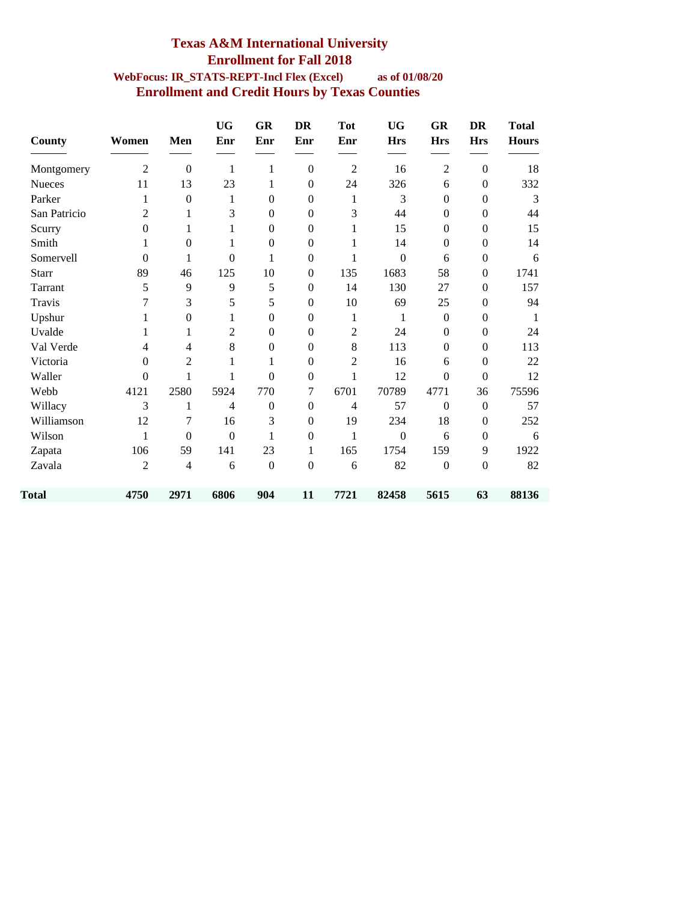### **Texas A&M International University Enrollment for Fall 2018 WebFocus: IR\_STATS-REPT-Incl Flex (Excel) as of 01/08/20 Enrollment and Credit Hours by Texas Counties**

| <b>County</b> | Women            | Men              | <b>UG</b><br>Enr | <b>GR</b><br>Enr | <b>DR</b><br>Enr | <b>Tot</b><br>Enr | <b>UG</b><br><b>Hrs</b> | <b>GR</b><br><b>Hrs</b> | <b>DR</b><br><b>Hrs</b> | <b>Total</b><br><b>Hours</b> |
|---------------|------------------|------------------|------------------|------------------|------------------|-------------------|-------------------------|-------------------------|-------------------------|------------------------------|
| Montgomery    | $\overline{2}$   | $\boldsymbol{0}$ | 1                | $\mathbf{1}$     | $\mathbf{0}$     | $\overline{2}$    | 16                      | $\overline{2}$          | $\mathbf{0}$            | 18                           |
| <b>Nueces</b> | 11               | 13               | 23               | 1                | $\boldsymbol{0}$ | 24                | 326                     | 6                       | $\boldsymbol{0}$        | 332                          |
| Parker        | 1                | $\mathbf{0}$     | 1                | $\boldsymbol{0}$ | $\boldsymbol{0}$ | 1                 | 3                       | $\boldsymbol{0}$        | $\boldsymbol{0}$        | 3                            |
| San Patricio  | 2                | 1                | 3                | $\mathbf{0}$     | $\theta$         | 3                 | 44                      | $\theta$                | $\boldsymbol{0}$        | 44                           |
| Scurry        | $\boldsymbol{0}$ | 1                | 1                | $\boldsymbol{0}$ | $\boldsymbol{0}$ | 1                 | 15                      | $\theta$                | $\boldsymbol{0}$        | 15                           |
| Smith         | 1                | $\boldsymbol{0}$ | 1                | $\boldsymbol{0}$ | $\theta$         | 1                 | 14                      | $\theta$                | $\boldsymbol{0}$        | 14                           |
| Somervell     | $\Omega$         | 1                | $\theta$         | 1                | $\Omega$         | 1                 | $\Omega$                | 6                       | $\boldsymbol{0}$        | 6                            |
| <b>Starr</b>  | 89               | 46               | 125              | 10               | $\boldsymbol{0}$ | 135               | 1683                    | 58                      | $\boldsymbol{0}$        | 1741                         |
| Tarrant       | 5                | 9                | 9                | 5                | $\Omega$         | 14                | 130                     | 27                      | $\mathbf{0}$            | 157                          |
| Travis        | 7                | 3                | 5                | 5                | $\boldsymbol{0}$ | 10                | 69                      | 25                      | $\boldsymbol{0}$        | 94                           |
| Upshur        | 1                | $\boldsymbol{0}$ | 1                | $\overline{0}$   | $\boldsymbol{0}$ | 1                 | 1                       | $\boldsymbol{0}$        | $\boldsymbol{0}$        | 1                            |
| Uvalde        | 1                | 1                | $\overline{c}$   | $\boldsymbol{0}$ | $\boldsymbol{0}$ | $\mathbf{2}$      | 24                      | $\theta$                | $\boldsymbol{0}$        | 24                           |
| Val Verde     | $\overline{4}$   | 4                | 8                | $\boldsymbol{0}$ | $\mathbf{0}$     | 8                 | 113                     | $\boldsymbol{0}$        | $\boldsymbol{0}$        | 113                          |
| Victoria      | $\Omega$         | 2                | 1                | 1                | $\mathbf{0}$     | $\overline{2}$    | 16                      | 6                       | $\boldsymbol{0}$        | 22                           |
| Waller        | $\overline{0}$   | 1                | 1                | $\overline{0}$   | $\boldsymbol{0}$ | 1                 | 12                      | $\boldsymbol{0}$        | $\boldsymbol{0}$        | 12                           |
| Webb          | 4121             | 2580             | 5924             | 770              | 7                | 6701              | 70789                   | 4771                    | 36                      | 75596                        |
| Willacy       | 3                | 1                | 4                | $\boldsymbol{0}$ | $\boldsymbol{0}$ | $\overline{4}$    | 57                      | $\boldsymbol{0}$        | $\boldsymbol{0}$        | 57                           |
| Williamson    | 12               | 7                | 16               | 3                | $\boldsymbol{0}$ | 19                | 234                     | 18                      | $\boldsymbol{0}$        | 252                          |
| Wilson        | 1                | $\overline{0}$   | $\mathbf{0}$     | 1                | $\boldsymbol{0}$ | $\mathbf{1}$      | $\boldsymbol{0}$        | 6                       | $\boldsymbol{0}$        | 6                            |
| Zapata        | 106              | 59               | 141              | 23               | $\mathbf{1}$     | 165               | 1754                    | 159                     | 9                       | 1922                         |
| Zavala        | 2                | $\overline{4}$   | 6                | $\boldsymbol{0}$ | $\boldsymbol{0}$ | 6                 | 82                      | $\boldsymbol{0}$        | $\boldsymbol{0}$        | 82                           |
| Total         | 4750             | 2971             | 6806             | 904              | 11               | 7721              | 82458                   | 5615                    | 63                      | 88136                        |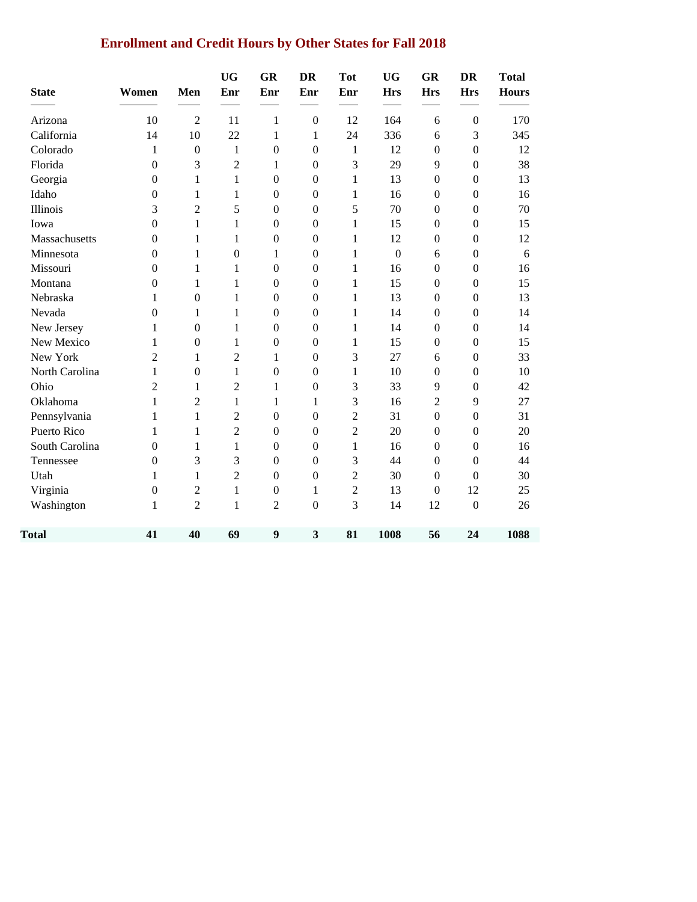# **Enrollment and Credit Hours by Other States for Fall 2018**

| <b>State</b>   | Women            | Men              | <b>UG</b><br>Enr | GR<br>Enr        | <b>DR</b><br>Enr | <b>Tot</b><br>Enr | <b>UG</b><br><b>Hrs</b> | <b>GR</b><br><b>Hrs</b> | <b>DR</b><br><b>Hrs</b> | <b>Total</b><br><b>Hours</b> |
|----------------|------------------|------------------|------------------|------------------|------------------|-------------------|-------------------------|-------------------------|-------------------------|------------------------------|
| Arizona        | 10               | $\overline{2}$   | 11               | 1                | $\boldsymbol{0}$ | 12                | 164                     | 6                       | $\boldsymbol{0}$        | 170                          |
| California     | 14               | 10               | 22               | 1                | 1                | 24                | 336                     | 6                       | 3                       | 345                          |
| Colorado       | 1                | $\boldsymbol{0}$ | $\mathbf{1}$     | $\boldsymbol{0}$ | $\boldsymbol{0}$ | $\,1$             | 12                      | $\boldsymbol{0}$        | $\boldsymbol{0}$        | 12                           |
| Florida        | $\boldsymbol{0}$ | 3                | $\overline{2}$   | 1                | $\boldsymbol{0}$ | 3                 | 29                      | 9                       | $\mathbf{0}$            | 38                           |
| Georgia        | $\boldsymbol{0}$ | $\mathbf{1}$     | 1                | $\boldsymbol{0}$ | $\boldsymbol{0}$ | $\mathbf{1}$      | 13                      | $\boldsymbol{0}$        | $\boldsymbol{0}$        | 13                           |
| Idaho          | $\boldsymbol{0}$ | 1                | $\mathbf{1}$     | $\boldsymbol{0}$ | $\boldsymbol{0}$ | $\mathbf{1}$      | 16                      | $\boldsymbol{0}$        | $\boldsymbol{0}$        | 16                           |
| Illinois       | 3                | $\overline{c}$   | 5                | $\boldsymbol{0}$ | $\boldsymbol{0}$ | 5                 | 70                      | $\boldsymbol{0}$        | $\mathbf{0}$            | 70                           |
| Iowa           | $\overline{0}$   | $\mathbf{1}$     | $\mathbf{1}$     | $\mathbf{0}$     | $\boldsymbol{0}$ | $\mathbf{1}$      | 15                      | $\boldsymbol{0}$        | $\boldsymbol{0}$        | 15                           |
| Massachusetts  | $\boldsymbol{0}$ | 1                | $\mathbf{1}$     | $\boldsymbol{0}$ | $\boldsymbol{0}$ | $\mathbf{1}$      | 12                      | $\boldsymbol{0}$        | $\boldsymbol{0}$        | 12                           |
| Minnesota      | $\boldsymbol{0}$ | 1                | $\boldsymbol{0}$ | 1                | $\boldsymbol{0}$ | $\mathbf{1}$      | $\boldsymbol{0}$        | 6                       | $\boldsymbol{0}$        | 6                            |
| Missouri       | $\theta$         | 1                | 1                | $\boldsymbol{0}$ | $\mathbf{0}$     | 1                 | 16                      | $\boldsymbol{0}$        | $\mathbf{0}$            | 16                           |
| Montana        | $\boldsymbol{0}$ | 1                | $\mathbf{1}$     | $\boldsymbol{0}$ | $\boldsymbol{0}$ | $\mathbf{1}$      | 15                      | $\boldsymbol{0}$        | $\boldsymbol{0}$        | 15                           |
| Nebraska       | 1                | $\mathbf{0}$     | $\mathbf{1}$     | $\mathbf{0}$     | $\boldsymbol{0}$ | 1                 | 13                      | $\boldsymbol{0}$        | $\mathbf{0}$            | 13                           |
| Nevada         | $\boldsymbol{0}$ | 1                | $\mathbf{1}$     | $\boldsymbol{0}$ | $\boldsymbol{0}$ | $\mathbf{1}$      | 14                      | $\boldsymbol{0}$        | $\boldsymbol{0}$        | 14                           |
| New Jersey     | 1                | $\mathbf{0}$     | $\mathbf{1}$     | $\boldsymbol{0}$ | $\boldsymbol{0}$ | 1                 | 14                      | $\boldsymbol{0}$        | $\mathbf{0}$            | 14                           |
| New Mexico     | 1                | $\boldsymbol{0}$ | $\mathbf{1}$     | $\boldsymbol{0}$ | $\boldsymbol{0}$ | $\mathbf{1}$      | 15                      | $\boldsymbol{0}$        | $\boldsymbol{0}$        | 15                           |
| New York       | $\overline{2}$   | 1                | $\overline{2}$   | 1                | $\theta$         | 3                 | 27                      | 6                       | $\mathbf{0}$            | 33                           |
| North Carolina | 1                | $\overline{0}$   | $\mathbf{1}$     | $\mathbf{0}$     | $\mathbf{0}$     | $\mathbf{1}$      | 10                      | $\boldsymbol{0}$        | $\boldsymbol{0}$        | 10                           |
| Ohio           | $\overline{c}$   | 1                | $\overline{c}$   | 1                | $\boldsymbol{0}$ | 3                 | 33                      | 9                       | $\boldsymbol{0}$        | 42                           |
| Oklahoma       | 1                | $\overline{c}$   | $\mathbf{1}$     | 1                | 1                | 3                 | 16                      | $\overline{2}$          | 9                       | 27                           |
| Pennsylvania   | 1                | $\mathbf{1}$     | $\overline{2}$   | $\boldsymbol{0}$ | $\mathbf{0}$     | $\overline{2}$    | 31                      | $\overline{0}$          | $\boldsymbol{0}$        | 31                           |
| Puerto Rico    | 1                | $\mathbf{1}$     | $\overline{2}$   | $\mathbf{0}$     | $\boldsymbol{0}$ | $\overline{c}$    | 20                      | $\boldsymbol{0}$        | $\boldsymbol{0}$        | 20                           |
| South Carolina | $\boldsymbol{0}$ | 1                | $\mathbf{1}$     | $\boldsymbol{0}$ | $\boldsymbol{0}$ | $\mathbf{1}$      | 16                      | $\boldsymbol{0}$        | $\boldsymbol{0}$        | 16                           |
| Tennessee      | $\boldsymbol{0}$ | 3                | 3                | $\boldsymbol{0}$ | $\mathbf{0}$     | 3                 | 44                      | $\boldsymbol{0}$        | $\overline{0}$          | 44                           |
| Utah           | 1                | 1                | $\overline{2}$   | $\boldsymbol{0}$ | $\boldsymbol{0}$ | $\overline{2}$    | 30                      | $\boldsymbol{0}$        | $\mathbf{0}$            | 30                           |
| Virginia       | $\boldsymbol{0}$ | $\overline{c}$   | 1                | $\boldsymbol{0}$ | 1                | $\overline{2}$    | 13                      | $\boldsymbol{0}$        | 12                      | 25                           |
| Washington     | 1                | $\overline{2}$   | $\mathbf{1}$     | $\overline{2}$   | $\mathbf{0}$     | 3                 | 14                      | 12                      | $\overline{0}$          | 26                           |
| <b>Total</b>   | 41               | 40               | 69               | $\boldsymbol{9}$ | 3                | 81                | 1008                    | 56                      | 24                      | 1088                         |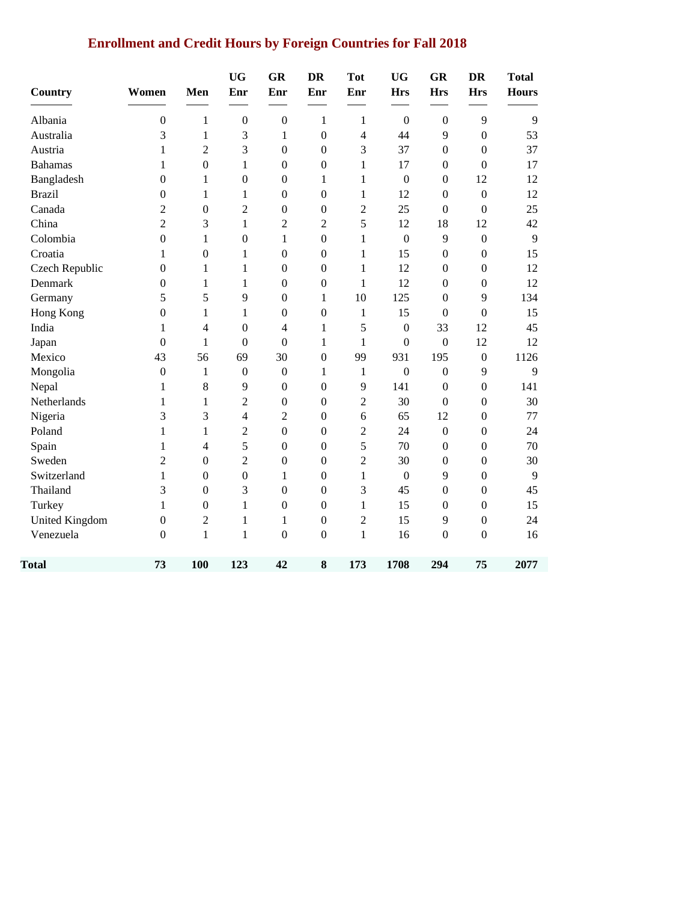# **Enrollment and Credit Hours by Foreign Countries for Fall 2018**

| Country               | Women            | Men              | <b>UG</b><br>Enr | GR<br>Enr        | <b>DR</b><br>Enr | <b>Tot</b><br>Enr       | <b>UG</b><br><b>Hrs</b> | <b>GR</b><br><b>Hrs</b> | <b>DR</b><br><b>Hrs</b> | <b>Total</b><br><b>Hours</b> |
|-----------------------|------------------|------------------|------------------|------------------|------------------|-------------------------|-------------------------|-------------------------|-------------------------|------------------------------|
| Albania               | $\boldsymbol{0}$ | $\mathbf{1}$     | $\boldsymbol{0}$ | $\boldsymbol{0}$ | $\mathbf{1}$     | $\mathbf{1}$            | $\boldsymbol{0}$        | $\boldsymbol{0}$        | 9                       | 9                            |
| Australia             | 3                | $\mathbf{1}$     | 3                | $\mathbf{1}$     | $\boldsymbol{0}$ | $\overline{\mathbf{4}}$ | 44                      | 9                       | $\boldsymbol{0}$        | 53                           |
| Austria               | $\mathbf{1}$     | $\overline{c}$   | 3                | $\mathbf{0}$     | $\boldsymbol{0}$ | 3                       | 37                      | $\boldsymbol{0}$        | $\boldsymbol{0}$        | 37                           |
| <b>Bahamas</b>        | 1                | $\boldsymbol{0}$ | $\mathbf{1}$     | $\mathbf{0}$     | $\boldsymbol{0}$ | $\mathbf{1}$            | 17                      | $\boldsymbol{0}$        | $\overline{0}$          | 17                           |
| Bangladesh            | $\boldsymbol{0}$ | $\mathbf{1}$     | $\boldsymbol{0}$ | $\boldsymbol{0}$ | 1                | 1                       | $\boldsymbol{0}$        | $\boldsymbol{0}$        | 12                      | 12                           |
| <b>Brazil</b>         | 0                | $\mathbf{1}$     | $\mathbf{1}$     | $\mathbf{0}$     | $\mathbf{0}$     | 1                       | 12                      | $\boldsymbol{0}$        | $\boldsymbol{0}$        | 12                           |
| Canada                | $\overline{2}$   | $\boldsymbol{0}$ | $\overline{2}$   | $\boldsymbol{0}$ | $\boldsymbol{0}$ | $\overline{2}$          | 25                      | $\boldsymbol{0}$        | $\overline{0}$          | 25                           |
| China                 | $\sqrt{2}$       | 3                | 1                | $\overline{c}$   | $\overline{2}$   | 5                       | 12                      | 18                      | 12                      | 42                           |
| Colombia              | $\boldsymbol{0}$ | 1                | $\boldsymbol{0}$ | $\mathbf{1}$     | $\mathbf{0}$     | $\mathbf{1}$            | $\mathbf{0}$            | 9                       | $\boldsymbol{0}$        | 9                            |
| Croatia               | 1                | $\boldsymbol{0}$ | 1                | $\boldsymbol{0}$ | $\boldsymbol{0}$ | $\mathbf{1}$            | 15                      | $\boldsymbol{0}$        | $\boldsymbol{0}$        | 15                           |
| Czech Republic        | $\boldsymbol{0}$ | $\mathbf{1}$     | 1                | $\mathbf{0}$     | $\boldsymbol{0}$ | 1                       | 12                      | $\boldsymbol{0}$        | $\boldsymbol{0}$        | 12                           |
| Denmark               | $\boldsymbol{0}$ | $\mathbf{1}$     | $\mathbf{1}$     | $\boldsymbol{0}$ | $\boldsymbol{0}$ | 1                       | 12                      | $\boldsymbol{0}$        | $\boldsymbol{0}$        | 12                           |
| Germany               | 5                | 5                | 9                | $\boldsymbol{0}$ | 1                | 10                      | 125                     | $\boldsymbol{0}$        | 9                       | 134                          |
| Hong Kong             | $\boldsymbol{0}$ | 1                | $\mathbf{1}$     | $\mathbf{0}$     | $\mathbf{0}$     | $\mathbf{1}$            | 15                      | $\boldsymbol{0}$        | $\boldsymbol{0}$        | 15                           |
| India                 | 1                | 4                | $\boldsymbol{0}$ | $\overline{4}$   | 1                | 5                       | $\boldsymbol{0}$        | 33                      | 12                      | 45                           |
| Japan                 | $\boldsymbol{0}$ | 1                | $\mathbf{0}$     | $\boldsymbol{0}$ | 1                | 1                       | $\boldsymbol{0}$        | $\boldsymbol{0}$        | 12                      | 12                           |
| Mexico                | 43               | 56               | 69               | 30               | $\overline{0}$   | 99                      | 931                     | 195                     | $\boldsymbol{0}$        | 1126                         |
| Mongolia              | $\boldsymbol{0}$ | $\mathbf{1}$     | $\boldsymbol{0}$ | $\boldsymbol{0}$ | 1                | $\mathbf{1}$            | $\boldsymbol{0}$        | $\boldsymbol{0}$        | 9                       | 9                            |
| Nepal                 | 1                | 8                | 9                | $\boldsymbol{0}$ | $\theta$         | 9                       | 141                     | $\boldsymbol{0}$        | $\boldsymbol{0}$        | 141                          |
| Netherlands           | 1                | 1                | $\overline{c}$   | $\mathbf{0}$     | $\theta$         | $\overline{2}$          | 30                      | $\overline{0}$          | $\boldsymbol{0}$        | 30                           |
| Nigeria               | 3                | 3                | $\overline{4}$   | $\overline{2}$   | $\boldsymbol{0}$ | 6                       | 65                      | 12                      | $\boldsymbol{0}$        | 77                           |
| Poland                | $\mathbf{1}$     | $\mathbf{1}$     | $\overline{c}$   | $\boldsymbol{0}$ | $\boldsymbol{0}$ | $\overline{c}$          | 24                      | $\boldsymbol{0}$        | $\boldsymbol{0}$        | 24                           |
| Spain                 | $\mathbf{1}$     | 4                | 5                | $\boldsymbol{0}$ | $\mathbf{0}$     | 5                       | 70                      | $\boldsymbol{0}$        | $\boldsymbol{0}$        | 70                           |
| Sweden                | $\overline{c}$   | $\boldsymbol{0}$ | $\overline{c}$   | $\boldsymbol{0}$ | $\boldsymbol{0}$ | $\overline{2}$          | 30                      | $\boldsymbol{0}$        | $\boldsymbol{0}$        | 30                           |
| Switzerland           | $\mathbf{1}$     | $\boldsymbol{0}$ | $\boldsymbol{0}$ | 1                | $\boldsymbol{0}$ | $\mathbf{1}$            | $\boldsymbol{0}$        | 9                       | $\boldsymbol{0}$        | 9                            |
| Thailand              | 3                | $\boldsymbol{0}$ | 3                | $\mathbf{0}$     | $\boldsymbol{0}$ | 3                       | 45                      | $\boldsymbol{0}$        | $\boldsymbol{0}$        | 45                           |
| Turkey                | 1                | $\boldsymbol{0}$ | 1                | $\boldsymbol{0}$ | $\boldsymbol{0}$ | 1                       | 15                      | $\boldsymbol{0}$        | $\boldsymbol{0}$        | 15                           |
| <b>United Kingdom</b> | $\boldsymbol{0}$ | $\overline{2}$   | $\mathbf{1}$     | $\mathbf{1}$     | $\boldsymbol{0}$ | $\overline{c}$          | 15                      | 9                       | $\boldsymbol{0}$        | 24                           |
| Venezuela             | $\boldsymbol{0}$ | $\mathbf{1}$     | $\mathbf{1}$     | $\overline{0}$   | $\mathbf{0}$     | $\mathbf{1}$            | 16                      | $\overline{0}$          | $\overline{0}$          | 16                           |
| <b>Total</b>          | 73               | 100              | 123              | 42               | 8                | 173                     | 1708                    | 294                     | 75                      | 2077                         |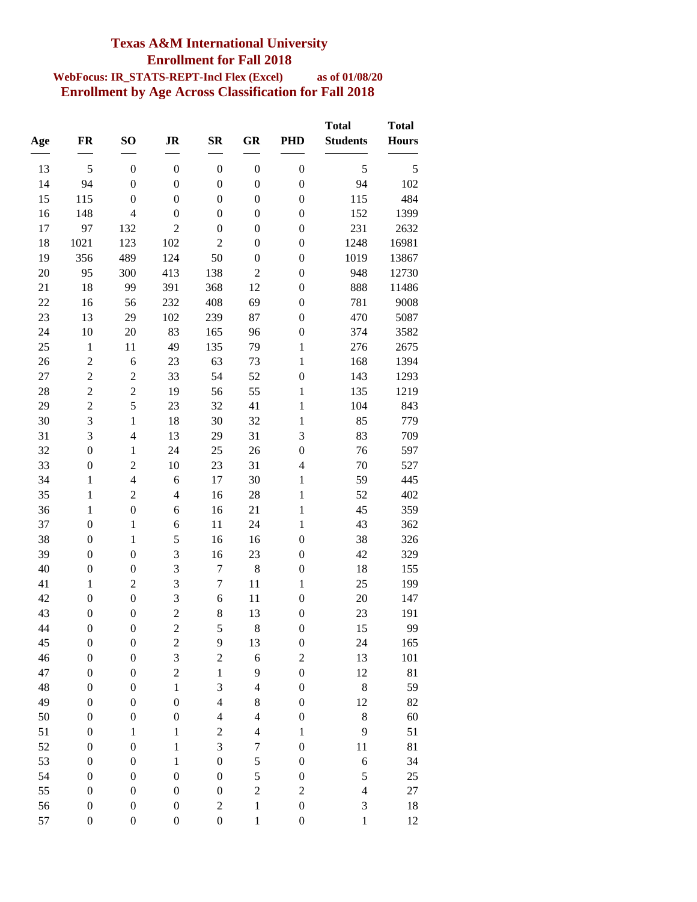### **Texas A&M International University Enrollment for Fall 2018**

#### **WebFocus: IR\_STATS-REPT-Incl Flex (Excel) as of 01/08/20 Enrollment by Age Across Classification for Fall 2018**

|          | <b>FR</b>                        | SO <sub>1</sub>                  | <b>JR</b>        | $S_{\mathbf{R}}$        | <b>GR</b>        | <b>PHD</b>                       | <b>Total</b><br><b>Students</b> | <b>Total</b><br><b>Hours</b> |
|----------|----------------------------------|----------------------------------|------------------|-------------------------|------------------|----------------------------------|---------------------------------|------------------------------|
| Age      |                                  |                                  |                  |                         |                  |                                  |                                 |                              |
| 13       | 5                                | $\boldsymbol{0}$                 | $\boldsymbol{0}$ | $\boldsymbol{0}$        | $\boldsymbol{0}$ | $\boldsymbol{0}$                 | 5                               | 5                            |
| 14       | 94                               | $\boldsymbol{0}$                 | $\boldsymbol{0}$ | $\boldsymbol{0}$        | $\boldsymbol{0}$ | $\boldsymbol{0}$                 | 94                              | 102                          |
| 15       | 115                              | $\boldsymbol{0}$                 | $\boldsymbol{0}$ | $\boldsymbol{0}$        | $\boldsymbol{0}$ | $\boldsymbol{0}$                 | 115                             | 484                          |
| 16       | 148                              | $\overline{4}$                   | $\boldsymbol{0}$ | $\boldsymbol{0}$        | $\boldsymbol{0}$ | $\boldsymbol{0}$                 | 152                             | 1399                         |
| 17       | 97                               | 132                              | $\overline{2}$   | $\boldsymbol{0}$        | $\boldsymbol{0}$ | $\boldsymbol{0}$                 | 231                             | 2632                         |
| 18       | 1021                             | 123                              | 102              | $\overline{c}$          | $\boldsymbol{0}$ | $\boldsymbol{0}$                 | 1248                            | 16981                        |
| 19       | 356                              | 489                              | 124              | 50                      | $\boldsymbol{0}$ | $\boldsymbol{0}$                 | 1019                            | 13867                        |
| 20       | 95                               | 300                              | 413              | 138                     | $\overline{2}$   | $\boldsymbol{0}$                 | 948                             | 12730                        |
| 21       | 18                               | 99                               | 391              | 368                     | 12               | $\boldsymbol{0}$                 | 888                             | 11486                        |
| 22       | 16                               | 56                               | 232              | 408                     | 69               | $\boldsymbol{0}$                 | 781                             | 9008                         |
| 23       | 13                               | 29                               | 102              | 239                     | 87               | $\boldsymbol{0}$                 | 470                             | 5087                         |
| 24       | 10                               | 20                               | 83               | 165                     | 96               | $\boldsymbol{0}$                 | 374                             | 3582                         |
| 25       | $\mathbf 1$                      | 11                               | 49               | 135                     | 79               | $\mathbf{1}$                     | 276                             | 2675                         |
| 26       | $\overline{c}$                   | 6                                | 23               | 63                      | 73               | $\mathbf{1}$                     | 168                             | 1394                         |
| 27<br>28 | $\overline{c}$<br>$\overline{c}$ | $\overline{c}$<br>$\overline{c}$ | 33<br>19         | 54<br>56                | 52<br>55         | $\boldsymbol{0}$<br>$\mathbf{1}$ | 143<br>135                      | 1293<br>1219                 |
| 29       | $\overline{c}$                   | 5                                | 23               | 32                      | 41               | $\mathbf{1}$                     | 104                             | 843                          |
| 30       | 3                                | $\mathbf{1}$                     | 18               | 30                      | 32               | $\mathbf{1}$                     | 85                              | 779                          |
| 31       | 3                                | $\overline{4}$                   | 13               | 29                      | 31               | 3                                | 83                              | 709                          |
| 32       | $\boldsymbol{0}$                 | $\mathbf{1}$                     | 24               | 25                      | 26               | $\boldsymbol{0}$                 | 76                              | 597                          |
| 33       | $\boldsymbol{0}$                 | $\overline{c}$                   | 10               | 23                      | 31               | $\overline{\mathcal{L}}$         | 70                              | 527                          |
| 34       | $\mathbf{1}$                     | $\overline{4}$                   | 6                | 17                      | 30               | $\mathbf{1}$                     | 59                              | 445                          |
| 35       | $\mathbf{1}$                     | $\overline{c}$                   | $\overline{4}$   | 16                      | 28               | $\mathbf{1}$                     | 52                              | 402                          |
| 36       | $\mathbf{1}$                     | $\boldsymbol{0}$                 | 6                | 16                      | 21               | $\mathbf{1}$                     | 45                              | 359                          |
| 37       | $\boldsymbol{0}$                 | $\mathbf{1}$                     | 6                | 11                      | 24               | $\mathbf{1}$                     | 43                              | 362                          |
| 38       | $\boldsymbol{0}$                 | $\mathbf{1}$                     | 5                | 16                      | 16               | $\boldsymbol{0}$                 | 38                              | 326                          |
| 39       | $\boldsymbol{0}$                 | $\boldsymbol{0}$                 | 3                | 16                      | 23               | $\boldsymbol{0}$                 | 42                              | 329                          |
| 40       | $\boldsymbol{0}$                 | $\boldsymbol{0}$                 | 3                | $\overline{7}$          | $\,8\,$          | $\boldsymbol{0}$                 | 18                              | 155                          |
| 41       | $\mathbf{1}$                     | $\overline{2}$                   | 3                | $\boldsymbol{7}$        | 11               | $\mathbf{1}$                     | 25                              | 199                          |
| 42       | $\boldsymbol{0}$                 | $\boldsymbol{0}$                 | 3                | $\boldsymbol{6}$        | 11               | $\boldsymbol{0}$                 | 20                              | 147                          |
| 43       | $\boldsymbol{0}$                 | $\boldsymbol{0}$                 | $\overline{c}$   | 8                       | 13               | $\boldsymbol{0}$                 | 23                              | 191                          |
| 44       | $\boldsymbol{0}$                 | $\boldsymbol{0}$                 | $\overline{c}$   | 5                       | 8                | $\boldsymbol{0}$                 | 15                              | 99                           |
| 45       | $\boldsymbol{0}$                 | $\boldsymbol{0}$                 | $\overline{c}$   | 9                       | 13               | $\boldsymbol{0}$                 | 24                              | 165                          |
| 46       | $\boldsymbol{0}$                 | $\boldsymbol{0}$                 | 3                | $\overline{\mathbf{c}}$ | $\boldsymbol{6}$ | $\overline{c}$                   | 13                              | 101                          |
| 47       | $\boldsymbol{0}$                 | $\boldsymbol{0}$                 | $\overline{c}$   | $\mathbf 1$             | 9                | $\boldsymbol{0}$                 | 12                              | 81                           |
| 48       | $\boldsymbol{0}$                 | $\boldsymbol{0}$                 | $\mathbf 1$      | 3                       | $\overline{4}$   | $\boldsymbol{0}$                 | $\,8$                           | 59                           |
| 49       | $\boldsymbol{0}$                 | $\boldsymbol{0}$                 | $\boldsymbol{0}$ | $\overline{4}$          | $\,$ 8 $\,$      | $\boldsymbol{0}$                 | 12                              | 82                           |
| 50       | $\boldsymbol{0}$                 | $\boldsymbol{0}$                 | $\boldsymbol{0}$ | $\overline{4}$          | $\overline{4}$   | $\boldsymbol{0}$                 | 8                               | 60                           |
| 51       | $\boldsymbol{0}$                 | $\mathbf 1$                      | $\,1$            | $\overline{\mathbf{c}}$ | $\overline{4}$   | $\,1$                            | 9                               | 51                           |
| 52       | $\boldsymbol{0}$                 | $\boldsymbol{0}$                 | $\,1$            | 3                       | $\sqrt{ }$       | $\boldsymbol{0}$                 | $11\,$                          | 81                           |
| 53       | $\boldsymbol{0}$                 | $\boldsymbol{0}$                 | $\,1$            | $\boldsymbol{0}$        | 5                | $\boldsymbol{0}$                 | 6                               | 34                           |
| 54       | $\boldsymbol{0}$                 | $\boldsymbol{0}$                 | $\boldsymbol{0}$ | $\boldsymbol{0}$        | 5                | $\boldsymbol{0}$                 | 5                               | 25                           |
| 55       | $\boldsymbol{0}$                 | $\boldsymbol{0}$                 | $\boldsymbol{0}$ | $\boldsymbol{0}$        | $\overline{c}$   | $\overline{c}$                   | $\overline{4}$                  | 27                           |
| 56       | $\boldsymbol{0}$                 | $\boldsymbol{0}$                 | $\boldsymbol{0}$ | $\overline{\mathbf{c}}$ | $\mathbf{1}$     | $\boldsymbol{0}$                 | $\mathfrak{Z}$                  | 18                           |
| 57       | $\boldsymbol{0}$                 | $\boldsymbol{0}$                 | $\boldsymbol{0}$ | $\boldsymbol{0}$        | $\mathbf{1}$     | $\boldsymbol{0}$                 | $\mathbf{1}$                    | 12                           |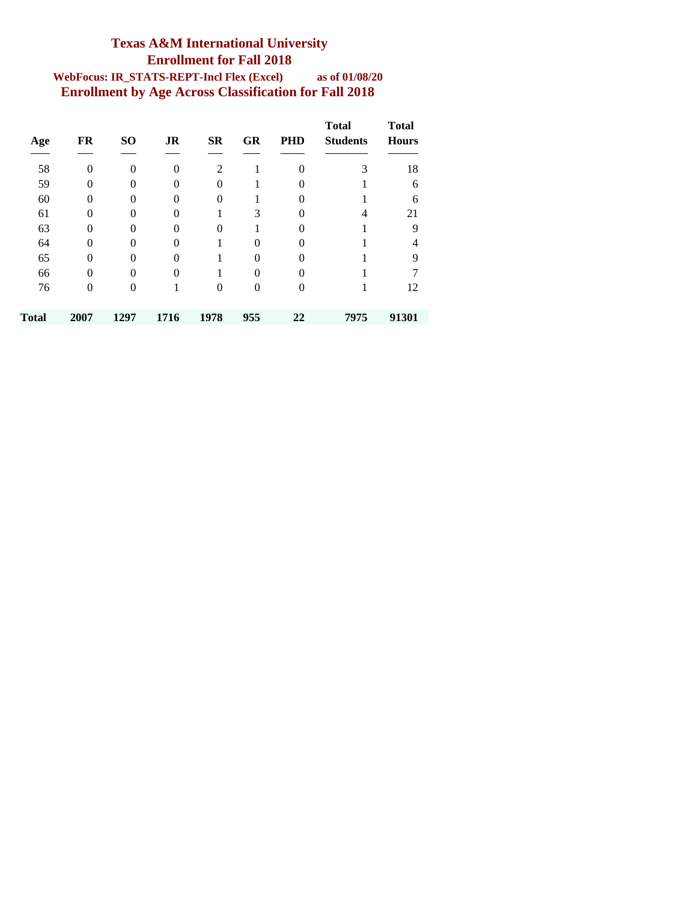### **Texas A&M International University Enrollment for Fall 2018 WebFocus: IR\_STATS-REPT-Incl Flex (Excel) as of 01/08/20 Enrollment by Age Across Classification for Fall 2018**

| Age   | FR       | SO <sub>1</sub> | <b>JR</b> | <b>SR</b> | <b>GR</b> | <b>PHD</b> | <b>Total</b><br><b>Students</b> | <b>Total</b><br><b>Hours</b> |
|-------|----------|-----------------|-----------|-----------|-----------|------------|---------------------------------|------------------------------|
| 58    | $\Omega$ | $\Omega$        | $\Omega$  | 2         |           | $\theta$   | 3                               | 18                           |
| 59    | $\Omega$ | 0               | 0         | 0         |           | 0          |                                 | 6                            |
| 60    | $\Omega$ | $\Omega$        | 0         | 0         |           | $\Omega$   |                                 | 6                            |
| 61    | 0        | 0               | 0         |           | 3         | 0          | 4                               | 21                           |
| 63    | 0        | $\Omega$        |           | 0         |           | 0          |                                 | 9                            |
| 64    | $\Omega$ | 0               | 0         |           | 0         | 0          |                                 | 4                            |
| 65    | $\Omega$ | $\Omega$        | 0         |           | 0         | $\Omega$   |                                 | 9                            |
| 66    | $\Omega$ | $\Omega$        | 0         |           | 0         | $\theta$   |                                 |                              |
| 76    | $\Omega$ | $\Omega$        |           | 0         | 0         | $\theta$   |                                 | 12                           |
| Total | 2007     | 1297            | 1716      | 1978      | 955       | 22         | 7975                            | 91301                        |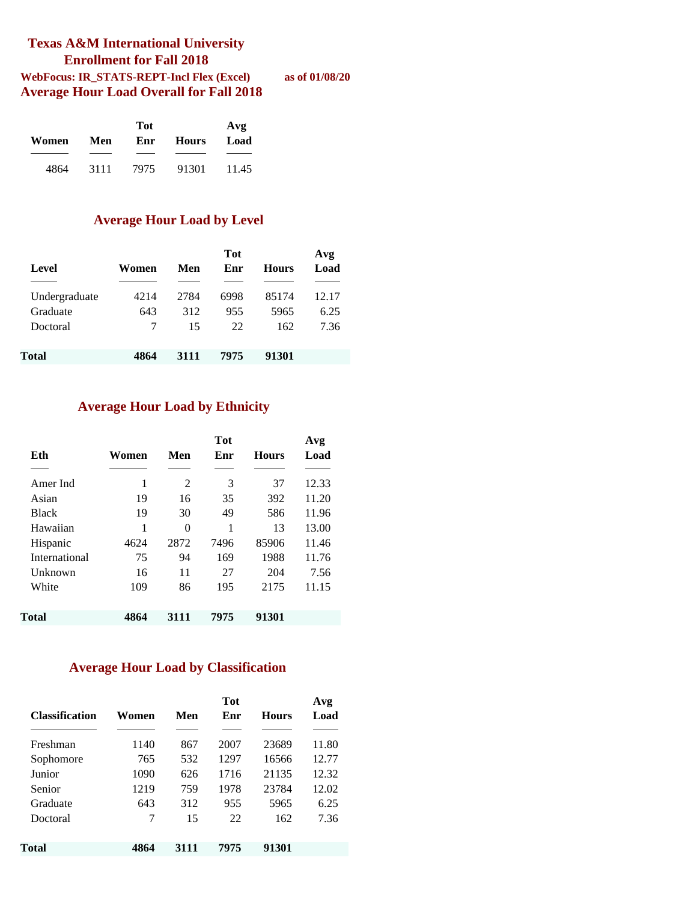#### **Texas A&M International University Enrollment for Fall 2018 WebFocus: IR\_STATS-REPT-Incl Flex (Excel) as of 01/08/20 Average Hour Load Overall for Fall 2018**

|       |      | Avg  |              |       |
|-------|------|------|--------------|-------|
| Women | Men  | Enr  | <b>Hours</b> | Load  |
|       |      |      |              |       |
| 4864  | 3111 | 7975 | 91301        | 11.45 |

#### **Average Hour Load by Level**

| Level         | Women | Men  | <b>Tot</b><br>Enr | <b>Hours</b> | Avg<br>Load |
|---------------|-------|------|-------------------|--------------|-------------|
| Undergraduate | 4214  | 2784 | 6998              | 85174        | 12.17       |
| Graduate      | 643   | 312  | 955               | 5965         | 6.25        |
| Doctoral      | 7     | 15   | 22                | 162          | 7.36        |
| Total         | 4864  | 3111 | 7975              | 91301        |             |

#### **Average Hour Load by Ethnicity**

| Eth           | Women | Men  | Tot<br>Enr | <b>Hours</b> | Avg<br>Load |
|---------------|-------|------|------------|--------------|-------------|
| Amer Ind      | 1     | 2    | 3          | 37           | 12.33       |
| Asian         | 19    | 16   | 35         | 392          | 11.20       |
| <b>Black</b>  | 19    | 30   | 49         | 586          | 11.96       |
| Hawaiian      | 1     | 0    | 1          | 13           | 13.00       |
| Hispanic      | 4624  | 2872 | 7496       | 85906        | 11.46       |
| International | 75    | 94   | 169        | 1988         | 11.76       |
| Unknown       | 16    | 11   | 27         | 204          | 7.56        |
| White         | 109   | 86   | 195        | 2175         | 11.15       |
| Total         | 4864  | 3111 | 7975       | 91301        |             |

#### **Average Hour Load by Classification**

| <b>Classification</b> | Women | Men  | <b>Tot</b><br>Enr | <b>Hours</b> | Avg<br>Load |
|-----------------------|-------|------|-------------------|--------------|-------------|
| Freshman              | 1140  | 867  | 2007              | 23689        | 11.80       |
| Sophomore             | 765   | 532  | 1297              | 16566        | 12.77       |
| Junior                | 1090  | 626  | 1716              | 21135        | 12.32       |
| Senior                | 1219  | 759  | 1978              | 23784        | 12.02       |
| Graduate              | 643   | 312  | 955               | 5965         | 6.25        |
| Doctoral              | 7     | 15   | 22                | 162          | 7.36        |
| Total                 | 4864  | 3111 | 7975              | 91301        |             |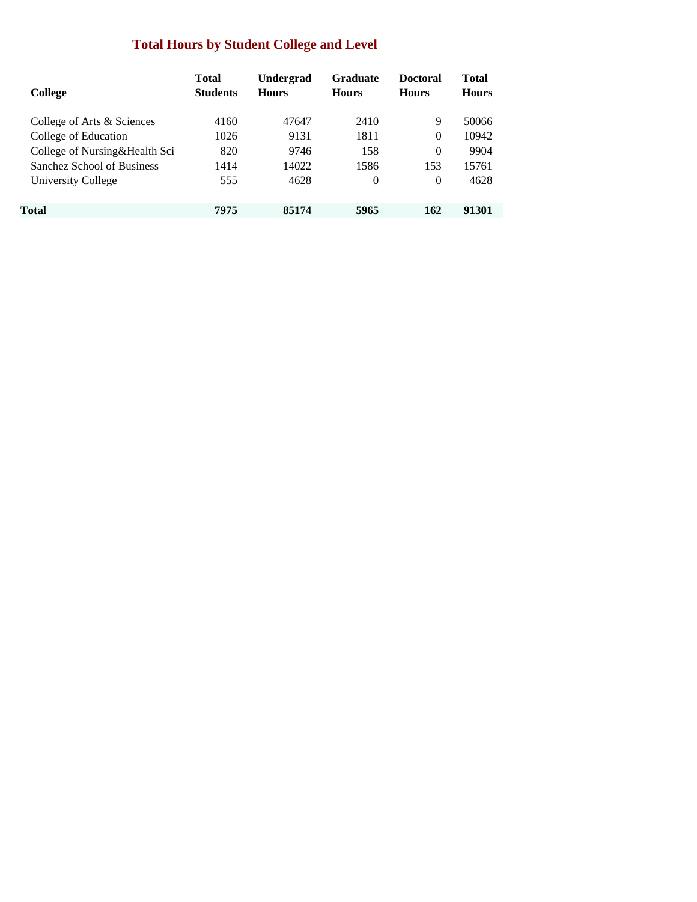## **Total Hours by Student College and Level**

| College                       | <b>Total</b><br><b>Students</b> | <b>Undergrad</b><br><b>Hours</b> | <b>Graduate</b><br><b>Hours</b> | <b>Doctoral</b><br><b>Hours</b> | Total<br><b>Hours</b> |
|-------------------------------|---------------------------------|----------------------------------|---------------------------------|---------------------------------|-----------------------|
| College of Arts & Sciences    | 4160                            | 47647                            | 2410                            | 9                               | 50066                 |
| College of Education          | 1026                            | 9131                             | 1811                            | $\Omega$                        | 10942                 |
| College of Nursing&Health Sci | 820                             | 9746                             | 158                             | $\Omega$                        | 9904                  |
| Sanchez School of Business    | 1414                            | 14022                            | 1586                            | 153                             | 15761                 |
| University College            | 555                             | 4628                             | $\theta$                        | $\Omega$                        | 4628                  |
| Total                         | 7975                            | 85174                            | 5965                            | 162                             | 91301                 |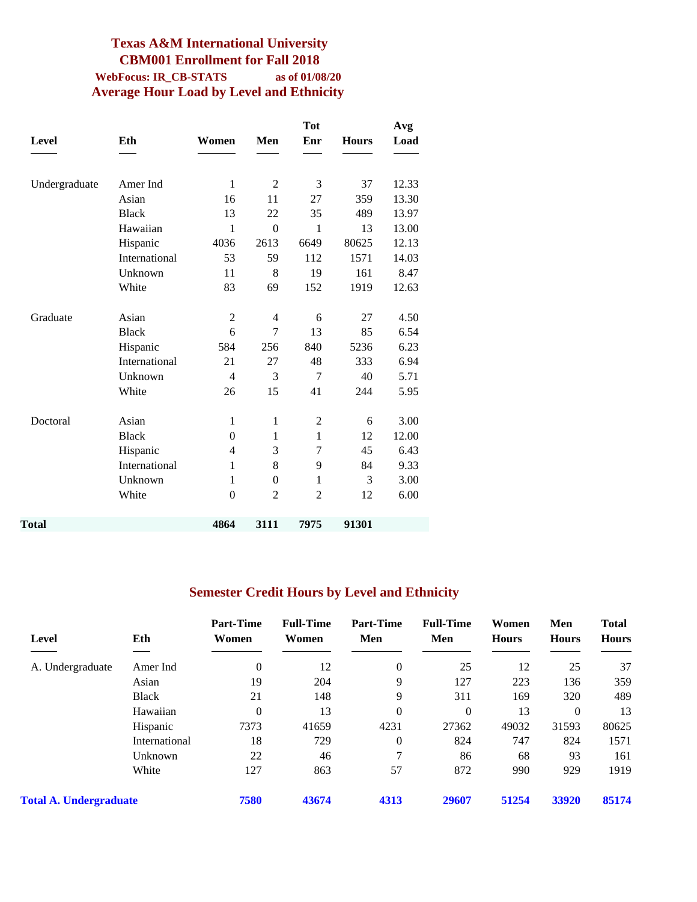### **Texas A&M International University CBM001 Enrollment for Fall 2018 WebFocus: IR\_CB-STATS as of 01/08/20 Average Hour Load by Level and Ethnicity**

|               |               |                |                | <b>Tot</b>     |              | Avg   |
|---------------|---------------|----------------|----------------|----------------|--------------|-------|
| <b>Level</b>  | Eth           | Women          | Men            | Enr            | <b>Hours</b> | Load  |
|               |               |                |                |                |              |       |
| Undergraduate | Amer Ind      | 1              | $\overline{c}$ | 3              | 37           | 12.33 |
|               | Asian         | 16             | 11             | 27             | 359          | 13.30 |
|               | <b>Black</b>  | 13             | 22             | 35             | 489          | 13.97 |
|               | Hawaiian      | $\mathbf{1}$   | $\theta$       | 1              | 13           | 13.00 |
|               | Hispanic      | 4036           | 2613           | 6649           | 80625        | 12.13 |
|               | International | 53             | 59             | 112            | 1571         | 14.03 |
|               | Unknown       | 11             | 8              | 19             | 161          | 8.47  |
|               | White         | 83             | 69             | 152            | 1919         | 12.63 |
|               |               |                |                |                |              |       |
| Graduate      | Asian         | $\overline{c}$ | 4              | 6              | 27           | 4.50  |
|               | <b>Black</b>  | 6              | 7              | 13             | 85           | 6.54  |
|               | Hispanic      | 584            | 256            | 840            | 5236         | 6.23  |
|               | International | 21             | 27             | 48             | 333          | 6.94  |
|               | Unknown       | 4              | 3              | 7              | 40           | 5.71  |
|               | White         | 26             | 15             | 41             | 244          | 5.95  |
| Doctoral      | Asian         | 1              | $\mathbf{1}$   | $\overline{2}$ | 6            | 3.00  |
|               | <b>Black</b>  | $\overline{0}$ | 1              | $\mathbf{1}$   | 12           | 12.00 |
|               | Hispanic      | 4              | 3              | 7              | 45           | 6.43  |
|               | International | $\mathbf{1}$   | 8              | 9              | 84           | 9.33  |
|               | Unknown       | 1              | $\theta$       | $\mathbf{1}$   | 3            | 3.00  |
|               | White         | $\mathbf{0}$   | $\overline{2}$ | $\overline{2}$ | 12           | 6.00  |
|               |               |                |                |                |              |       |
| Total         |               | 4864           | 3111           | 7975           | 91301        |       |

## **Semester Credit Hours by Level and Ethnicity**

|                               |               | <b>Part-Time</b> | <b>Full-Time</b> | <b>Part-Time</b> | <b>Full-Time</b> | Women        | Men          | <b>Total</b> |  |
|-------------------------------|---------------|------------------|------------------|------------------|------------------|--------------|--------------|--------------|--|
| Level                         | Eth           | Women            | Women            | Men              | Men              | <b>Hours</b> | <b>Hours</b> | <b>Hours</b> |  |
|                               |               |                  |                  |                  |                  |              |              |              |  |
| A. Undergraduate              | Amer Ind      | $\theta$         | 12               | $\boldsymbol{0}$ | 25               | 12           | 25           | 37           |  |
|                               | Asian         | 19               | 204              | 9                | 127              | 223          | 136          | 359          |  |
|                               | <b>Black</b>  | 21               | 148              | 9                | 311              | 169          | 320          | 489          |  |
|                               | Hawaiian      | $\overline{0}$   | 13               | $\mathbf{0}$     | $\overline{0}$   | 13           | $\theta$     | 13           |  |
|                               | Hispanic      | 7373             | 41659            | 4231             | 27362            | 49032        | 31593        | 80625        |  |
|                               | International | 18               | 729              | $\overline{0}$   | 824              | 747          | 824          | 1571         |  |
|                               | Unknown       | 22               | 46               | 7                | 86               | 68           | 93           | 161          |  |
|                               | White         | 127              | 863              | 57               | 872              | 990          | 929          | 1919         |  |
| <b>Total A. Undergraduate</b> |               | 7580             | 43674            | 4313             | 29607            | 51254        | 33920        | 85174        |  |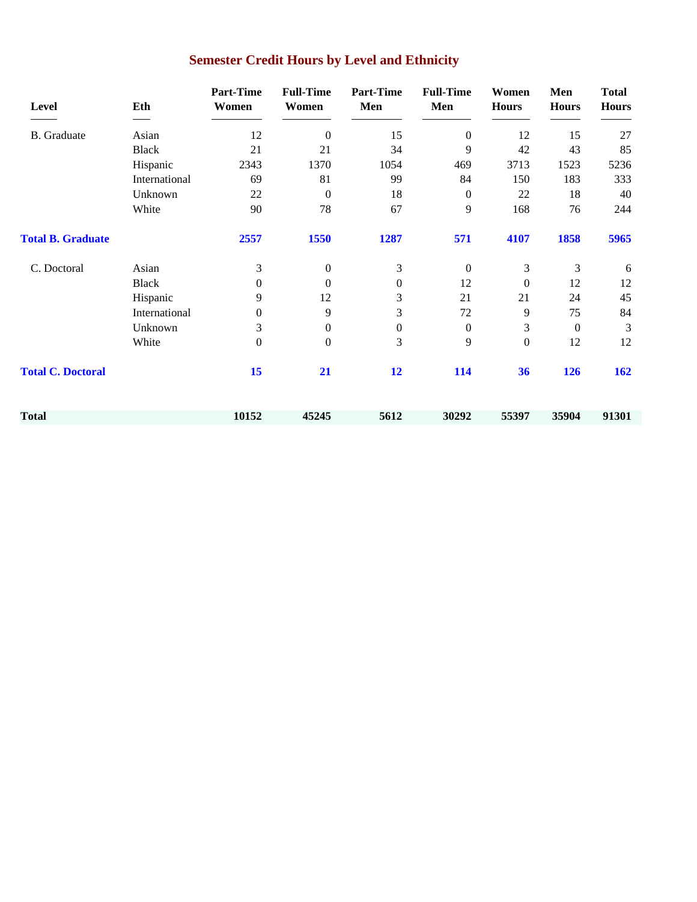| Level                    | Eth           | <b>Part-Time</b><br>Women | <b>Full-Time</b><br>Women | <b>Part-Time</b><br>Men | <b>Full-Time</b><br>Men | Women<br><b>Hours</b> | Men<br><b>Hours</b> | <b>Total</b><br><b>Hours</b> |
|--------------------------|---------------|---------------------------|---------------------------|-------------------------|-------------------------|-----------------------|---------------------|------------------------------|
| <b>B.</b> Graduate       | Asian         | 12                        | $\mathbf{0}$              | 15                      | $\boldsymbol{0}$        | 12                    | 15                  | 27                           |
|                          | <b>Black</b>  | 21                        | 21                        | 34                      | 9                       | 42                    | 43                  | 85                           |
|                          | Hispanic      | 2343                      | 1370                      | 1054                    | 469                     | 3713                  | 1523                | 5236                         |
|                          | International | 69                        | 81                        | 99                      | 84                      | 150                   | 183                 | 333                          |
|                          | Unknown       | 22                        | $\mathbf{0}$              | 18                      | $\boldsymbol{0}$        | 22                    | 18                  | 40                           |
|                          | White         | 90                        | 78                        | 67                      | 9                       | 168                   | 76                  | 244                          |
| <b>Total B. Graduate</b> |               | 2557                      | 1550                      | 1287                    | 571                     | 4107                  | 1858                | 5965                         |
| C. Doctoral              | Asian         | 3                         | $\mathbf{0}$              | 3                       | $\boldsymbol{0}$        | 3                     | 3                   | 6                            |
|                          | <b>Black</b>  | $\Omega$                  | $\mathbf{0}$              | $\boldsymbol{0}$        | 12                      | $\mathbf{0}$          | 12                  | 12                           |
|                          | Hispanic      | 9                         | 12                        | 3                       | 21                      | 21                    | 24                  | 45                           |
|                          | International | $\mathbf{0}$              | 9                         | 3                       | 72                      | 9                     | 75                  | 84                           |
|                          | Unknown       | 3                         | $\mathbf{0}$              | $\boldsymbol{0}$        | $\boldsymbol{0}$        | 3                     | $\mathbf{0}$        | $\mathfrak{Z}$               |
|                          | White         | $\Omega$                  | $\mathbf{0}$              | 3                       | 9                       | $\boldsymbol{0}$      | 12                  | 12                           |
| <b>Total C. Doctoral</b> |               | 15                        | 21                        | 12                      | 114                     | 36                    | 126                 | 162                          |
| <b>Total</b>             |               | 10152                     | 45245                     | 5612                    | 30292                   | 55397                 | 35904               | 91301                        |

# **Semester Credit Hours by Level and Ethnicity**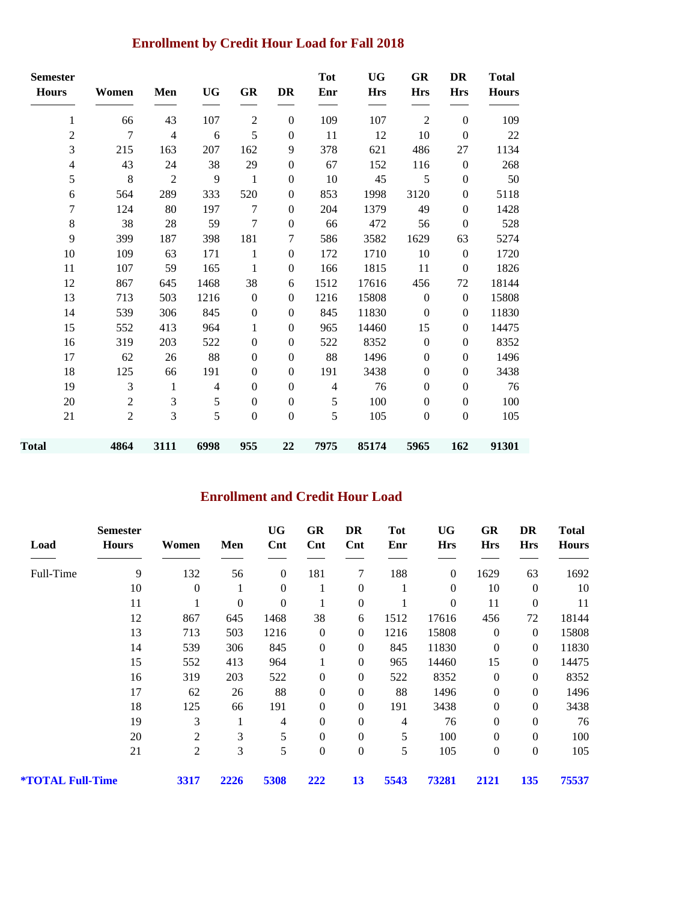## **Enrollment by Credit Hour Load for Fall 2018**

| <b>Semester</b><br><b>Hours</b> | Women          | Men            | <b>UG</b>      | GR               | <b>DR</b>        | <b>Tot</b><br>Enr | <b>UG</b><br><b>Hrs</b> | GR<br><b>Hrs</b> | DR<br><b>Hrs</b> | <b>Total</b><br><b>Hours</b> |
|---------------------------------|----------------|----------------|----------------|------------------|------------------|-------------------|-------------------------|------------------|------------------|------------------------------|
| 1                               | 66             | 43             | 107            | $\overline{2}$   | $\theta$         | 109               | 107                     | $\overline{2}$   | $\mathbf{0}$     | 109                          |
| $\overline{c}$                  | 7              | $\overline{4}$ | 6              | 5                | $\theta$         | 11                | 12                      | 10               | $\boldsymbol{0}$ | 22                           |
| 3                               | 215            | 163            | 207            | 162              | 9                | 378               | 621                     | 486              | 27               | 1134                         |
| 4                               | 43             | 24             | 38             | 29               | $\boldsymbol{0}$ | 67                | 152                     | 116              | $\boldsymbol{0}$ | 268                          |
| 5                               | $\,8\,$        | $\overline{2}$ | 9              | $\mathbf{1}$     | $\boldsymbol{0}$ | 10                | 45                      | $\mathfrak s$    | $\boldsymbol{0}$ | 50                           |
| 6                               | 564            | 289            | 333            | 520              | $\boldsymbol{0}$ | 853               | 1998                    | 3120             | $\boldsymbol{0}$ | 5118                         |
| 7                               | 124            | 80             | 197            | 7                | $\mathbf{0}$     | 204               | 1379                    | 49               | $\mathbf{0}$     | 1428                         |
| 8                               | 38             | 28             | 59             | $\tau$           | $\boldsymbol{0}$ | 66                | 472                     | 56               | $\boldsymbol{0}$ | 528                          |
| 9                               | 399            | 187            | 398            | 181              | 7                | 586               | 3582                    | 1629             | 63               | 5274                         |
| 10                              | 109            | 63             | 171            | 1                | $\mathbf{0}$     | 172               | 1710                    | 10               | $\boldsymbol{0}$ | 1720                         |
| 11                              | 107            | 59             | 165            | $\mathbf{1}$     | $\boldsymbol{0}$ | 166               | 1815                    | 11               | $\boldsymbol{0}$ | 1826                         |
| 12                              | 867            | 645            | 1468           | 38               | 6                | 1512              | 17616                   | 456              | 72               | 18144                        |
| 13                              | 713            | 503            | 1216           | $\boldsymbol{0}$ | $\boldsymbol{0}$ | 1216              | 15808                   | $\boldsymbol{0}$ | $\boldsymbol{0}$ | 15808                        |
| 14                              | 539            | 306            | 845            | $\boldsymbol{0}$ | $\theta$         | 845               | 11830                   | $\boldsymbol{0}$ | $\mathbf{0}$     | 11830                        |
| 15                              | 552            | 413            | 964            | 1                | $\mathbf{0}$     | 965               | 14460                   | 15               | $\boldsymbol{0}$ | 14475                        |
| 16                              | 319            | 203            | 522            | $\boldsymbol{0}$ | $\mathbf{0}$     | 522               | 8352                    | $\boldsymbol{0}$ | $\mathbf{0}$     | 8352                         |
| 17                              | 62             | 26             | 88             | $\mathbf{0}$     | $\mathbf{0}$     | 88                | 1496                    | $\mathbf{0}$     | $\mathbf{0}$     | 1496                         |
| 18                              | 125            | 66             | 191            | $\boldsymbol{0}$ | $\boldsymbol{0}$ | 191               | 3438                    | $\boldsymbol{0}$ | $\boldsymbol{0}$ | 3438                         |
| 19                              | 3              | 1              | $\overline{4}$ | $\mathbf{0}$     | $\mathbf{0}$     | $\overline{4}$    | 76                      | $\mathbf{0}$     | $\boldsymbol{0}$ | 76                           |
| 20                              | $\overline{2}$ | 3              | 5              | $\boldsymbol{0}$ | $\boldsymbol{0}$ | 5                 | 100                     | $\boldsymbol{0}$ | $\boldsymbol{0}$ | 100                          |
| 21                              | $\overline{2}$ | 3              | 5              | $\boldsymbol{0}$ | $\boldsymbol{0}$ | 5                 | 105                     | $\boldsymbol{0}$ | $\boldsymbol{0}$ | 105                          |
| <b>Total</b>                    | 4864           | 3111           | 6998           | 955              | 22               | 7975              | 85174                   | 5965             | 162              | 91301                        |

### **Enrollment and Credit Hour Load**

| Load             | <b>Semester</b><br><b>Hours</b> | Women          | Men              | <b>UG</b><br>$\mathbf{Cnt}$ | GR<br>$\mathbf{Cnt}$ | DR<br>Cnt        | <b>Tot</b><br>Enr | UG<br><b>Hrs</b> | GR<br><b>Hrs</b> | DR<br><b>Hrs</b> | <b>Total</b><br><b>Hours</b> |
|------------------|---------------------------------|----------------|------------------|-----------------------------|----------------------|------------------|-------------------|------------------|------------------|------------------|------------------------------|
| Full-Time        | 9                               | 132            | 56               | $\boldsymbol{0}$            | 181                  | 7                | 188               | $\boldsymbol{0}$ | 1629             | 63               | 1692                         |
|                  | 10                              | $\theta$       | 1                | $\boldsymbol{0}$            |                      | $\boldsymbol{0}$ |                   | $\overline{0}$   | 10               | $\overline{0}$   | 10                           |
|                  | 11                              |                | $\boldsymbol{0}$ | $\boldsymbol{0}$            |                      | $\boldsymbol{0}$ |                   | $\boldsymbol{0}$ | 11               | $\boldsymbol{0}$ | 11                           |
|                  | 12                              | 867            | 645              | 1468                        | 38                   | 6                | 1512              | 17616            | 456              | 72               | 18144                        |
|                  | 13                              | 713            | 503              | 1216                        | $\theta$             | $\mathbf{0}$     | 1216              | 15808            | $\boldsymbol{0}$ | $\mathbf{0}$     | 15808                        |
|                  | 14                              | 539            | 306              | 845                         | $\theta$             | $\boldsymbol{0}$ | 845               | 11830            | $\boldsymbol{0}$ | $\mathbf{0}$     | 11830                        |
|                  | 15                              | 552            | 413              | 964                         |                      | $\boldsymbol{0}$ | 965               | 14460            | 15               | $\overline{0}$   | 14475                        |
|                  | 16                              | 319            | 203              | 522                         | $\overline{0}$       | $\boldsymbol{0}$ | 522               | 8352             | $\boldsymbol{0}$ | $\boldsymbol{0}$ | 8352                         |
|                  | 17                              | 62             | 26               | 88                          | $\mathbf{0}$         | $\boldsymbol{0}$ | 88                | 1496             | $\boldsymbol{0}$ | $\overline{0}$   | 1496                         |
|                  | 18                              | 125            | 66               | 191                         | $\overline{0}$       | $\boldsymbol{0}$ | 191               | 3438             | $\boldsymbol{0}$ | $\mathbf{0}$     | 3438                         |
|                  | 19                              | 3              | 1                | 4                           | $\overline{0}$       | $\overline{0}$   | 4                 | 76               | $\boldsymbol{0}$ | $\overline{0}$   | 76                           |
|                  | 20                              | 2              | 3                | 5                           | $\theta$             | $\overline{0}$   | 5                 | 100              | $\overline{0}$   | $\overline{0}$   | 100                          |
|                  | 21                              | $\overline{2}$ | 3                | 5                           | $\mathbf{0}$         | $\boldsymbol{0}$ | 5                 | 105              | $\boldsymbol{0}$ | $\overline{0}$   | 105                          |
| *TOTAL Full-Time |                                 | 3317           | 2226             | 5308                        | 222                  | 13               | 5543              | 73281            | 2121             | 135              | 75537                        |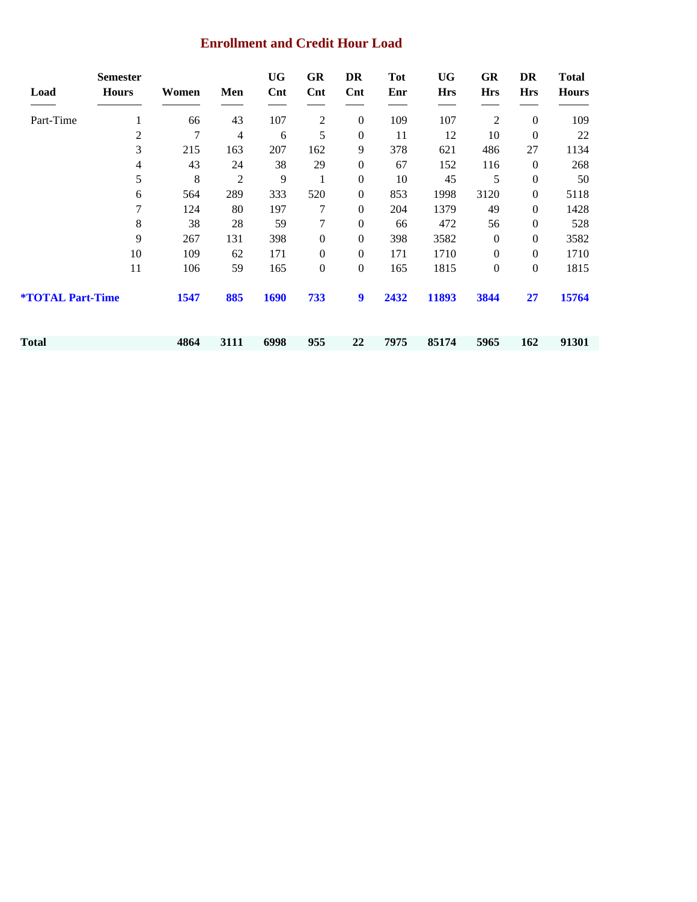### **Enrollment and Credit Hour Load**

| Load                           | <b>Semester</b><br><b>Hours</b> | Women | Men            | <b>UG</b><br>$\mathbf{Cnt}$ | <b>GR</b><br>$\mathbf{Cnt}$ | DR<br>$\mathbf{Cnt}$ | <b>Tot</b><br>Enr | <b>UG</b><br><b>Hrs</b> | GR<br><b>Hrs</b> | DR<br><b>Hrs</b> | <b>Total</b><br><b>Hours</b> |
|--------------------------------|---------------------------------|-------|----------------|-----------------------------|-----------------------------|----------------------|-------------------|-------------------------|------------------|------------------|------------------------------|
| Part-Time                      | 1                               | 66    | 43             | 107                         | 2                           | $\mathbf{0}$         | 109               | 107                     | $\overline{c}$   | $\boldsymbol{0}$ | 109                          |
|                                | 2                               | 7     | $\overline{4}$ | 6                           | 5                           | $\mathbf{0}$         | 11                | 12                      | 10               | $\boldsymbol{0}$ | 22                           |
|                                | 3                               | 215   | 163            | 207                         | 162                         | 9                    | 378               | 621                     | 486              | 27               | 1134                         |
|                                | 4                               | 43    | 24             | 38                          | 29                          | $\boldsymbol{0}$     | 67                | 152                     | 116              | $\theta$         | 268                          |
|                                | 5                               | 8     | $\overline{c}$ | 9                           | 1                           | $\boldsymbol{0}$     | 10                | 45                      | 5                | $\boldsymbol{0}$ | 50                           |
|                                | 6                               | 564   | 289            | 333                         | 520                         | $\boldsymbol{0}$     | 853               | 1998                    | 3120             | $\overline{0}$   | 5118                         |
|                                | 7                               | 124   | 80             | 197                         | 7                           | $\boldsymbol{0}$     | 204               | 1379                    | 49               | $\overline{0}$   | 1428                         |
|                                | 8                               | 38    | 28             | 59                          | 7                           | $\boldsymbol{0}$     | 66                | 472                     | 56               | $\theta$         | 528                          |
|                                | 9                               | 267   | 131            | 398                         | $\boldsymbol{0}$            | $\boldsymbol{0}$     | 398               | 3582                    | $\boldsymbol{0}$ | $\overline{0}$   | 3582                         |
|                                | 10                              | 109   | 62             | 171                         | $\boldsymbol{0}$            | $\mathbf{0}$         | 171               | 1710                    | $\boldsymbol{0}$ | $\overline{0}$   | 1710                         |
|                                | 11                              | 106   | 59             | 165                         | $\boldsymbol{0}$            | $\boldsymbol{0}$     | 165               | 1815                    | $\boldsymbol{0}$ | $\boldsymbol{0}$ | 1815                         |
| <b><i>*TOTAL Part-Time</i></b> |                                 | 1547  | 885            | 1690                        | 733                         | 9                    | 2432              | 11893                   | 3844             | 27               | 15764                        |
| Total                          |                                 | 4864  | 3111           | 6998                        | 955                         | 22                   | 7975              | 85174                   | 5965             | 162              | 91301                        |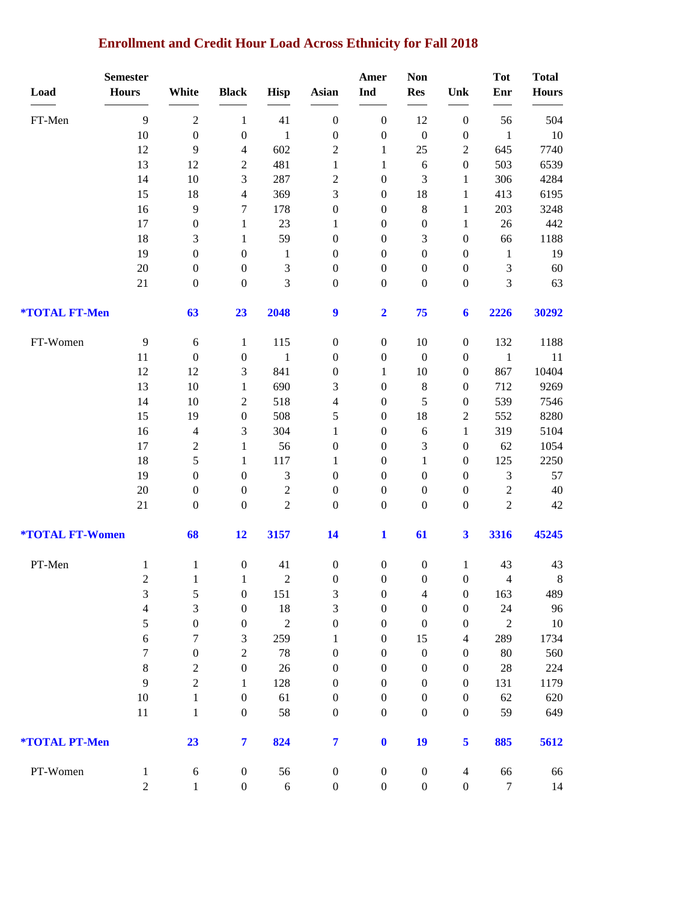# **Enrollment and Credit Hour Load Across Ethnicity for Fall 2018**

|                               | <b>Semester</b> |                  |                         |               |                                      | Amer                                 | <b>Non</b>                           |                                      | <b>Tot</b>       | <b>Total</b> |
|-------------------------------|-----------------|------------------|-------------------------|---------------|--------------------------------------|--------------------------------------|--------------------------------------|--------------------------------------|------------------|--------------|
| Load                          | <b>Hours</b>    | White            | <b>Black</b>            | <b>Hisp</b>   | <b>Asian</b>                         | Ind                                  | <b>Res</b>                           | Unk                                  | Enr              | <b>Hours</b> |
| FT-Men                        | 9               | $\sqrt{2}$       | $\mathbf{1}$            | 41            | $\boldsymbol{0}$                     | $\boldsymbol{0}$                     | 12                                   | $\boldsymbol{0}$                     | 56               | 504          |
|                               | 10              | $\boldsymbol{0}$ | $\boldsymbol{0}$        | $\mathbf{1}$  | $\boldsymbol{0}$                     | $\boldsymbol{0}$                     | $\boldsymbol{0}$                     | $\boldsymbol{0}$                     | $\mathbf{1}$     | 10           |
|                               | 12              | $\overline{9}$   | 4                       | 602           | $\overline{c}$                       | $\mathbf{1}$                         | 25                                   | $\boldsymbol{2}$                     | 645              | 7740         |
|                               | 13              | 12               | $\overline{c}$          | 481           | $\mathbf{1}$                         | $\mathbf{1}$                         | 6                                    | $\boldsymbol{0}$                     | 503              | 6539         |
|                               | 14              | 10               | 3                       | 287           | $\overline{c}$                       | $\boldsymbol{0}$                     | 3                                    | $\mathbf{1}$                         | 306              | 4284         |
|                               | 15              | 18               | 4                       | 369           | 3                                    | $\boldsymbol{0}$                     | 18                                   | $\mathbf{1}$                         | 413              | 6195         |
|                               | 16              | $\overline{9}$   | 7                       | 178           | $\boldsymbol{0}$                     | $\boldsymbol{0}$                     | 8                                    | $\mathbf{1}$                         | 203              | 3248         |
|                               | 17              | $\boldsymbol{0}$ | $\mathbf{1}$            | 23            | $\mathbf{1}$                         | $\boldsymbol{0}$                     | $\boldsymbol{0}$                     | $\mathbf{1}$                         | 26               | 442          |
|                               | 18              | 3                | $\mathbf{1}$            | 59            | $\boldsymbol{0}$                     | $\boldsymbol{0}$                     | 3                                    | $\boldsymbol{0}$                     | 66               | 1188         |
|                               | 19              | $\boldsymbol{0}$ | $\boldsymbol{0}$        | $\mathbf{1}$  | $\boldsymbol{0}$                     | $\boldsymbol{0}$                     | $\boldsymbol{0}$                     | $\boldsymbol{0}$                     | $\mathbf{1}$     | 19           |
|                               | 20              | $\boldsymbol{0}$ | $\boldsymbol{0}$        | $\mathfrak 3$ | $\boldsymbol{0}$                     | $\boldsymbol{0}$                     | $\boldsymbol{0}$                     | $\boldsymbol{0}$                     | $\mathfrak{Z}$   | 60           |
|                               | 21              | $\boldsymbol{0}$ | $\boldsymbol{0}$        | 3             | $\boldsymbol{0}$                     | $\boldsymbol{0}$                     | $\boldsymbol{0}$                     | $\boldsymbol{0}$                     | $\mathfrak{Z}$   | 63           |
| *TOTAL FT-Men                 |                 | 63               | 23                      | 2048          | $\boldsymbol{9}$                     | $\overline{\mathbf{2}}$              | 75                                   | 6                                    | 2226             | 30292        |
| FT-Women                      | $\overline{9}$  | 6                | $\mathbf{1}$            | 115           | $\boldsymbol{0}$                     | $\boldsymbol{0}$                     | 10                                   | $\boldsymbol{0}$                     | 132              | 1188         |
|                               | 11              | $\boldsymbol{0}$ | $\boldsymbol{0}$        | $\mathbf{1}$  | $\boldsymbol{0}$                     | $\boldsymbol{0}$                     | $\boldsymbol{0}$                     | $\boldsymbol{0}$                     | $\mathbf{1}$     | 11           |
|                               | 12              | 12               | 3                       | 841           | $\boldsymbol{0}$                     | $\mathbf{1}$                         | 10                                   | $\boldsymbol{0}$                     | 867              | 10404        |
|                               | 13              | $10\,$           | $\mathbf{1}$            | 690           | 3                                    | $\boldsymbol{0}$                     | $\,$ 8 $\,$                          | $\boldsymbol{0}$                     | 712              | 9269         |
|                               | 14              | 10               | $\overline{c}$          | 518           | 4                                    | $\boldsymbol{0}$                     | 5                                    | $\boldsymbol{0}$                     | 539              | 7546         |
|                               | 15              | 19               | $\boldsymbol{0}$        | 508           | 5                                    | $\boldsymbol{0}$                     | 18                                   | $\boldsymbol{2}$                     | 552              | 8280         |
|                               | 16              | $\overline{4}$   | 3                       | 304           | $\mathbf{1}$                         | $\boldsymbol{0}$                     | 6                                    | $\mathbf{1}$                         | 319              | 5104         |
|                               | 17              | $\overline{2}$   | $\mathbf{1}$            | 56            | $\boldsymbol{0}$                     | $\boldsymbol{0}$                     | 3                                    | $\boldsymbol{0}$                     | 62               | 1054         |
|                               | 18              | $\sqrt{5}$       | $\mathbf{1}$            | 117           | 1                                    | $\boldsymbol{0}$                     | $\mathbf{1}$                         | $\boldsymbol{0}$                     | 125              | 2250         |
|                               | 19              | $\boldsymbol{0}$ | $\boldsymbol{0}$        | $\mathfrak 3$ | $\boldsymbol{0}$                     | $\boldsymbol{0}$                     | $\boldsymbol{0}$                     | $\mathbf{0}$                         | $\mathfrak{Z}$   | 57           |
|                               | 20              | $\boldsymbol{0}$ | $\boldsymbol{0}$        | $\sqrt{2}$    | $\boldsymbol{0}$                     | $\boldsymbol{0}$                     | $\boldsymbol{0}$                     | $\boldsymbol{0}$                     | $\sqrt{2}$       | 40           |
|                               | 21              | $\boldsymbol{0}$ | $\boldsymbol{0}$        | $\sqrt{2}$    | $\boldsymbol{0}$                     | $\boldsymbol{0}$                     | $\boldsymbol{0}$                     | $\boldsymbol{0}$                     | $\sqrt{2}$       | $42\,$       |
| <b><i>*TOTAL FT-Women</i></b> |                 | 68               | 12                      | 3157          | 14                                   | $\mathbf{1}$                         | 61                                   | $\overline{\mathbf{3}}$              | 3316             | 45245        |
| PT-Men                        | $\mathbf{1}$    | $\mathbf{1}$     | $\boldsymbol{0}$        | 41            | $\boldsymbol{0}$                     | $\boldsymbol{0}$                     | $\boldsymbol{0}$                     | $\mathbf{1}$                         | 43               | 43           |
|                               | $\overline{c}$  | $\mathbf{1}$     | $\mathbf{1}$            | $\mathcal{D}$ | $\boldsymbol{0}$                     | $\boldsymbol{0}$                     | $\boldsymbol{0}$                     | $\overline{0}$                       | $\overline{4}$   | 8            |
|                               | 3               | $\sqrt{5}$       | $\boldsymbol{0}$        | 151           | 3                                    | $\boldsymbol{0}$                     | 4                                    | $\boldsymbol{0}$                     | 163              | 489          |
|                               | $\overline{4}$  | $\mathfrak{Z}$   | $\boldsymbol{0}$        | 18            | 3                                    | $\boldsymbol{0}$                     | $\boldsymbol{0}$                     | $\boldsymbol{0}$                     | 24               | 96           |
|                               | 5               | $\boldsymbol{0}$ | $\boldsymbol{0}$        | $\sqrt{2}$    | $\boldsymbol{0}$                     | $\boldsymbol{0}$                     | $\boldsymbol{0}$                     | $\boldsymbol{0}$                     | $\sqrt{2}$       | 10           |
|                               | $\sqrt{6}$      | 7                | 3                       | 259           | 1                                    | $\boldsymbol{0}$                     | 15                                   | $\overline{4}$                       | 289              | 1734         |
|                               | 7               | $\boldsymbol{0}$ | $\overline{2}$          | 78            | $\boldsymbol{0}$                     | $\boldsymbol{0}$                     | $\boldsymbol{0}$                     | $\boldsymbol{0}$                     | 80               | 560          |
|                               | $\,8\,$         | $\sqrt{2}$       | $\boldsymbol{0}$        | 26            | $\boldsymbol{0}$                     | $\boldsymbol{0}$                     | $\boldsymbol{0}$                     | $\boldsymbol{0}$                     | $28\,$           | 224          |
|                               | 9               | $\sqrt{2}$       | 1                       | 128           | $\boldsymbol{0}$                     | $\boldsymbol{0}$                     | $\boldsymbol{0}$                     | $\boldsymbol{0}$                     | 131              | 1179         |
|                               | $10\,$<br>11    | $\,1$            | $\boldsymbol{0}$        | 61<br>58      | $\boldsymbol{0}$<br>$\boldsymbol{0}$ | $\boldsymbol{0}$<br>$\boldsymbol{0}$ | $\boldsymbol{0}$<br>$\boldsymbol{0}$ | $\boldsymbol{0}$<br>$\boldsymbol{0}$ | 62<br>59         | 620<br>649   |
|                               |                 | $\mathbf{1}$     | $\boldsymbol{0}$        |               |                                      |                                      |                                      |                                      |                  |              |
| *TOTAL PT-Men                 |                 | 23               | $\overline{\mathbf{7}}$ | 824           | $\overline{7}$                       | $\boldsymbol{0}$                     | 19                                   | 5                                    | 885              | 5612         |
| PT-Women                      | $\mathbf{1}$    | $\sqrt{6}$       | $\boldsymbol{0}$        | 56            | $\boldsymbol{0}$                     | $\boldsymbol{0}$                     | $\boldsymbol{0}$                     | $\overline{4}$                       | 66               | 66           |
|                               | $\overline{2}$  | $\,1$            | $\boldsymbol{0}$        | $\sqrt{6}$    | $\boldsymbol{0}$                     | $\boldsymbol{0}$                     | $\boldsymbol{0}$                     | $\boldsymbol{0}$                     | $\boldsymbol{7}$ | 14           |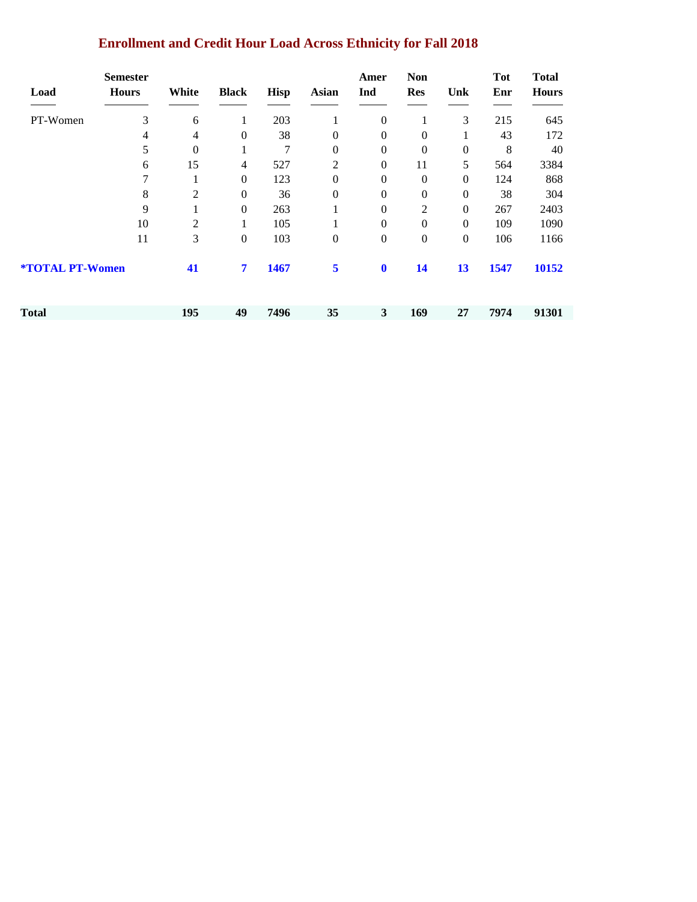| <b>Enrollment and Credit Hour Load Across Ethnicity for Fall 2018</b> |  |  |
|-----------------------------------------------------------------------|--|--|
|                                                                       |  |  |

| Load                          | <b>Semester</b><br><b>Hours</b> | White          | <b>Black</b>     | <b>Hisp</b> | <b>Asian</b>     | Amer<br>Ind      | <b>Non</b><br><b>Res</b> | Unk              | <b>Tot</b><br>Enr | <b>Total</b><br><b>Hours</b> |
|-------------------------------|---------------------------------|----------------|------------------|-------------|------------------|------------------|--------------------------|------------------|-------------------|------------------------------|
| PT-Women                      | 3                               | 6              | 1                | 203         | 1                | $\boldsymbol{0}$ | 1                        | 3                | 215               | 645                          |
|                               | $\overline{4}$                  | 4              | $\mathbf{0}$     | 38          | $\boldsymbol{0}$ | $\mathbf{0}$     | $\boldsymbol{0}$         | $\mathbf{1}$     | 43                | 172                          |
|                               | 5                               | $\mathbf{0}$   | 1                | 7           | $\boldsymbol{0}$ | $\boldsymbol{0}$ | $\boldsymbol{0}$         | $\boldsymbol{0}$ | 8                 | 40                           |
|                               | 6                               | 15             | 4                | 527         | $\overline{2}$   | $\boldsymbol{0}$ | 11                       | 5                | 564               | 3384                         |
|                               | 7                               | 1              | $\theta$         | 123         | $\boldsymbol{0}$ | $\boldsymbol{0}$ | $\boldsymbol{0}$         | $\boldsymbol{0}$ | 124               | 868                          |
|                               | 8                               | $\mathfrak{2}$ | $\boldsymbol{0}$ | 36          | $\boldsymbol{0}$ | $\boldsymbol{0}$ | $\boldsymbol{0}$         | $\boldsymbol{0}$ | 38                | 304                          |
|                               | 9                               |                | $\boldsymbol{0}$ | 263         | 1                | $\boldsymbol{0}$ | $\mathfrak{2}$           | $\boldsymbol{0}$ | 267               | 2403                         |
|                               | 10                              | 2              | 1                | 105         | 1                | $\boldsymbol{0}$ | $\boldsymbol{0}$         | $\boldsymbol{0}$ | 109               | 1090                         |
|                               | 11                              | 3              | $\boldsymbol{0}$ | 103         | $\boldsymbol{0}$ | $\boldsymbol{0}$ | $\mathbf{0}$             | $\boldsymbol{0}$ | 106               | 1166                         |
| <b><i>*TOTAL PT-Women</i></b> |                                 | 41             | 7                | 1467        | 5                | $\bf{0}$         | 14                       | 13               | 1547              | 10152                        |
| <b>Total</b>                  |                                 | 195            | 49               | 7496        | 35               | $\mathbf{3}$     | 169                      | 27               | 7974              | 91301                        |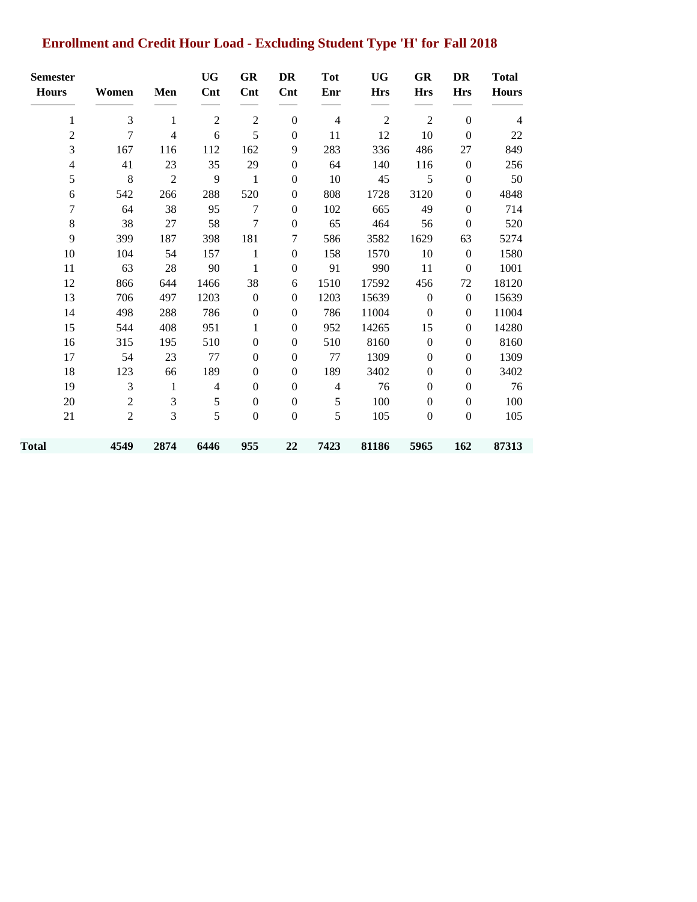# **Enrollment and Credit Hour Load - Excluding Student Type 'H' for Fall 2018**

| <b>Semester</b><br><b>Hours</b> | Women          | Men            | <b>UG</b><br>$\mathbf{Cnt}$ | GR<br>$\mathbf{Cnt}$ | DR<br>Cnt        | <b>Tot</b><br>Enr | <b>UG</b><br><b>Hrs</b> | GR<br><b>Hrs</b> | DR<br><b>Hrs</b> | <b>Total</b><br><b>Hours</b> |
|---------------------------------|----------------|----------------|-----------------------------|----------------------|------------------|-------------------|-------------------------|------------------|------------------|------------------------------|
| $\mathbf{1}$                    | $\mathfrak{Z}$ | 1              | $\mathbf{2}$                | $\mathfrak{2}$       | $\boldsymbol{0}$ | $\overline{4}$    | $\mathfrak{2}$          | $\overline{2}$   | $\overline{0}$   | $\overline{4}$               |
| $\overline{c}$                  | 7              | 4              | 6                           | 5                    | $\boldsymbol{0}$ | 11                | 12                      | 10               | $\mathbf{0}$     | 22                           |
| 3                               | 167            | 116            | 112                         | 162                  | 9                | 283               | 336                     | 486              | 27               | 849                          |
| 4                               | 41             | 23             | 35                          | 29                   | $\boldsymbol{0}$ | 64                | 140                     | 116              | $\boldsymbol{0}$ | 256                          |
| 5                               | $\,$ 8 $\,$    | $\mathfrak{2}$ | 9                           | 1                    | $\boldsymbol{0}$ | 10                | 45                      | 5                | $\boldsymbol{0}$ | 50                           |
| 6                               | 542            | 266            | 288                         | 520                  | $\boldsymbol{0}$ | 808               | 1728                    | 3120             | $\boldsymbol{0}$ | 4848                         |
| 7                               | 64             | 38             | 95                          | 7                    | $\boldsymbol{0}$ | 102               | 665                     | 49               | $\boldsymbol{0}$ | 714                          |
| $8\,$                           | 38             | 27             | 58                          | $\tau$               | $\boldsymbol{0}$ | 65                | 464                     | 56               | $\boldsymbol{0}$ | 520                          |
| 9                               | 399            | 187            | 398                         | 181                  | 7                | 586               | 3582                    | 1629             | 63               | 5274                         |
| 10                              | 104            | 54             | 157                         | $\mathbf{1}$         | $\mathbf{0}$     | 158               | 1570                    | 10               | $\boldsymbol{0}$ | 1580                         |
| 11                              | 63             | 28             | 90                          | 1                    | $\boldsymbol{0}$ | 91                | 990                     | 11               | $\boldsymbol{0}$ | 1001                         |
| 12                              | 866            | 644            | 1466                        | 38                   | 6                | 1510              | 17592                   | 456              | 72               | 18120                        |
| 13                              | 706            | 497            | 1203                        | $\boldsymbol{0}$     | $\boldsymbol{0}$ | 1203              | 15639                   | $\boldsymbol{0}$ | $\boldsymbol{0}$ | 15639                        |
| 14                              | 498            | 288            | 786                         | $\boldsymbol{0}$     | $\boldsymbol{0}$ | 786               | 11004                   | $\boldsymbol{0}$ | $\boldsymbol{0}$ | 11004                        |
| 15                              | 544            | 408            | 951                         | 1                    | $\mathbf{0}$     | 952               | 14265                   | 15               | $\mathbf{0}$     | 14280                        |
| 16                              | 315            | 195            | 510                         | $\mathbf{0}$         | $\boldsymbol{0}$ | 510               | 8160                    | $\boldsymbol{0}$ | $\boldsymbol{0}$ | 8160                         |
| 17                              | 54             | 23             | 77                          | $\mathbf{0}$         | $\boldsymbol{0}$ | 77                | 1309                    | $\boldsymbol{0}$ | $\boldsymbol{0}$ | 1309                         |
| 18                              | 123            | 66             | 189                         | $\boldsymbol{0}$     | $\boldsymbol{0}$ | 189               | 3402                    | $\boldsymbol{0}$ | $\boldsymbol{0}$ | 3402                         |
| 19                              | 3              | $\mathbf{1}$   | $\overline{4}$              | $\mathbf{0}$         | $\boldsymbol{0}$ | $\overline{4}$    | 76                      | $\boldsymbol{0}$ | $\boldsymbol{0}$ | 76                           |
| 20                              | $\overline{2}$ | 3              | 5                           | $\boldsymbol{0}$     | $\boldsymbol{0}$ | 5                 | 100                     | $\boldsymbol{0}$ | $\boldsymbol{0}$ | 100                          |
| 21                              | $\overline{2}$ | 3              | 5                           | $\boldsymbol{0}$     | $\boldsymbol{0}$ | 5                 | 105                     | $\boldsymbol{0}$ | $\boldsymbol{0}$ | 105                          |
| Total                           | 4549           | 2874           | 6446                        | 955                  | 22               | 7423              | 81186                   | 5965             | 162              | 87313                        |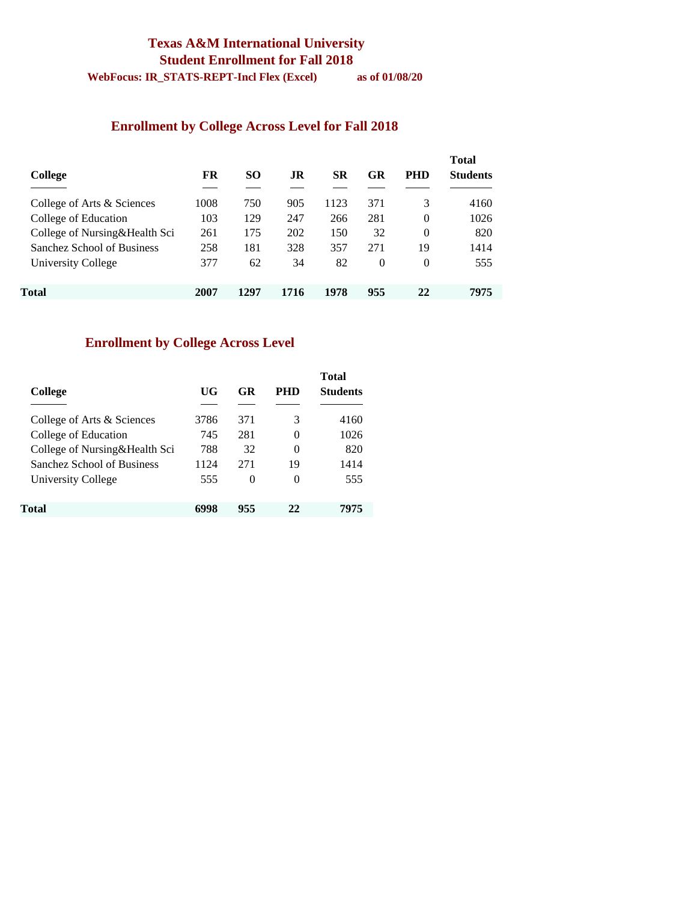## **Texas A&M International University Student Enrollment for Fall 2018**

**WebFocus: IR\_STATS-REPT-Incl Flex (Excel) as of 01/08/20** 

### **Enrollment by College Across Level for Fall 2018**

| College                       | FR   | SO.  | .IR  | SR   | GR       | <b>PHD</b> | <b>Total</b><br><b>Students</b> |
|-------------------------------|------|------|------|------|----------|------------|---------------------------------|
| College of Arts & Sciences    | 1008 | 750  | 905  | 1123 | 371      | 3          | 4160                            |
| College of Education          | 103  | 129  | 247  | 266  | 281      | $\Omega$   | 1026                            |
| College of Nursing&Health Sci | 261  | 175  | 202  | 150  | 32       | $\Omega$   | 820                             |
| Sanchez School of Business    | 258  | 181  | 328  | 357  | 271      | 19         | 1414                            |
| University College            | 377  | 62   | 34   | 82   | $\theta$ | $\Omega$   | 555                             |
| Total                         | 2007 | 1297 | 1716 | 1978 | 955      | 22         | 7975                            |

### **Enrollment by College Across Level**

| College                       | UG   | GR       | PHD | <b>Total</b><br><b>Students</b> |
|-------------------------------|------|----------|-----|---------------------------------|
|                               |      |          |     |                                 |
| College of Arts & Sciences    | 3786 | 371      | 3   | 4160                            |
| College of Education          | 745  | 281      | 0   | 1026                            |
| College of Nursing&Health Sci | 788  | 32       | 0   | 820                             |
| Sanchez School of Business    | 1124 | 271      | 19  | 1414                            |
| University College            | 555  | $\theta$ | 0   | 555                             |
| Total                         | 6998 | 955      | 22  | 7975                            |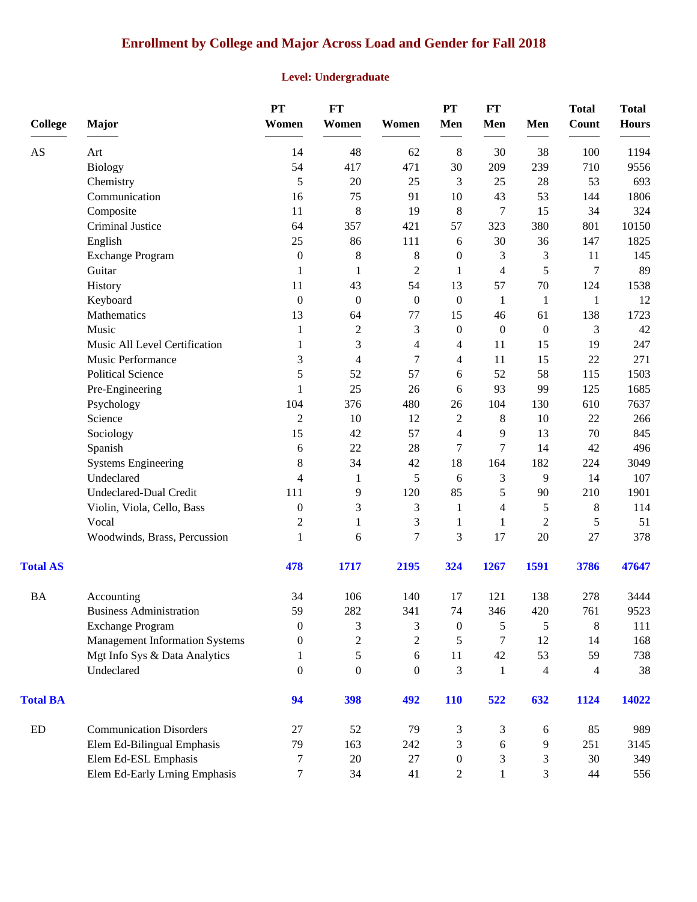# **Enrollment by College and Major Across Load and Gender for Fall 2018**

### **Level: Undergraduate**

| <b>College</b>             | Major                                 | PT<br>Women      | <b>FT</b><br>Women | Women          | PT<br>Men        | FT<br>Men        | Men                      | <b>Total</b><br>Count    | <b>Total</b><br><b>Hours</b> |
|----------------------------|---------------------------------------|------------------|--------------------|----------------|------------------|------------------|--------------------------|--------------------------|------------------------------|
| AS                         | Art                                   | 14               | 48                 | 62             | $\,8\,$          | 30               | 38                       | 100                      | 1194                         |
|                            | <b>Biology</b>                        | 54               | 417                | 471            | 30               | 209              | 239                      | 710                      | 9556                         |
|                            | Chemistry                             | 5                | 20                 | 25             | 3                | 25               | 28                       | 53                       | 693                          |
|                            | Communication                         | 16               | 75                 | 91             | 10               | 43               | 53                       | 144                      | 1806                         |
|                            | Composite                             | 11               | 8                  | 19             | 8                | 7                | 15                       | 34                       | 324                          |
|                            | Criminal Justice                      | 64               | 357                | 421            | 57               | 323              | 380                      | 801                      | 10150                        |
|                            | English                               | 25               | 86                 | 111            | 6                | 30               | 36                       | 147                      | 1825                         |
|                            | <b>Exchange Program</b>               | $\boldsymbol{0}$ | $\,8\,$            | 8              | $\boldsymbol{0}$ | 3                | 3                        | 11                       | 145                          |
|                            | Guitar                                | 1                | 1                  | $\overline{c}$ | 1                | $\overline{4}$   | 5                        | 7                        | 89                           |
|                            | History                               | 11               | 43                 | 54             | 13               | 57               | $70\,$                   | 124                      | 1538                         |
|                            | Keyboard                              | $\theta$         | $\boldsymbol{0}$   | $\overline{0}$ | $\boldsymbol{0}$ | 1                | $\mathbf{1}$             | 1                        | 12                           |
|                            | Mathematics                           | 13               | 64                 | 77             | 15               | 46               | 61                       | 138                      | 1723                         |
|                            | Music                                 | 1                | $\sqrt{2}$         | 3              | $\boldsymbol{0}$ | $\boldsymbol{0}$ | $\boldsymbol{0}$         | 3                        | 42                           |
|                            | Music All Level Certification         |                  | 3                  | 4              | 4                | 11               | 15                       | 19                       | 247                          |
|                            | Music Performance                     | 3                | 4                  | 7              | 4                | 11               | 15                       | 22                       | 271                          |
|                            | <b>Political Science</b>              | 5                | 52                 | 57             | 6                | 52               | 58                       | 115                      | 1503                         |
|                            | Pre-Engineering                       | 1                | 25                 | 26             | 6                | 93               | 99                       | 125                      | 1685                         |
|                            | Psychology                            | 104              | 376                | 480            | 26               | 104              | 130                      | 610                      | 7637                         |
|                            | Science                               | $\overline{c}$   | 10                 | 12             | $\mathbf{2}$     | $\,8\,$          | $10\,$                   | $22\,$                   | 266                          |
|                            | Sociology                             | 15               | 42                 | 57             | 4                | 9                | 13                       | $70\,$                   | 845                          |
|                            | Spanish                               | 6                | 22                 | 28             | 7                | 7                | 14                       | 42                       | 496                          |
|                            | <b>Systems Engineering</b>            | $\,8\,$          | 34                 | 42             | 18               | 164              | 182                      | 224                      | 3049                         |
|                            | Undeclared                            | 4                | 1                  | 5              | 6                | 3                | 9                        | 14                       | 107                          |
|                            | Undeclared-Dual Credit                | 111              | 9                  | 120            | 85               | 5                | 90                       | 210                      | 1901                         |
|                            | Violin, Viola, Cello, Bass            | $\boldsymbol{0}$ | 3                  | 3              | 1                | 4                | 5                        | $8\,$                    | 114                          |
|                            | Vocal                                 | $\overline{c}$   | $\mathbf{1}$       | 3              | 1                | 1                | $\mathbf{2}$             | 5                        | 51                           |
|                            | Woodwinds, Brass, Percussion          | 1                | 6                  | $\overline{7}$ | 3                | 17               | 20                       | 27                       | 378                          |
| <b>Total AS</b>            |                                       | 478              | 1717               | 2195           | 324              | 1267             | 1591                     | 3786                     | 47647                        |
| <b>BA</b>                  | Accounting                            | 34               | 106                | 140            | 17               | 121              | 138                      | 278                      | 3444                         |
|                            | <b>Business Administration</b>        | 59               | 282                | 341            | 74               | 346              | 420                      | 761                      | 9523                         |
|                            | <b>Exchange Program</b>               | $\mathbf{0}$     | 3                  | 3              | $\boldsymbol{0}$ | 5                | 5                        | 8                        | 111                          |
|                            | <b>Management Information Systems</b> | $\Omega$         | $\overline{2}$     | $\overline{2}$ | 5                | $\tau$           | 12                       | 14                       | 168                          |
|                            | Mgt Info Sys & Data Analytics         | 1                | 5                  | 6              | 11               | 42               | 53                       | 59                       | 738                          |
|                            | Undeclared                            | $\Omega$         | $\theta$           | $\overline{0}$ | 3                | $\mathbf{1}$     | $\overline{\mathcal{A}}$ | $\overline{\mathcal{A}}$ | 38                           |
| <b>Total BA</b>            |                                       | 94               | 398                | 492            | <b>110</b>       | 522              | 632                      | 1124                     | 14022                        |
| $\mathop{\rm ED}\nolimits$ | <b>Communication Disorders</b>        | 27               | 52                 | 79             | 3                | 3                | 6                        | 85                       | 989                          |
|                            | Elem Ed-Bilingual Emphasis            | 79               | 163                | 242            | 3                | 6                | 9                        | 251                      | 3145                         |
|                            | Elem Ed-ESL Emphasis                  | 7                | 20                 | 27             | $\boldsymbol{0}$ | 3                | 3                        | 30                       | 349                          |
|                            | Elem Ed-Early Lrning Emphasis         | 7                | 34                 | 41             | $\overline{2}$   | $\mathbf{1}$     | 3                        | 44                       | 556                          |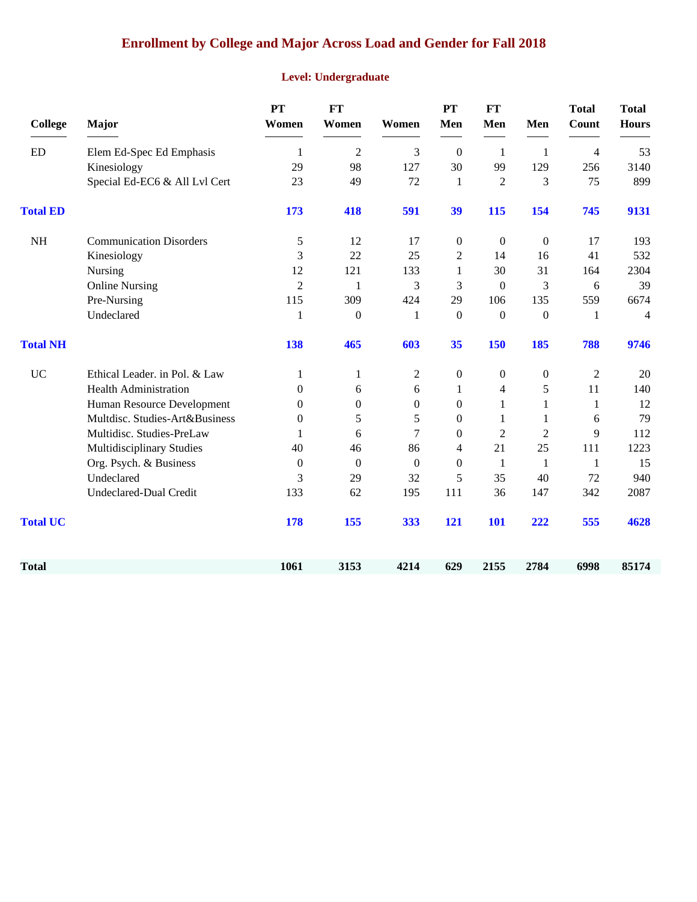## **Enrollment by College and Major Across Load and Gender for Fall 2018**

### **Level: Undergraduate**

| <b>College</b>  | Major                          | <b>PT</b><br>Women | <b>FT</b><br>Women | Women            | <b>PT</b><br>Men | <b>FT</b><br>Men | Men              | <b>Total</b><br>Count | <b>Total</b><br><b>Hours</b> |
|-----------------|--------------------------------|--------------------|--------------------|------------------|------------------|------------------|------------------|-----------------------|------------------------------|
| <b>ED</b>       | Elem Ed-Spec Ed Emphasis       | 1                  | $\overline{2}$     | 3                | $\mathbf{0}$     | -1               | 1                | $\overline{4}$        | 53                           |
|                 | Kinesiology                    | 29                 | 98                 | 127              | 30               | 99               | 129              | 256                   | 3140                         |
|                 | Special Ed-EC6 & All Lvl Cert  | 23                 | 49                 | 72               | $\mathbf{1}$     | $\overline{2}$   | 3                | 75                    | 899                          |
| <b>Total ED</b> |                                | 173                | 418                | 591              | 39               | 115              | 154              | 745                   | 9131                         |
| <b>NH</b>       | <b>Communication Disorders</b> | 5                  | 12                 | 17               | $\boldsymbol{0}$ | $\boldsymbol{0}$ | $\boldsymbol{0}$ | 17                    | 193                          |
|                 | Kinesiology                    | 3                  | 22                 | 25               | $\overline{2}$   | 14               | 16               | 41                    | 532                          |
|                 | Nursing                        | 12                 | 121                | 133              | 1                | 30               | 31               | 164                   | 2304                         |
|                 | <b>Online Nursing</b>          | $\overline{2}$     | -1                 | 3                | 3                | $\boldsymbol{0}$ | 3                | 6                     | 39                           |
|                 | Pre-Nursing                    | 115                | 309                | 424              | 29               | 106              | 135              | 559                   | 6674                         |
|                 | Undeclared                     | 1                  | $\boldsymbol{0}$   | 1                | $\boldsymbol{0}$ | $\boldsymbol{0}$ | $\boldsymbol{0}$ | 1                     | 4                            |
| <b>Total NH</b> |                                | 138                | 465                | 603              | 35               | 150              | 185              | 788                   | 9746                         |
| <b>UC</b>       | Ethical Leader. in Pol. & Law  | 1                  | 1                  | $\overline{c}$   | $\mathbf{0}$     | $\boldsymbol{0}$ | $\boldsymbol{0}$ | $\overline{c}$        | 20                           |
|                 | <b>Health Administration</b>   | $\overline{0}$     | 6                  | 6                | 1                | $\overline{4}$   | 5                | 11                    | 140                          |
|                 | Human Resource Development     | $\overline{0}$     | $\boldsymbol{0}$   | $\boldsymbol{0}$ | $\overline{0}$   | $\mathbf{1}$     | 1                | 1                     | 12                           |
|                 | Multdisc. Studies-Art&Business | $\theta$           | 5                  | 5                | $\Omega$         | 1                | 1                | 6                     | 79                           |
|                 | Multidisc. Studies-PreLaw      |                    | 6                  | 7                | $\Omega$         | $\overline{2}$   | 2                | 9                     | 112                          |
|                 | Multidisciplinary Studies      | 40                 | 46                 | 86               | 4                | 21               | 25               | 111                   | 1223                         |
|                 | Org. Psych. & Business         | $\theta$           | $\theta$           | $\Omega$         | $\Omega$         | $\mathbf{1}$     | 1                | $\mathbf{1}$          | 15                           |
|                 | Undeclared                     | 3                  | 29                 | 32               | 5                | 35               | 40               | 72                    | 940                          |
|                 | Undeclared-Dual Credit         | 133                | 62                 | 195              | 111              | 36               | 147              | 342                   | 2087                         |
| <b>Total UC</b> |                                | 178                | 155                | 333              | 121              | <b>101</b>       | 222              | 555                   | 4628                         |
| <b>Total</b>    |                                | 1061               | 3153               | 4214             | 629              | 2155             | 2784             | 6998                  | 85174                        |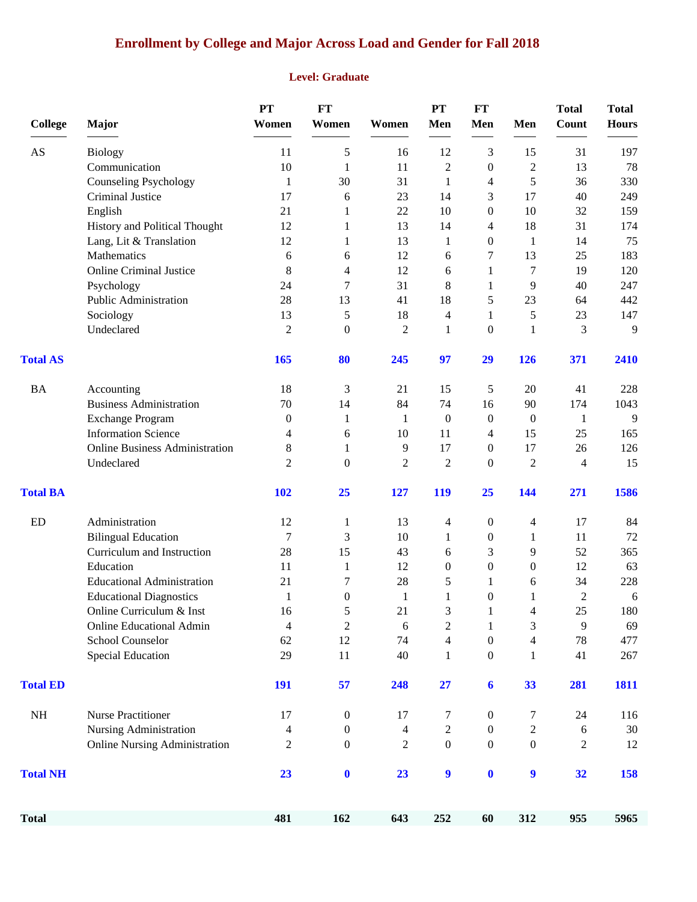# **Enrollment by College and Major Across Load and Gender for Fall 2018**

#### **Level: Graduate**

| <b>College</b>  | Major                                            | <b>PT</b><br>Women | <b>FT</b><br>Women       | Women            | PT<br>Men                                | <b>FT</b><br>Men                     | Men                 | <b>Total</b><br>Count | <b>Total</b><br><b>Hours</b> |
|-----------------|--------------------------------------------------|--------------------|--------------------------|------------------|------------------------------------------|--------------------------------------|---------------------|-----------------------|------------------------------|
|                 |                                                  |                    |                          |                  |                                          |                                      |                     |                       |                              |
| AS              | <b>Biology</b>                                   | 11                 | $\mathfrak s$            | 16               | 12                                       | 3                                    | 15                  | 31                    | 197                          |
|                 | Communication                                    | 10                 | $\mathbf{1}$             | 11               | $\overline{c}$<br>1                      | $\boldsymbol{0}$                     | $\overline{c}$<br>5 | 13<br>36              | 78                           |
|                 | <b>Counseling Psychology</b><br>Criminal Justice | $\mathbf{1}$<br>17 | 30<br>6                  | 31<br>23         | 14                                       | 4<br>3                               | 17                  | 40                    | 330<br>249                   |
|                 |                                                  | 21                 | 1                        | 22               | 10                                       | $\boldsymbol{0}$                     | 10                  | 32                    | 159                          |
|                 | English<br>History and Political Thought         | 12                 | 1                        | 13               | 14                                       | 4                                    | 18                  | 31                    | 174                          |
|                 | Lang, Lit & Translation                          | 12                 | 1                        | 13               | 1                                        | 0                                    | 1                   | 14                    | 75                           |
|                 | Mathematics                                      | 6                  | 6                        | 12               | 6                                        | 7                                    | 13                  | 25                    | 183                          |
|                 | <b>Online Criminal Justice</b>                   | 8                  | $\overline{\mathcal{A}}$ | 12               | 6                                        | 1                                    | 7                   | 19                    | 120                          |
|                 | Psychology                                       | 24                 | $\tau$                   | 31               | 8                                        | 1                                    | 9                   | 40                    | 247                          |
|                 | Public Administration                            | 28                 | 13                       | 41               | 18                                       | 5                                    | 23                  | 64                    | 442                          |
|                 | Sociology                                        | 13                 | 5                        | 18               | 4                                        | 1                                    | 5                   | 23                    | 147                          |
|                 | Undeclared                                       | $\overline{2}$     | $\boldsymbol{0}$         | $\overline{c}$   | 1                                        | $\mathbf{0}$                         | 1                   | 3                     | 9                            |
| <b>Total AS</b> |                                                  | 165                | 80                       | 245              | 97                                       | 29                                   | 126                 | 371                   | 2410                         |
| <b>BA</b>       | Accounting                                       | 18                 | 3                        | 21               | 15                                       | 5                                    | 20                  | 41                    | 228                          |
|                 | <b>Business Administration</b>                   | 70                 | 14                       | 84               | 74                                       | 16                                   | 90                  | 174                   | 1043                         |
|                 | <b>Exchange Program</b>                          | $\boldsymbol{0}$   | $\mathbf{1}$             | 1                | $\boldsymbol{0}$                         | $\boldsymbol{0}$                     | $\boldsymbol{0}$    | 1                     | 9                            |
|                 | <b>Information Science</b>                       | 4                  | 6                        | 10               | 11                                       | 4                                    | 15                  | 25                    | 165                          |
|                 | <b>Online Business Administration</b>            | 8                  | $\mathbf{1}$             | 9                | 17                                       | $\boldsymbol{0}$                     | 17                  | 26                    | 126                          |
|                 | Undeclared                                       | $\overline{2}$     | $\boldsymbol{0}$         | $\overline{2}$   | $\overline{2}$                           | $\boldsymbol{0}$                     | $\overline{2}$      | $\overline{4}$        | 15                           |
| <b>Total BA</b> |                                                  | <b>102</b>         | 25                       | 127              | 119                                      | 25                                   | 144                 | 271                   | 1586                         |
| ED              | Administration                                   | 12                 | $\mathbf{1}$             | 13               | 4                                        | $\boldsymbol{0}$                     | 4                   | 17                    | 84                           |
|                 | <b>Bilingual Education</b>                       | 7                  | 3                        | 10               | $\mathbf{1}$                             | $\boldsymbol{0}$                     | 1                   | 11                    | 72                           |
|                 | Curriculum and Instruction                       | 28                 | 15                       | 43               | 6                                        | 3                                    | 9                   | 52                    | 365                          |
|                 | Education                                        | 11                 | $\mathbf{1}$             | 12               | $\theta$                                 | $\boldsymbol{0}$                     | $\overline{0}$      | 12                    | 63                           |
|                 | <b>Educational Administration</b>                | 21                 | 7                        | 28               | 5                                        | 1                                    | 6                   | 34                    | 228                          |
|                 | <b>Educational Diagnostics</b>                   | $\mathbf{1}$       | $\boldsymbol{0}$         | $\mathbf{1}$     | 1                                        | $\boldsymbol{0}$                     | 1                   | $\overline{2}$        | 6                            |
|                 | Online Curriculum & Inst                         | 16                 | 5                        | 21               | 3                                        | $\mathbf{1}$                         | 4                   | 25                    | 180                          |
|                 | <b>Online Educational Admin</b>                  | 4                  | $\boldsymbol{2}$         | 6                | $\overline{c}$                           | 1                                    | 3                   | 9                     | 69                           |
|                 | School Counselor<br><b>Special Education</b>     | 62<br>29           | 12<br>11                 | 74<br>40         | $\overline{\mathcal{L}}$<br>$\mathbf{1}$ | $\boldsymbol{0}$<br>$\boldsymbol{0}$ | $\overline{4}$<br>1 | $78\,$<br>41          | 477<br>267                   |
| <b>Total ED</b> |                                                  | 191                | 57                       | 248              | 27                                       | $\boldsymbol{6}$                     | 33                  | 281                   | 1811                         |
|                 |                                                  |                    |                          |                  |                                          |                                      |                     |                       |                              |
| $\rm NH$        | <b>Nurse Practitioner</b>                        | 17                 | $\boldsymbol{0}$         | 17               | 7                                        | $\boldsymbol{0}$                     | 7                   | 24                    | 116                          |
|                 | Nursing Administration                           | 4                  | $\boldsymbol{0}$         | $\overline{4}$   | $\overline{c}$                           | $\boldsymbol{0}$                     | $\mathbf{2}$        | 6                     | 30                           |
|                 | <b>Online Nursing Administration</b>             | $\overline{c}$     | $\boldsymbol{0}$         | $\boldsymbol{2}$ | $\boldsymbol{0}$                         | $\mathbf{0}$                         | $\boldsymbol{0}$    | 2                     | 12                           |
| <b>Total NH</b> |                                                  | 23                 | $\bf{0}$                 | 23               | 9                                        | $\boldsymbol{0}$                     | $\boldsymbol{9}$    | 32                    | 158                          |
| <b>Total</b>    |                                                  | 481                | 162                      | 643              | 252                                      | 60                                   | 312                 | 955                   | 5965                         |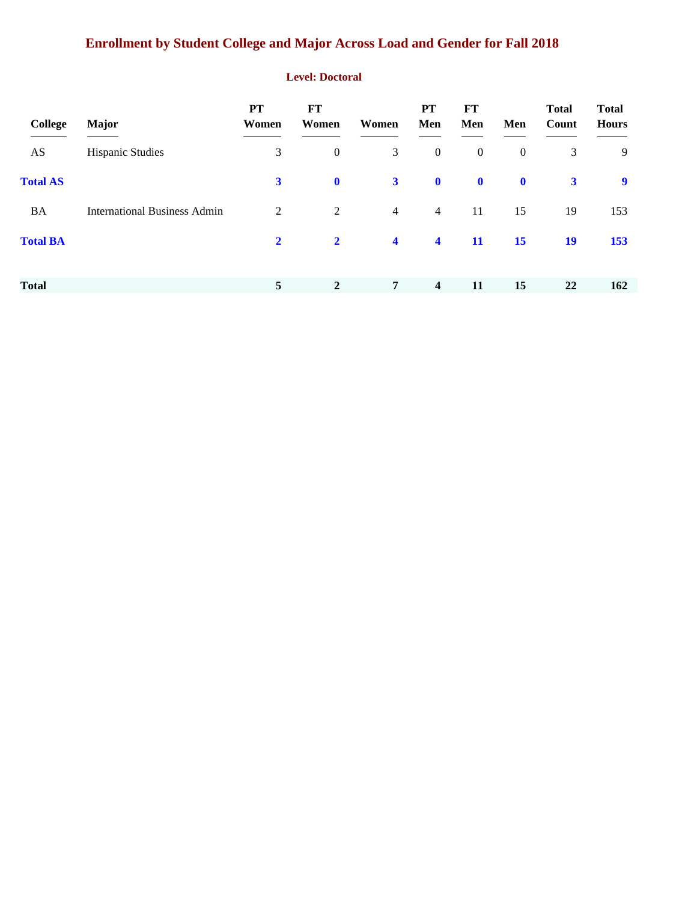# **Enrollment by Student College and Major Across Load and Gender for Fall 2018**

#### **Level: Doctoral**

| College         | <b>Major</b>                        | <b>PT</b><br>Women | <b>FT</b><br>Women | Women                   | <b>PT</b><br>Men        | FT<br>Men        | Men          | <b>Total</b><br>Count | <b>Total</b><br><b>Hours</b> |
|-----------------|-------------------------------------|--------------------|--------------------|-------------------------|-------------------------|------------------|--------------|-----------------------|------------------------------|
| AS              | <b>Hispanic Studies</b>             | 3                  | $\boldsymbol{0}$   | 3                       | $\boldsymbol{0}$        | $\boldsymbol{0}$ | $\mathbf{0}$ | 3                     | 9                            |
| <b>Total AS</b> |                                     | $\mathbf{3}$       | $\mathbf 0$        | $3^{\circ}$             | $\mathbf 0$             | $\mathbf 0$      | $\mathbf 0$  | $\mathbf{3}$          | $\boldsymbol{9}$             |
| BA              | <b>International Business Admin</b> | 2                  | 2                  | $\overline{4}$          | $\overline{4}$          | 11               | 15           | 19                    | 153                          |
| <b>Total BA</b> |                                     | $\mathbf{2}$       | $\mathbf{2}$       | $\overline{\mathbf{4}}$ | $\blacktriangleleft$    | 11               | 15           | 19                    | 153                          |
| <b>Total</b>    |                                     | 5                  | $\overline{2}$     | $\overline{7}$          | $\overline{\mathbf{4}}$ | 11               | 15           | 22                    | 162                          |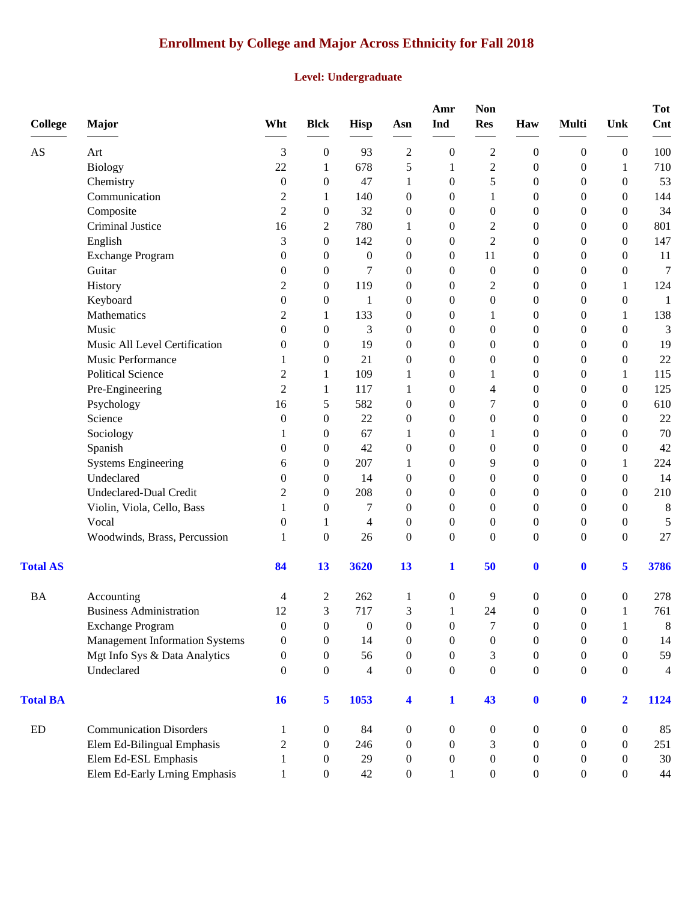# **Enrollment by College and Major Across Ethnicity for Fall 2018**

#### **Level: Undergraduate**

| <b>College</b>         | Major                                 | Wht              | <b>Blck</b>      | <b>Hisp</b>      | Asn                     | Amr<br>Ind       | <b>Non</b><br><b>Res</b> | Haw              | <b>Multi</b>     | Unk              | <b>Tot</b><br><b>Cnt</b> |
|------------------------|---------------------------------------|------------------|------------------|------------------|-------------------------|------------------|--------------------------|------------------|------------------|------------------|--------------------------|
| $\mathbf{A}\mathbf{S}$ | Art                                   | 3                | $\boldsymbol{0}$ | 93               | $\overline{c}$          | $\boldsymbol{0}$ | $\overline{c}$           | $\mathbf{0}$     | $\boldsymbol{0}$ | $\boldsymbol{0}$ | 100                      |
|                        | <b>Biology</b>                        | 22               | 1                | 678              | 5                       | $\mathbf{1}$     | $\overline{c}$           | $\boldsymbol{0}$ | $\boldsymbol{0}$ | 1                | 710                      |
|                        | Chemistry                             | $\boldsymbol{0}$ | $\boldsymbol{0}$ | 47               | 1                       | $\boldsymbol{0}$ | 5                        | $\mathbf{0}$     | $\boldsymbol{0}$ | $\boldsymbol{0}$ | 53                       |
|                        | Communication                         | $\overline{c}$   | 1                | 140              | $\boldsymbol{0}$        | $\boldsymbol{0}$ | 1                        | $\mathbf{0}$     | $\boldsymbol{0}$ | $\mathbf{0}$     | 144                      |
|                        | Composite                             | $\overline{2}$   | $\boldsymbol{0}$ | 32               | $\boldsymbol{0}$        | $\theta$         | 0                        | $\theta$         | $\boldsymbol{0}$ | $\theta$         | 34                       |
|                        | Criminal Justice                      | 16               | 2                | 780              | 1                       | $\boldsymbol{0}$ | $\overline{c}$           | $\mathbf{0}$     | $\boldsymbol{0}$ | $\theta$         | 801                      |
|                        | English                               | 3                | $\boldsymbol{0}$ | 142              | $\boldsymbol{0}$        | $\boldsymbol{0}$ | $\overline{c}$           | $\mathbf{0}$     | $\boldsymbol{0}$ | $\theta$         | 147                      |
|                        | <b>Exchange Program</b>               | $\theta$         | $\boldsymbol{0}$ | $\theta$         | $\boldsymbol{0}$        | $\theta$         | 11                       | $\boldsymbol{0}$ | $\mathbf{0}$     | $\theta$         | 11                       |
|                        | Guitar                                | 0                | $\boldsymbol{0}$ | 7                | $\boldsymbol{0}$        | $\boldsymbol{0}$ | $\boldsymbol{0}$         | $\boldsymbol{0}$ | $\boldsymbol{0}$ | $\boldsymbol{0}$ | 7                        |
|                        | History                               | 2                | $\boldsymbol{0}$ | 119              | $\boldsymbol{0}$        | $\boldsymbol{0}$ | 2                        | $\mathbf{0}$     | $\boldsymbol{0}$ | 1                | 124                      |
|                        | Keyboard                              | $\boldsymbol{0}$ | $\boldsymbol{0}$ | 1                | $\boldsymbol{0}$        | $\theta$         | $\boldsymbol{0}$         | $\theta$         | $\theta$         | $\theta$         | 1                        |
|                        | Mathematics                           | $\overline{c}$   | 1                | 133              | $\boldsymbol{0}$        | $\boldsymbol{0}$ |                          | $\mathbf{0}$     | $\boldsymbol{0}$ | 1                | 138                      |
|                        | Music                                 | $\boldsymbol{0}$ | $\boldsymbol{0}$ | 3                | $\boldsymbol{0}$        | $\overline{0}$   | 0                        | $\boldsymbol{0}$ | $\boldsymbol{0}$ | $\theta$         | 3                        |
|                        | Music All Level Certification         | $\boldsymbol{0}$ | $\boldsymbol{0}$ | 19               | $\boldsymbol{0}$        | $\overline{0}$   | 0                        | $\boldsymbol{0}$ | $\boldsymbol{0}$ | $\theta$         | 19                       |
|                        | Music Performance                     | 1                | $\boldsymbol{0}$ | 21               | $\boldsymbol{0}$        | $\boldsymbol{0}$ | 0                        | $\boldsymbol{0}$ | $\boldsymbol{0}$ | $\boldsymbol{0}$ | 22                       |
|                        | <b>Political Science</b>              | $\overline{c}$   | 1                | 109              | 1                       | $\boldsymbol{0}$ | 1                        | $\mathbf{0}$     | $\boldsymbol{0}$ | 1                | 115                      |
|                        | Pre-Engineering                       | $\overline{2}$   | 1                | 117              | 1                       | $\overline{0}$   | 4                        | $\theta$         | $\boldsymbol{0}$ | $\theta$         | 125                      |
|                        | Psychology                            | 16               | 5                | 582              | $\boldsymbol{0}$        | $\boldsymbol{0}$ | 7                        | $\mathbf{0}$     | $\boldsymbol{0}$ | $\theta$         | 610                      |
|                        | Science                               | $\boldsymbol{0}$ | $\boldsymbol{0}$ | 22               | $\boldsymbol{0}$        | $\boldsymbol{0}$ | 0                        | $\boldsymbol{0}$ | $\boldsymbol{0}$ | $\theta$         | 22                       |
|                        | Sociology                             | 1                | $\boldsymbol{0}$ | 67               | 1                       | $\overline{0}$   | 1                        | $\boldsymbol{0}$ | $\boldsymbol{0}$ | $\theta$         | 70                       |
|                        | Spanish                               | 0                | $\boldsymbol{0}$ | 42               | $\boldsymbol{0}$        | $\boldsymbol{0}$ | 0                        | $\boldsymbol{0}$ | $\boldsymbol{0}$ | $\boldsymbol{0}$ | 42                       |
|                        | <b>Systems Engineering</b>            | 6                | $\boldsymbol{0}$ | 207              | 1                       | $\boldsymbol{0}$ | 9                        | $\mathbf{0}$     | $\boldsymbol{0}$ | 1                | 224                      |
|                        | Undeclared                            | $\theta$         | $\boldsymbol{0}$ | 14               | $\boldsymbol{0}$        | $\overline{0}$   | $\boldsymbol{0}$         | $\theta$         | $\theta$         | $\overline{0}$   | 14                       |
|                        | Undeclared-Dual Credit                | $\overline{c}$   | $\theta$         | 208              | $\boldsymbol{0}$        | $\theta$         | 0                        | $\mathbf{0}$     | $\boldsymbol{0}$ | $\theta$         | 210                      |
|                        | Violin, Viola, Cello, Bass            | 1                | $\boldsymbol{0}$ | $\boldsymbol{7}$ | $\boldsymbol{0}$        | $\overline{0}$   | 0                        | $\boldsymbol{0}$ | $\boldsymbol{0}$ | $\theta$         | $\,8\,$                  |
|                        | Vocal                                 | $\theta$         | 1                | 4                | $\boldsymbol{0}$        | $\boldsymbol{0}$ | 0                        | $\boldsymbol{0}$ | $\boldsymbol{0}$ | $\boldsymbol{0}$ | 5                        |
|                        | Woodwinds, Brass, Percussion          | 1                | $\boldsymbol{0}$ | 26               | $\boldsymbol{0}$        | $\boldsymbol{0}$ | $\boldsymbol{0}$         | $\boldsymbol{0}$ | $\boldsymbol{0}$ | $\boldsymbol{0}$ | 27                       |
| <b>Total AS</b>        |                                       | 84               | 13               | 3620             | 13                      | $\mathbf{1}$     | 50                       | $\mathbf 0$      | $\mathbf 0$      | 5                | 3786                     |
| <b>BA</b>              | Accounting                            | 4                | 2                | 262              | 1                       | $\boldsymbol{0}$ | 9                        | $\boldsymbol{0}$ | $\boldsymbol{0}$ | $\boldsymbol{0}$ | 278                      |
|                        | <b>Business Administration</b>        | 12               | 3                | 717              | 3                       | $\mathbf{1}$     | 24                       | $\boldsymbol{0}$ | $\boldsymbol{0}$ | $\mathbf{1}$     | 761                      |
|                        | Exchange Program                      | $\boldsymbol{0}$ | $\boldsymbol{0}$ | $\boldsymbol{0}$ | $\boldsymbol{0}$        | $\boldsymbol{0}$ | 7                        | $\boldsymbol{0}$ | $\boldsymbol{0}$ | 1                | 8                        |
|                        | <b>Management Information Systems</b> | $\boldsymbol{0}$ | $\boldsymbol{0}$ | 14               | $\boldsymbol{0}$        | $\overline{0}$   | $\boldsymbol{0}$         | $\boldsymbol{0}$ | $\boldsymbol{0}$ | $\theta$         | 14                       |
|                        | Mgt Info Sys & Data Analytics         | $\theta$         | $\mathbf{0}$     | 56               | $\boldsymbol{0}$        | $\overline{0}$   | 3                        | $\mathbf{0}$     | $\overline{0}$   | $\Omega$         | 59                       |
|                        | Undeclared                            | $\theta$         | $\boldsymbol{0}$ | 4                | $\boldsymbol{0}$        | $\overline{0}$   | $\boldsymbol{0}$         | $\boldsymbol{0}$ | $\boldsymbol{0}$ | $\overline{0}$   | 4                        |
| <b>Total BA</b>        |                                       | 16               | 5                | 1053             | $\overline{\mathbf{4}}$ | $\mathbf{1}$     | 43                       | $\bf{0}$         | $\mathbf{0}$     | $\overline{2}$   | 1124                     |
| ED                     | <b>Communication Disorders</b>        | 1                | $\boldsymbol{0}$ | 84               | $\boldsymbol{0}$        | $\overline{0}$   | 0                        | $\boldsymbol{0}$ | $\boldsymbol{0}$ | $\boldsymbol{0}$ | 85                       |
|                        | Elem Ed-Bilingual Emphasis            | $\overline{c}$   | $\theta$         | 246              | $\overline{0}$          | $\overline{0}$   | 3                        | $\overline{0}$   | $\theta$         | $\Omega$         | 251                      |
|                        | Elem Ed-ESL Emphasis                  | 1                | $\boldsymbol{0}$ | 29               | $\boldsymbol{0}$        | $\overline{0}$   | $\boldsymbol{0}$         | $\boldsymbol{0}$ | $\boldsymbol{0}$ | $\theta$         | 30                       |
|                        | Elem Ed-Early Lrning Emphasis         | $\mathbf{1}$     | $\boldsymbol{0}$ | 42               | $\boldsymbol{0}$        | $\mathbf{1}$     | $\boldsymbol{0}$         | $\boldsymbol{0}$ | $\boldsymbol{0}$ | $\boldsymbol{0}$ | 44                       |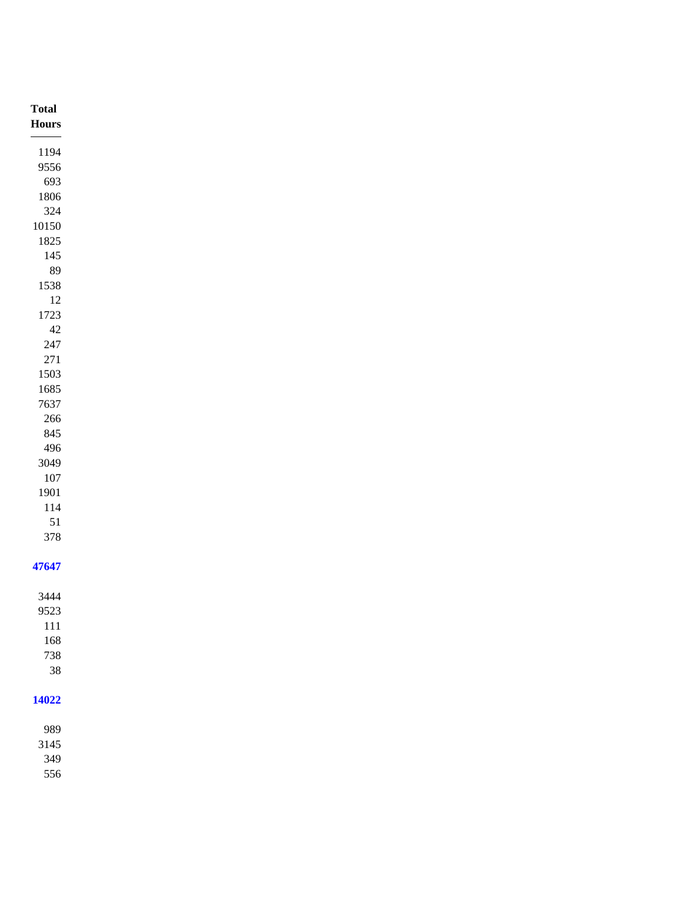| <b>Total</b>       |
|--------------------|
| $\bold{Flours}$    |
|                    |
| 1194               |
| 9556               |
| 693                |
| 1806               |
| $324\,$            |
| $10150\,$          |
| 1825               |
| $145\,$            |
| $89\,$             |
| 1538               |
| $12\,$             |
| 1723               |
| $42\,$             |
| $247\,$<br>$271\,$ |
| 1503               |
| 1685               |
| 7637               |
| $266\,$            |
| 845                |
| 496                |
| 3049               |
| $107\,$            |
| 1901               |
| $114\,$            |
| 51                 |
| 378                |
|                    |
| 47647              |
|                    |
| 3444               |
| 9523               |
| $111\,$            |
| 168                |
| 738                |
| $38\,$             |
|                    |
| 14022              |
|                    |
| 989                |
| 3145<br>349        |
| 556                |
|                    |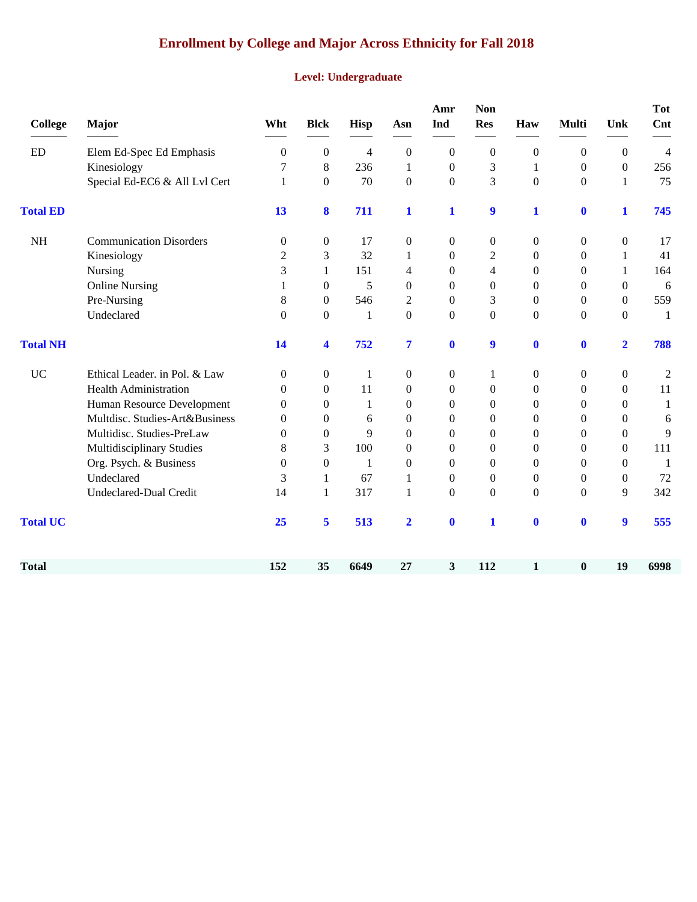# **Enrollment by College and Major Across Ethnicity for Fall 2018**

#### **Level: Undergraduate**

| <b>College</b>  | Major                          | Wht              | <b>Blck</b>          | Hisp         | Asn              | Amr<br>Ind       | <b>Non</b><br><b>Res</b> | Haw              | <b>Multi</b>     | Unk              | <b>Tot</b><br>Cnt |
|-----------------|--------------------------------|------------------|----------------------|--------------|------------------|------------------|--------------------------|------------------|------------------|------------------|-------------------|
| ED              | Elem Ed-Spec Ed Emphasis       | $\boldsymbol{0}$ | $\boldsymbol{0}$     | 4            | $\boldsymbol{0}$ | $\boldsymbol{0}$ | $\boldsymbol{0}$         | $\boldsymbol{0}$ | $\boldsymbol{0}$ | $\boldsymbol{0}$ | $\overline{4}$    |
|                 | Kinesiology                    | 7                | $\,8\,$              | 236          | $\mathbf{1}$     | $\theta$         | 3                        | $\mathbf{1}$     | $\theta$         | $\theta$         | 256               |
|                 | Special Ed-EC6 & All Lvl Cert  | $\mathbf{1}$     | $\boldsymbol{0}$     | 70           | $\boldsymbol{0}$ | $\Omega$         | 3                        | $\overline{0}$   | $\theta$         | 1                | 75                |
| <b>Total ED</b> |                                | 13               | 8                    | 711          | $\mathbf{1}$     | 1                | $\boldsymbol{9}$         | 1                | $\bf{0}$         | 1                | 745               |
| <b>NH</b>       | <b>Communication Disorders</b> | $\boldsymbol{0}$ | $\boldsymbol{0}$     | 17           | $\boldsymbol{0}$ | $\boldsymbol{0}$ | $\overline{0}$           | $\boldsymbol{0}$ | $\boldsymbol{0}$ | $\boldsymbol{0}$ | 17                |
|                 | Kinesiology                    | $\overline{2}$   | 3                    | 32           | 1                | $\theta$         | $\overline{2}$           | $\mathbf{0}$     | $\Omega$         | 1                | 41                |
|                 | Nursing                        | 3                | $\mathbf{1}$         | 151          | 4                | $\boldsymbol{0}$ | 4                        | $\boldsymbol{0}$ | $\mathbf{0}$     | 1                | 164               |
|                 | <b>Online Nursing</b>          | 1                | $\boldsymbol{0}$     | 5            | $\overline{0}$   | $\Omega$         | $\overline{0}$           | $\mathbf{0}$     | $\Omega$         | $\overline{0}$   | 6                 |
|                 | Pre-Nursing                    | 8                | $\boldsymbol{0}$     | 546          | $\overline{2}$   | $\theta$         | 3                        | $\mathbf{0}$     | $\theta$         | $\overline{0}$   | 559               |
|                 | Undeclared                     | $\theta$         | $\boldsymbol{0}$     | $\mathbf{1}$ | $\boldsymbol{0}$ | $\boldsymbol{0}$ | $\boldsymbol{0}$         | $\boldsymbol{0}$ | $\boldsymbol{0}$ | $\overline{0}$   | 1                 |
| <b>Total NH</b> |                                | 14               | $\blacktriangleleft$ | 752          | $\overline{7}$   | $\bf{0}$         | $\boldsymbol{9}$         | $\bf{0}$         | $\boldsymbol{0}$ | $\overline{2}$   | 788               |
| <b>UC</b>       | Ethical Leader. in Pol. & Law  | $\mathbf{0}$     | $\boldsymbol{0}$     | $\mathbf{1}$ | $\boldsymbol{0}$ | $\boldsymbol{0}$ | 1                        | $\boldsymbol{0}$ | $\boldsymbol{0}$ | $\boldsymbol{0}$ | $\overline{2}$    |
|                 | <b>Health Administration</b>   | $\theta$         | $\overline{0}$       | 11           | $\overline{0}$   | $\theta$         | $\theta$                 | $\mathbf{0}$     | $\theta$         | $\Omega$         | 11                |
|                 | Human Resource Development     | $\theta$         | $\mathbf{0}$         | 1            | $\overline{0}$   | $\theta$         | $\theta$                 | $\mathbf{0}$     | $\Omega$         | $\Omega$         | 1                 |
|                 | Multdisc. Studies-Art&Business | $\theta$         | $\boldsymbol{0}$     | 6            | $\overline{0}$   | $\overline{0}$   | $\overline{0}$           | $\boldsymbol{0}$ | $\overline{0}$   | $\overline{0}$   | $\boldsymbol{6}$  |
|                 | Multidisc. Studies-PreLaw      | $\Omega$         | $\mathbf{0}$         | 9            | $\overline{0}$   | $\theta$         | $\Omega$                 | $\mathbf{0}$     | $\Omega$         | $\theta$         | 9                 |
|                 | Multidisciplinary Studies      | 8                | 3                    | 100          | $\overline{0}$   | $\theta$         | $\Omega$                 | $\mathbf{0}$     | $\Omega$         | $\Omega$         | 111               |
|                 | Org. Psych. & Business         | $\theta$         | $\boldsymbol{0}$     | $\mathbf{1}$ | $\overline{0}$   | $\theta$         | $\mathbf{0}$             | $\mathbf{0}$     | $\overline{0}$   | $\overline{0}$   | -1                |
|                 | Undeclared                     | 3                | 1                    | 67           | $\mathbf{1}$     | $\theta$         | $\Omega$                 | $\mathbf{0}$     | $\theta$         | $\Omega$         | 72                |
|                 | <b>Undeclared-Dual Credit</b>  | 14               | $\mathbf{1}$         | 317          | $\mathbf{1}$     | $\boldsymbol{0}$ | $\boldsymbol{0}$         | $\mathbf{0}$     | $\boldsymbol{0}$ | 9                | 342               |
| <b>Total UC</b> |                                | 25               | 5                    | 513          | $\overline{2}$   | $\bf{0}$         | 1                        | $\mathbf 0$      | $\bf{0}$         | $\boldsymbol{9}$ | 555               |
| <b>Total</b>    |                                | 152              | 35                   | 6649         | 27               | 3                | 112                      | $\mathbf{1}$     | $\boldsymbol{0}$ | 19               | 6998              |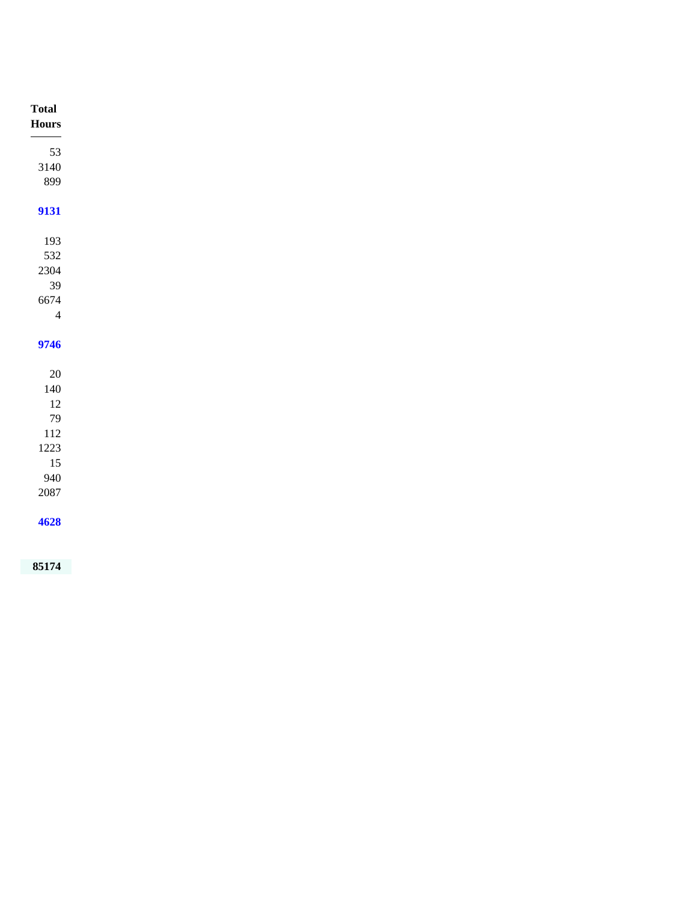| <b>Total</b><br>${\bf Hours}$<br>53<br>3140<br>899 |      |
|----------------------------------------------------|------|
|                                                    |      |
|                                                    |      |
|                                                    |      |
|                                                    |      |
|                                                    |      |
|                                                    |      |
| 9131                                               |      |
|                                                    |      |
| 193                                                |      |
| 532                                                |      |
| 2304                                               |      |
| 39                                                 |      |
| 6674                                               |      |
| $\overline{4}$                                     |      |
|                                                    |      |
| 9746                                               |      |
|                                                    |      |
| $20\,$                                             |      |
| $140\,$                                            |      |
| $12\,$                                             |      |
| 79                                                 |      |
| $112\,$                                            |      |
| 1223                                               |      |
| 15                                                 |      |
| 940                                                |      |
| $2087\,$                                           |      |
|                                                    |      |
|                                                    | 4628 |
|                                                    |      |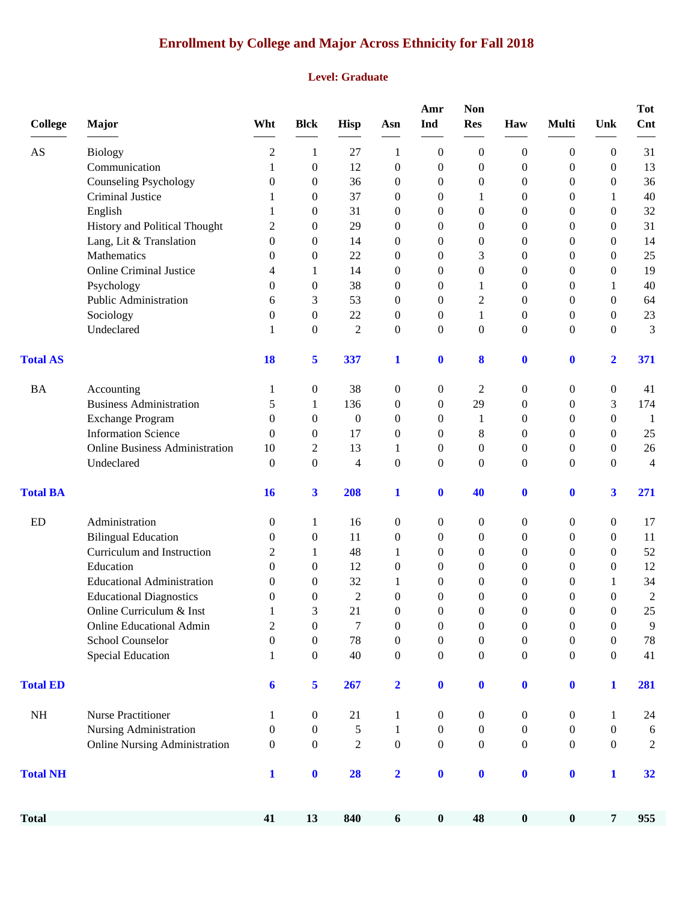# **Enrollment by College and Major Across Ethnicity for Fall 2018**

#### **Level: Graduate**

| <b>College</b>         | <b>Major</b>                          | Wht              | <b>Blck</b>      | <b>Hisp</b>      | Asn              | Amr<br>Ind       | <b>Non</b><br><b>Res</b> | Haw              | <b>Multi</b>     | Unk                     | <b>Tot</b><br>Cnt |
|------------------------|---------------------------------------|------------------|------------------|------------------|------------------|------------------|--------------------------|------------------|------------------|-------------------------|-------------------|
| $\mathbf{A}\mathbf{S}$ | <b>Biology</b>                        | 2                | 1                | 27               | 1                | $\boldsymbol{0}$ | $\boldsymbol{0}$         | $\boldsymbol{0}$ | $\boldsymbol{0}$ | $\overline{0}$          | 31                |
|                        | Communication                         | 1                | $\boldsymbol{0}$ | 12               | $\boldsymbol{0}$ | $\boldsymbol{0}$ | $\boldsymbol{0}$         | $\theta$         | $\boldsymbol{0}$ | $\mathbf{0}$            | 13                |
|                        | <b>Counseling Psychology</b>          | $\boldsymbol{0}$ | 0                | 36               | 0                | $\boldsymbol{0}$ | $\boldsymbol{0}$         | 0                | 0                | $\boldsymbol{0}$        | 36                |
|                        | Criminal Justice                      | 1                | 0                | 37               | $\boldsymbol{0}$ | $\boldsymbol{0}$ | 1                        | 0                | 0                | 1                       | $40\,$            |
|                        | English                               | 1                | 0                | 31               | 0                | $\theta$         | $\boldsymbol{0}$         | $\theta$         | 0                | $\mathbf{0}$            | 32                |
|                        | History and Political Thought         | 2                | 0                | 29               | 0                | $\theta$         | $\boldsymbol{0}$         | $\theta$         | 0                | $\Omega$                | 31                |
|                        | Lang, Lit & Translation               | $\Omega$         | 0                | 14               | $\boldsymbol{0}$ | $\theta$         | $\boldsymbol{0}$         | $\overline{0}$   | 0                | $\mathbf{0}$            | 14                |
|                        | Mathematics                           | 0                | $\boldsymbol{0}$ | 22               | 0                | $\overline{0}$   | 3                        | 0                | 0                | $\theta$                | 25                |
|                        | <b>Online Criminal Justice</b>        | 4                | 1                | 14               | $\boldsymbol{0}$ | $\boldsymbol{0}$ | $\boldsymbol{0}$         | 0                | 0                | $\boldsymbol{0}$        | 19                |
|                        | Psychology                            | $\theta$         | 0                | 38               | $\boldsymbol{0}$ | $\boldsymbol{0}$ | 1                        | 0                | 0                | 1                       | 40                |
|                        | Public Administration                 | 6                | 3                | 53               | 0                | $\overline{0}$   | $\overline{c}$           | $\overline{0}$   | 0                | $\mathbf{0}$            | 64                |
|                        | Sociology                             | $\theta$         | 0                | 22               | 0                | $\boldsymbol{0}$ | 1                        | $\mathbf{0}$     | 0                | $\mathbf{0}$            | 23                |
|                        | Undeclared                            | 1                | $\boldsymbol{0}$ | $\overline{2}$   | $\boldsymbol{0}$ | $\boldsymbol{0}$ | $\boldsymbol{0}$         | $\overline{0}$   | $\mathbf{0}$     | $\mathbf{0}$            | 3                 |
| <b>Total AS</b>        |                                       | <b>18</b>        | 5                | 337              | $\mathbf{1}$     | $\bf{0}$         | 8                        | $\bf{0}$         | $\boldsymbol{0}$ | $\overline{\mathbf{2}}$ | 371               |
| <b>BA</b>              | Accounting                            | 1                | 0                | 38               | 0                | 0                | $\mathbf{2}$             | $\boldsymbol{0}$ | $\boldsymbol{0}$ | $\boldsymbol{0}$        | 41                |
|                        | <b>Business Administration</b>        | 5                | 1                | 136              | 0                | $\boldsymbol{0}$ | 29                       | $\theta$         | 0                | 3                       | 174               |
|                        | <b>Exchange Program</b>               | $\Omega$         | 0                | $\boldsymbol{0}$ | 0                | $\mathbf{0}$     | 1                        | $\theta$         | 0                | $\mathbf{0}$            | $\mathbf{1}$      |
|                        | <b>Information Science</b>            | $\theta$         | 0                | 17               | 0                | $\overline{0}$   | 8                        | $\theta$         | 0                | $\mathbf{0}$            | $25\,$            |
|                        | <b>Online Business Administration</b> | 10               | $\overline{c}$   | 13               | 1                | $\boldsymbol{0}$ | $\boldsymbol{0}$         | 0                | 0                | $\boldsymbol{0}$        | $26\,$            |
|                        | Undeclared                            | $\mathbf{0}$     | $\boldsymbol{0}$ | $\overline{4}$   | $\boldsymbol{0}$ | $\boldsymbol{0}$ | $\boldsymbol{0}$         | $\overline{0}$   | $\overline{0}$   | $\mathbf{0}$            | $\overline{4}$    |
| <b>Total BA</b>        |                                       | <b>16</b>        | 3                | 208              | 1                | $\bf{0}$         | 40                       | $\bf{0}$         | $\bf{0}$         | 3                       | 271               |
| ED                     | Administration                        | $\boldsymbol{0}$ | 1                | 16               | $\boldsymbol{0}$ | 0                | $\boldsymbol{0}$         | 0                | 0                | $\boldsymbol{0}$        | 17                |
|                        | <b>Bilingual Education</b>            | $\boldsymbol{0}$ | $\boldsymbol{0}$ | 11               | $\boldsymbol{0}$ | $\boldsymbol{0}$ | $\boldsymbol{0}$         | 0                | 0                | $\boldsymbol{0}$        | 11                |
|                        | Curriculum and Instruction            | 2                | 1                | 48               | 1                | $\boldsymbol{0}$ | $\boldsymbol{0}$         | 0                | 0                | $\boldsymbol{0}$        | 52                |
|                        | Education                             | $\theta$         | 0                | 12               | 0                | $\theta$         | $\boldsymbol{0}$         | $\theta$         | 0                | $\theta$                | 12                |
|                        | <b>Educational Administration</b>     | 0                | 0                | 32               | 1                | $\theta$         | $\boldsymbol{0}$         | $\overline{0}$   | 0                | 1                       | 34                |
|                        | <b>Educational Diagnostics</b>        | $\theta$         | 0                | $\overline{2}$   | 0                | $\theta$         | $\boldsymbol{0}$         | $\boldsymbol{0}$ | 0                | $\boldsymbol{0}$        | $\overline{c}$    |
|                        | Online Curriculum & Inst              | 1                | 3                | 21               | $\boldsymbol{0}$ | $\boldsymbol{0}$ | $\boldsymbol{0}$         | $\boldsymbol{0}$ | $\boldsymbol{0}$ | $\boldsymbol{0}$        | $25\,$            |
|                        | <b>Online Educational Admin</b>       | $\mathbf{2}$     | $\boldsymbol{0}$ | $\boldsymbol{7}$ | $\boldsymbol{0}$ | $\boldsymbol{0}$ | $\boldsymbol{0}$         | $\boldsymbol{0}$ | $\boldsymbol{0}$ | $\boldsymbol{0}$        | 9                 |
|                        | School Counselor                      | $\boldsymbol{0}$ | $\boldsymbol{0}$ | 78               | $\boldsymbol{0}$ | $\boldsymbol{0}$ | $\boldsymbol{0}$         | $\boldsymbol{0}$ | $\boldsymbol{0}$ | $\boldsymbol{0}$        | $78\,$            |
|                        | Special Education                     | 1                | $\boldsymbol{0}$ | 40               | 0                | $\boldsymbol{0}$ | 0                        | 0                | $\boldsymbol{0}$ | $\mathbf{0}$            | 41                |
| <b>Total ED</b>        |                                       | 6                | 5                | 267              | $\mathbf{2}$     | $\bf{0}$         | $\mathbf{0}$             | $\bf{0}$         | $\boldsymbol{0}$ | $\mathbf{1}$            | 281               |
| $\rm NH$               | Nurse Practitioner                    | 1                | $\boldsymbol{0}$ | 21               | 1                | $\boldsymbol{0}$ | $\boldsymbol{0}$         | $\boldsymbol{0}$ | $\boldsymbol{0}$ | 1                       | 24                |
|                        | Nursing Administration                | $\boldsymbol{0}$ | 0                | 5                | 1                | $\boldsymbol{0}$ | 0                        | 0                | 0                | $\boldsymbol{0}$        | 6                 |
|                        | <b>Online Nursing Administration</b>  | $\mathbf{0}$     | $\boldsymbol{0}$ | $\overline{2}$   | $\boldsymbol{0}$ | $\boldsymbol{0}$ | 0                        | $\boldsymbol{0}$ | $\mathbf{0}$     | $\boldsymbol{0}$        | $\overline{c}$    |
| <b>Total NH</b>        |                                       | $\mathbf{1}$     | $\boldsymbol{0}$ | 28               | $\mathbf{2}$     | $\boldsymbol{0}$ | $\mathbf{0}$             | $\bf{0}$         | $\bf{0}$         | $\mathbf{1}$            | 32                |
| <b>Total</b>           |                                       | 41               | 13               | 840              | 6                | $\pmb{0}$        | 48                       | $\pmb{0}$        | $\pmb{0}$        | $\overline{7}$          | 955               |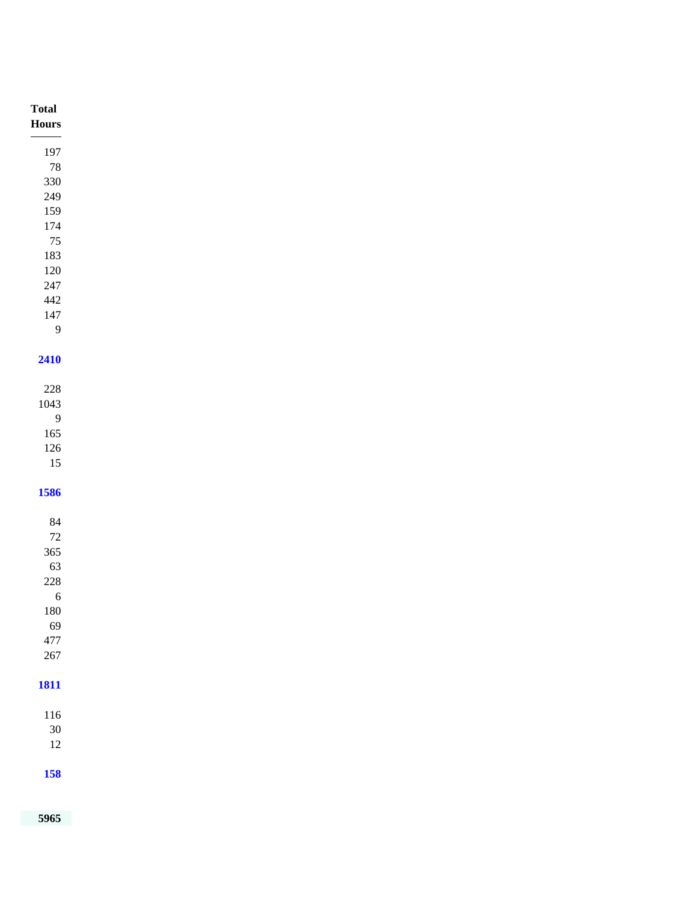| <b>Total</b><br>${\bf Hours}$<br>$\overline{\phantom{a}}$ |
|-----------------------------------------------------------|
| 197                                                       |
| $78\,$                                                    |
| 330                                                       |
| $249\,$                                                   |
| 159                                                       |
| 174                                                       |
| 75                                                        |
| 183                                                       |
| $120\,$<br>$247\,$                                        |
| $442\,$                                                   |
| 147                                                       |
| 9                                                         |
|                                                           |
| 2410                                                      |
|                                                           |
| $228\,$                                                   |
| 1043                                                      |
| $\overline{9}$                                            |
| $165\,$<br>$126\,$                                        |
| $15\,$                                                    |
|                                                           |
| 1586                                                      |
|                                                           |
| $\bf 84$                                                  |
| $72\,$                                                    |
| $365\,$                                                   |
| 63                                                        |
| $228\,$                                                   |
| $\frac{6}{2}$<br>$180\,$                                  |
| 69                                                        |
| $477\,$                                                   |
| $267\,$                                                   |
|                                                           |
| <b>1811</b>                                               |
|                                                           |
| $116\,$                                                   |
| $30\,$                                                    |
| $12\,$                                                    |
|                                                           |
| <b>158</b>                                                |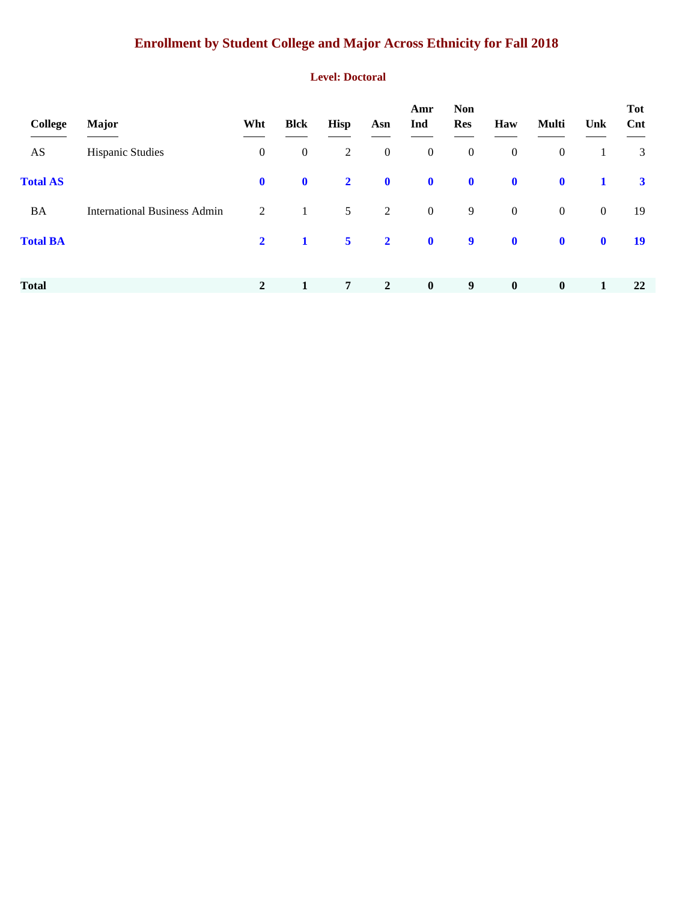# **Enrollment by Student College and Major Across Ethnicity for Fall 2018**

#### **Level: Doctoral**

| College         | <b>Major</b>                        | Wht              | <b>Blck</b>  | <b>Hisp</b>     | Asn              | Amr<br>Ind       | <b>Non</b><br><b>Res</b> | Haw              | <b>Multi</b>     | Unk          | <b>Tot</b><br>Cnt |
|-----------------|-------------------------------------|------------------|--------------|-----------------|------------------|------------------|--------------------------|------------------|------------------|--------------|-------------------|
| AS              | <b>Hispanic Studies</b>             | $\boldsymbol{0}$ | $\mathbf{0}$ | $\overline{2}$  | $\boldsymbol{0}$ | $\boldsymbol{0}$ | $\boldsymbol{0}$         | $\boldsymbol{0}$ | $\boldsymbol{0}$ | 1            | 3                 |
| <b>Total AS</b> |                                     | $\mathbf{0}$     | $\mathbf 0$  | $\overline{2}$  | $\mathbf{0}$     | $\mathbf 0$      | $\mathbf 0$              | $\mathbf 0$      | $\mathbf 0$      | 1            | $\mathbf{3}$      |
| <b>BA</b>       | <b>International Business Admin</b> | 2                | $\mathbf{1}$ | 5 <sup>5</sup>  | 2                | $\overline{0}$   | 9                        | $\boldsymbol{0}$ | $\mathbf{0}$     | $\mathbf{0}$ | 19                |
| <b>Total BA</b> |                                     | $\mathbf{2}$     | $\mathbf{1}$ | 5 <sup>5</sup>  | $\overline{2}$   | $\mathbf 0$      | $\boldsymbol{9}$         | $\mathbf 0$      | $\mathbf 0$      | $\mathbf 0$  | <b>19</b>         |
|                 |                                     |                  |              |                 |                  |                  |                          |                  |                  |              |                   |
| <b>Total</b>    |                                     | $\overline{2}$   | 1            | $7\overline{ }$ | $\overline{2}$   | $\bf{0}$         | 9                        | $\bf{0}$         | $\boldsymbol{0}$ | 1            | 22                |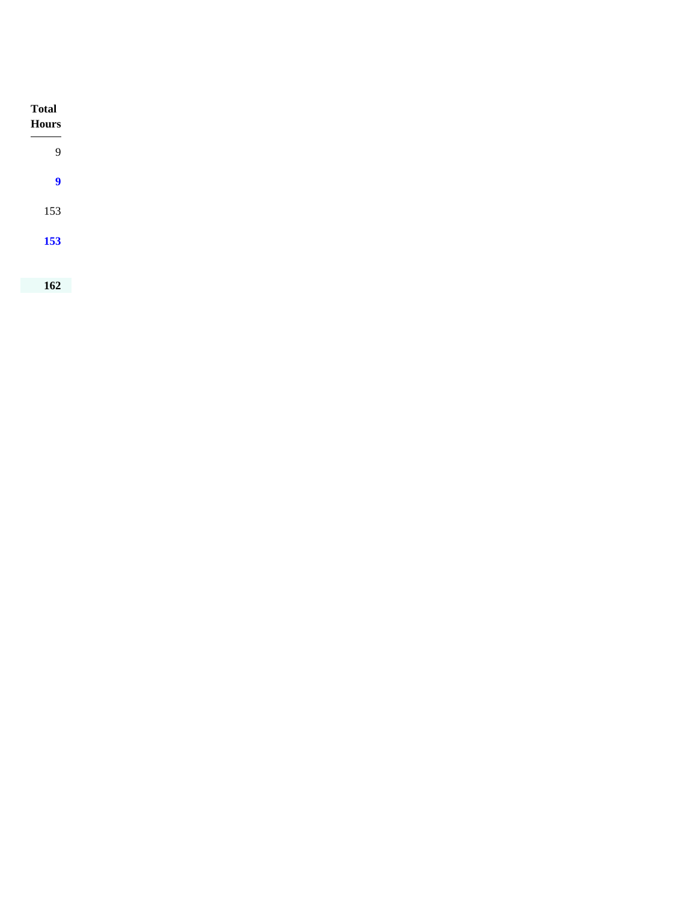| <b>Total</b><br>Hours                                        |
|--------------------------------------------------------------|
| <b>Contract Contract Contract Contract</b><br>$\overline{9}$ |
| $\boldsymbol{9}$                                             |
| 153                                                          |
| 153                                                          |
|                                                              |
| 162                                                          |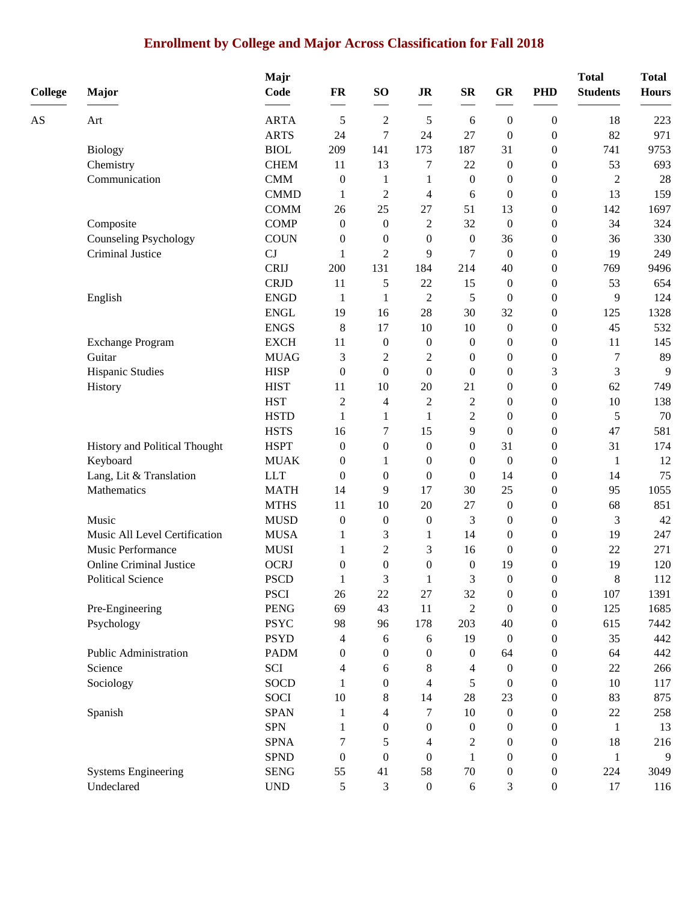# **Enrollment by College and Major Across Classification for Fall 2018**

| <b>College</b> | <b>Major</b>                   | Majr<br>Code | FR               | SO <sub>1</sub>  | <b>JR</b>        | ${\bf SR}$       | GR               | <b>PHD</b>       | <b>Total</b><br><b>Students</b> | <b>Total</b><br><b>Hours</b> |
|----------------|--------------------------------|--------------|------------------|------------------|------------------|------------------|------------------|------------------|---------------------------------|------------------------------|
| AS             | Art                            | <b>ARTA</b>  | 5                | $\overline{c}$   | 5                | 6                | $\mathbf{0}$     | $\boldsymbol{0}$ | 18                              | 223                          |
|                |                                | <b>ARTS</b>  | 24               | 7                | 24               | 27               | $\boldsymbol{0}$ | $\boldsymbol{0}$ | 82                              | 971                          |
|                | <b>Biology</b>                 | <b>BIOL</b>  | 209              | 141              | 173              | 187              | 31               | $\theta$         | 741                             | 9753                         |
|                | Chemistry                      | <b>CHEM</b>  | 11               | 13               | 7                | 22               | $\boldsymbol{0}$ | $\boldsymbol{0}$ | 53                              | 693                          |
|                | Communication                  | <b>CMM</b>   | $\boldsymbol{0}$ | $\mathbf{1}$     | 1                | $\boldsymbol{0}$ | $\boldsymbol{0}$ | $\boldsymbol{0}$ | 2                               | 28                           |
|                |                                | <b>CMMD</b>  | 1                | $\overline{2}$   | 4                | 6                | $\boldsymbol{0}$ | $\boldsymbol{0}$ | 13                              | 159                          |
|                |                                | <b>COMM</b>  | 26               | 25               | 27               | 51               | 13               | $\boldsymbol{0}$ | 142                             | 1697                         |
|                | Composite                      | <b>COMP</b>  | $\boldsymbol{0}$ | $\mathbf{0}$     | $\overline{c}$   | 32               | $\boldsymbol{0}$ | $\boldsymbol{0}$ | 34                              | 324                          |
|                | <b>Counseling Psychology</b>   | <b>COUN</b>  | $\boldsymbol{0}$ | $\mathbf{0}$     | $\boldsymbol{0}$ | $\mathbf{0}$     | 36               | $\boldsymbol{0}$ | 36                              | 330                          |
|                | Criminal Justice               | CJ           | 1                | $\overline{2}$   | 9                | 7                | $\boldsymbol{0}$ | $\boldsymbol{0}$ | 19                              | 249                          |
|                |                                | <b>CRIJ</b>  | 200              | 131              | 184              | 214              | 40               | $\boldsymbol{0}$ | 769                             | 9496                         |
|                |                                | <b>CRJD</b>  | 11               | 5                | 22               | 15               | $\boldsymbol{0}$ | $\boldsymbol{0}$ | 53                              | 654                          |
|                | English                        | <b>ENGD</b>  | 1                | 1                | $\overline{2}$   | 5                | $\theta$         | $\theta$         | 9                               | 124                          |
|                |                                | <b>ENGL</b>  | 19               | 16               | 28               | 30               | 32               | $\boldsymbol{0}$ | 125                             | 1328                         |
|                |                                | <b>ENGS</b>  | $\,8\,$          | 17               | 10               | 10               | $\boldsymbol{0}$ | $\boldsymbol{0}$ | 45                              | 532                          |
|                | <b>Exchange Program</b>        | <b>EXCH</b>  | 11               | $\mathbf{0}$     | $\boldsymbol{0}$ | $\mathbf{0}$     | $\boldsymbol{0}$ | $\boldsymbol{0}$ | 11                              | 145                          |
|                | Guitar                         | <b>MUAG</b>  | 3                | $\overline{c}$   | $\overline{c}$   | $\boldsymbol{0}$ | $\boldsymbol{0}$ | $\boldsymbol{0}$ | 7                               | 89                           |
|                | Hispanic Studies               | <b>HISP</b>  | $\boldsymbol{0}$ | $\boldsymbol{0}$ | $\boldsymbol{0}$ | $\theta$         | $\boldsymbol{0}$ | 3                | 3                               | 9                            |
|                | History                        | <b>HIST</b>  | 11               | 10               | 20               | 21               | $\boldsymbol{0}$ | $\boldsymbol{0}$ | 62                              | 749                          |
|                |                                | <b>HST</b>   | $\sqrt{2}$       | 4                | $\overline{c}$   | $\overline{c}$   | $\boldsymbol{0}$ | $\boldsymbol{0}$ | 10                              | 138                          |
|                |                                | <b>HSTD</b>  | 1                | 1                | 1                | $\mathbf{2}$     | $\boldsymbol{0}$ | $\boldsymbol{0}$ | 5                               | 70                           |
|                |                                | <b>HSTS</b>  | 16               | 7                | 15               | 9                | $\mathbf{0}$     | $\boldsymbol{0}$ | 47                              | 581                          |
|                | History and Political Thought  | <b>HSPT</b>  | $\boldsymbol{0}$ | $\boldsymbol{0}$ | $\boldsymbol{0}$ | $\boldsymbol{0}$ | 31               | $\boldsymbol{0}$ | 31                              | 174                          |
|                | Keyboard                       | <b>MUAK</b>  | $\boldsymbol{0}$ | $\mathbf{1}$     | $\boldsymbol{0}$ | $\mathbf{0}$     | $\boldsymbol{0}$ | $\boldsymbol{0}$ | 1                               | 12                           |
|                | Lang, Lit & Translation        | <b>LLT</b>   | $\boldsymbol{0}$ | $\overline{0}$   | $\boldsymbol{0}$ | $\Omega$         | 14               | $\boldsymbol{0}$ | 14                              | 75                           |
|                | Mathematics                    | <b>MATH</b>  | 14               | 9                | 17               | 30               | 25               | $\boldsymbol{0}$ | 95                              | 1055                         |
|                |                                | <b>MTHS</b>  | 11               | 10               | 20               | 27               | $\boldsymbol{0}$ | $\boldsymbol{0}$ | 68                              | 851                          |
|                | Music                          | <b>MUSD</b>  | $\boldsymbol{0}$ | $\boldsymbol{0}$ | $\boldsymbol{0}$ | 3                | $\boldsymbol{0}$ | $\boldsymbol{0}$ | 3                               | 42                           |
|                | Music All Level Certification  | <b>MUSA</b>  | 1                | 3                | $\mathbf{1}$     | 14               | $\boldsymbol{0}$ | $\boldsymbol{0}$ | 19                              | 247                          |
|                | Music Performance              | <b>MUSI</b>  | 1                | $\overline{2}$   | 3                | 16               | $\mathbf{0}$     | $\boldsymbol{0}$ | 22                              | 271                          |
|                | <b>Online Criminal Justice</b> | <b>OCRJ</b>  | $\boldsymbol{0}$ | $\boldsymbol{0}$ | $\boldsymbol{0}$ | $\theta$         | 19               | $\theta$         | 19                              | 120                          |
|                | <b>Political Science</b>       | <b>PSCD</b>  |                  | 3                |                  | 3                | $\mathbf{0}$     | $\theta$         | 8                               | 112                          |
|                |                                | <b>PSCI</b>  | 26               | $22\,$           | $27\,$           | 32               | $\boldsymbol{0}$ | $\boldsymbol{0}$ | 107                             | 1391                         |
|                | Pre-Engineering                | <b>PENG</b>  | 69               | 43               | 11               | $\sqrt{2}$       | $\theta$         | $\boldsymbol{0}$ | 125                             | 1685                         |
|                | Psychology                     | <b>PSYC</b>  | 98               | 96               | 178              | 203              | $40\,$           | $\boldsymbol{0}$ | 615                             | 7442                         |
|                |                                | <b>PSYD</b>  | 4                | 6                | 6                | 19               | $\boldsymbol{0}$ | $\boldsymbol{0}$ | 35                              | 442                          |
|                | Public Administration          | <b>PADM</b>  | $\boldsymbol{0}$ | $\mathbf{0}$     | 0                | $\mathbf{0}$     | 64               | $\boldsymbol{0}$ | 64                              | 442                          |
|                | Science                        | SCI          | 4                | 6                | 8                | 4                | $\mathbf{0}$     | $\boldsymbol{0}$ | 22                              | 266                          |
|                | Sociology                      | <b>SOCD</b>  | 1                | 0                | 4                | 5                | $\boldsymbol{0}$ | $\boldsymbol{0}$ | 10                              | 117                          |
|                |                                | <b>SOCI</b>  | 10               | 8                | 14               | 28               | $23\,$           | $\boldsymbol{0}$ | 83                              | 875                          |
|                | Spanish                        | <b>SPAN</b>  | 1                | 4                | 7                | 10               | $\boldsymbol{0}$ | $\boldsymbol{0}$ | $22\,$                          | 258                          |
|                |                                | <b>SPN</b>   | 1                | 0                | 0                | $\boldsymbol{0}$ | $\boldsymbol{0}$ | $\boldsymbol{0}$ | $\mathbf{1}$                    | 13                           |
|                |                                | <b>SPNA</b>  | 7                | 5                | 4                | 2                | $\boldsymbol{0}$ | $\boldsymbol{0}$ | 18                              | 216                          |
|                |                                | <b>SPND</b>  | $\boldsymbol{0}$ | $\mathbf{0}$     | $\boldsymbol{0}$ | 1                | $\boldsymbol{0}$ | $\theta$         | 1                               | 9                            |
|                | <b>Systems Engineering</b>     | <b>SENG</b>  | 55               | 41               | 58               | 70               | 0                | $\boldsymbol{0}$ | 224                             | 3049                         |
|                | Undeclared                     | <b>UND</b>   | $\mathfrak s$    | 3                | $\boldsymbol{0}$ | $\sqrt{6}$       | 3                | $\boldsymbol{0}$ | 17                              | 116                          |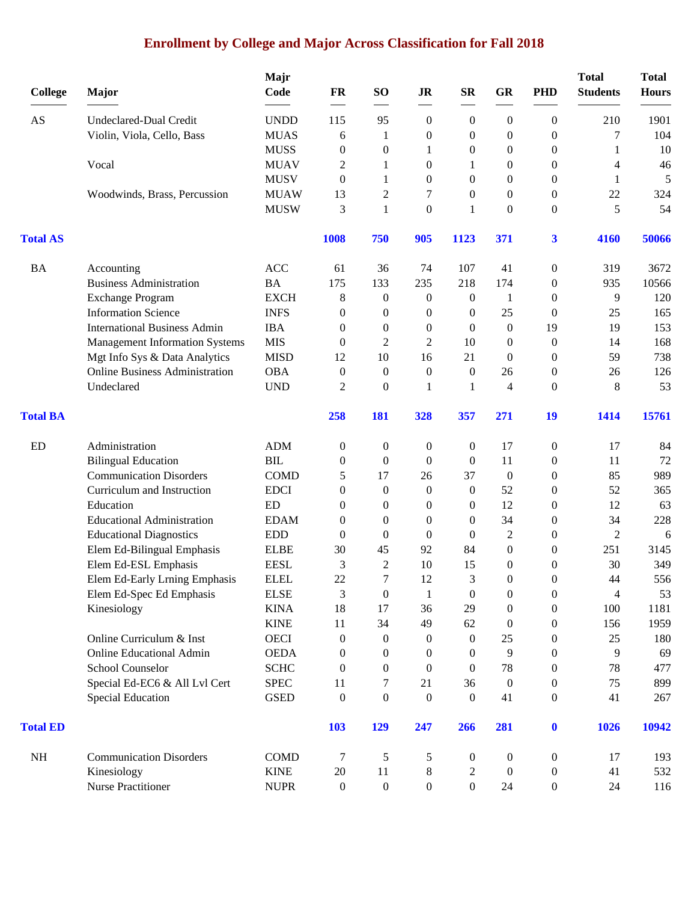# **Enrollment by College and Major Across Classification for Fall 2018**

|                 |                                       | Majr        |                  |                  |                  |                  |                  |                  | <b>Total</b>    | <b>Total</b> |
|-----------------|---------------------------------------|-------------|------------------|------------------|------------------|------------------|------------------|------------------|-----------------|--------------|
| <b>College</b>  | Major                                 | Code        | FR               | <b>SO</b>        | <b>JR</b>        | $S_{\mathbf{R}}$ | <b>GR</b>        | <b>PHD</b>       | <b>Students</b> | <b>Hours</b> |
| AS              | Undeclared-Dual Credit                | <b>UNDD</b> | 115              | 95               | $\boldsymbol{0}$ | $\boldsymbol{0}$ | $\boldsymbol{0}$ | $\theta$         | 210             | 1901         |
|                 | Violin, Viola, Cello, Bass            | <b>MUAS</b> | 6                | 1                | $\mathbf{0}$     | 0                | $\mathbf{0}$     | $\overline{0}$   | 7               | 104          |
|                 |                                       | <b>MUSS</b> | $\mathbf{0}$     | $\boldsymbol{0}$ | 1                | 0                | 0                | $\overline{0}$   | 1               | 10           |
|                 | Vocal                                 | <b>MUAV</b> | 2                | 1                | $\boldsymbol{0}$ | 1                | 0                | $\boldsymbol{0}$ | 4               | 46           |
|                 |                                       | <b>MUSV</b> | $\mathbf{0}$     | 1                | $\boldsymbol{0}$ | $\overline{0}$   | $\overline{0}$   | $\theta$         | 1               | 5            |
|                 | Woodwinds, Brass, Percussion          | <b>MUAW</b> | 13               | 2                | 7                | $\overline{0}$   | 0                | $\theta$         | 22              | 324          |
|                 |                                       | <b>MUSW</b> | 3                | $\mathbf{1}$     | $\boldsymbol{0}$ | 1                | $\mathbf{0}$     | $\theta$         | 5               | 54           |
| <b>Total AS</b> |                                       |             | 1008             | 750              | 905              | 1123             | 371              | $\mathbf{3}$     | 4160            | 50066        |
| <b>BA</b>       | Accounting                            | <b>ACC</b>  | 61               | 36               | 74               | 107              | 41               | $\boldsymbol{0}$ | 319             | 3672         |
|                 | <b>Business Administration</b>        | <b>BA</b>   | 175              | 133              | 235              | 218              | 174              | $\theta$         | 935             | 10566        |
|                 | <b>Exchange Program</b>               | <b>EXCH</b> | 8                | $\theta$         | $\boldsymbol{0}$ | $\mathbf{0}$     | 1                | $\theta$         | 9               | 120          |
|                 | <b>Information Science</b>            | <b>INFS</b> | $\mathbf{0}$     | $\theta$         | $\mathbf{0}$     | 0                | 25               | $\theta$         | 25              | 165          |
|                 | <b>International Business Admin</b>   | <b>IBA</b>  | $\mathbf{0}$     | $\Omega$         | $\mathbf{0}$     | $\Omega$         | $\mathbf{0}$     | 19               | 19              | 153          |
|                 | <b>Management Information Systems</b> | <b>MIS</b>  | $\mathbf{0}$     | 2                | 2                | 10               | $\boldsymbol{0}$ | $\boldsymbol{0}$ | 14              | 168          |
|                 | Mgt Info Sys & Data Analytics         | <b>MISD</b> | 12               | 10               | 16               | 21               | $\mathbf{0}$     | $\boldsymbol{0}$ | 59              | 738          |
|                 | <b>Online Business Administration</b> | <b>OBA</b>  | $\mathbf{0}$     | $\mathbf{0}$     | $\boldsymbol{0}$ | $\mathbf{0}$     | 26               | $\theta$         | 26              | 126          |
|                 | Undeclared                            | <b>UND</b>  | 2                | $\mathbf{0}$     | 1                | 1                | 4                | $\overline{0}$   | 8               | 53           |
| <b>Total BA</b> |                                       |             | 258              | 181              | 328              | 357              | 271              | 19               | 1414            | 15761        |
| ED              | Administration                        | <b>ADM</b>  | $\boldsymbol{0}$ | $\boldsymbol{0}$ | $\boldsymbol{0}$ | 0                | 17               | $\boldsymbol{0}$ | 17              | 84           |
|                 | <b>Bilingual Education</b>            | <b>BIL</b>  | $\theta$         | $\mathbf{0}$     | $\mathbf{0}$     | $\mathbf{0}$     | 11               | $\theta$         | 11              | 72           |
|                 | <b>Communication Disorders</b>        | <b>COMD</b> | 5                | 17               | 26               | 37               | $\overline{0}$   | $\theta$         | 85              | 989          |
|                 | Curriculum and Instruction            | <b>EDCI</b> | $\mathbf{0}$     | $\mathbf{0}$     | $\boldsymbol{0}$ | $\mathbf{0}$     | 52               | $\theta$         | 52              | 365          |
|                 | Education                             | ED          | $\Omega$         | $\mathbf{0}$     | $\mathbf{0}$     | 0                | 12               | $\theta$         | 12              | 63           |
|                 | <b>Educational Administration</b>     | <b>EDAM</b> | 0                | $\theta$         | $\boldsymbol{0}$ | $\overline{0}$   | 34               | $\boldsymbol{0}$ | 34              | 228          |
|                 | <b>Educational Diagnostics</b>        | <b>EDD</b>  | $\boldsymbol{0}$ | $\mathbf{0}$     | $\boldsymbol{0}$ | 0                | 2                | $\theta$         | $\overline{2}$  | 6            |
|                 | Elem Ed-Bilingual Emphasis            | <b>ELBE</b> | 30               | 45               | 92               | 84               | $\mathbf{0}$     | $\theta$         | 251             | 3145         |
|                 | Elem Ed-ESL Emphasis                  | <b>EESL</b> | 3                | $\mathbf{2}$     | 10               | 15               | 0                | $\theta$         | 30              | 349          |
|                 | Elem Ed-Early Lrning Emphasis         | <b>ELEL</b> | 22               | 7                | 12               | 3                | $\overline{0}$   | $\boldsymbol{0}$ | 44              | 556          |
|                 | Elem Ed-Spec Ed Emphasis              | <b>ELSE</b> | 3                | $\boldsymbol{0}$ | $\mathbf{1}$     | $\boldsymbol{0}$ | $\boldsymbol{0}$ | $\boldsymbol{0}$ | 4               | 53           |
|                 | Kinesiology                           | <b>KINA</b> | 18               | 17               | 36               | 29               | $\boldsymbol{0}$ | $\boldsymbol{0}$ | 100             | 1181         |
|                 |                                       | <b>KINE</b> | 11               | 34               | 49               | 62               | $\boldsymbol{0}$ | $\boldsymbol{0}$ | 156             | 1959         |
|                 | Online Curriculum & Inst              | <b>OECI</b> | $\mathbf{0}$     | $\theta$         | $\boldsymbol{0}$ | $\theta$         | 25               | 0                | 25              | 180          |
|                 | <b>Online Educational Admin</b>       | <b>OEDA</b> | $\theta$         | $\mathbf{0}$     | $\theta$         | 0                | 9                | $\theta$         | 9               | 69           |
|                 | School Counselor                      | <b>SCHC</b> | $\theta$         | $\theta$         | $\theta$         | $\Omega$         | 78               | $\theta$         | 78              | 477          |
|                 | Special Ed-EC6 & All Lvl Cert         | <b>SPEC</b> | 11               | 7                | 21               | 36               | $\boldsymbol{0}$ | $\theta$         | 75              | 899          |
|                 | <b>Special Education</b>              | <b>GSED</b> | $\boldsymbol{0}$ | $\boldsymbol{0}$ | $\boldsymbol{0}$ | $\boldsymbol{0}$ | 41               | $\boldsymbol{0}$ | 41              | 267          |
| <b>Total ED</b> |                                       |             | <b>103</b>       | 129              | 247              | 266              | 281              | $\mathbf 0$      | 1026            | 10942        |
| NH              | <b>Communication Disorders</b>        | <b>COMD</b> | 7                | 5                | 5                | 0                | $\boldsymbol{0}$ | $\boldsymbol{0}$ | 17              | 193          |
|                 | Kinesiology                           | <b>KINE</b> | 20               | 11               | $8\phantom{1}$   | 2                | $\bf{0}$         | $\boldsymbol{0}$ | 41              | 532          |
|                 | <b>Nurse Practitioner</b>             | <b>NUPR</b> | $\boldsymbol{0}$ | $\boldsymbol{0}$ | $\boldsymbol{0}$ | $\boldsymbol{0}$ | 24               | $\boldsymbol{0}$ | 24              | 116          |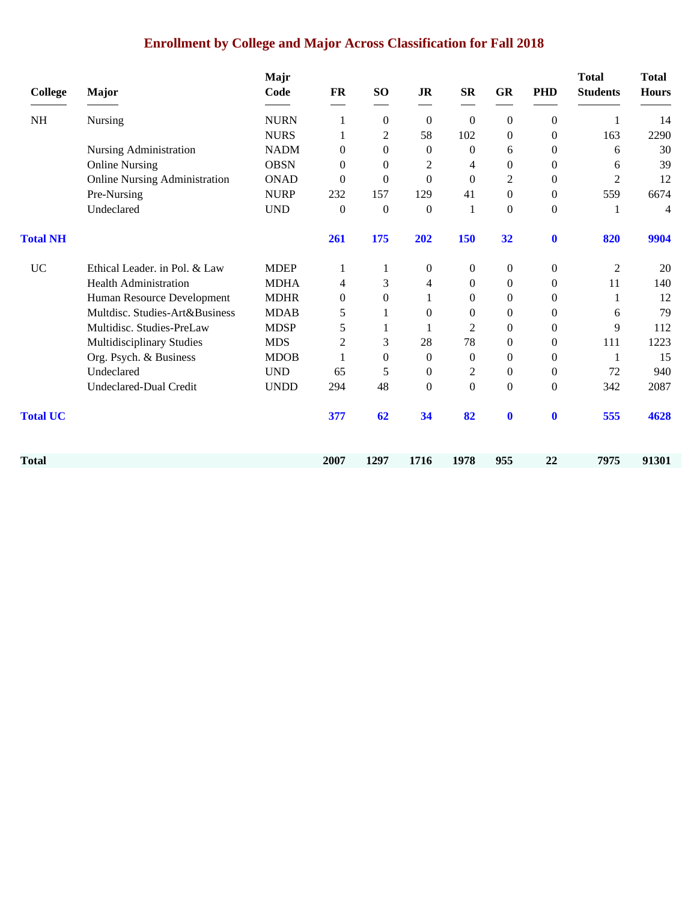# **Enrollment by College and Major Across Classification for Fall 2018**

| <b>College</b>  | Major                                | Majr<br>Code | <b>FR</b>        | SO <sub>1</sub>  | JR               | <b>SR</b>        | <b>GR</b>        | <b>PHD</b>       | <b>Total</b><br><b>Students</b> | <b>Total</b><br><b>Hours</b> |
|-----------------|--------------------------------------|--------------|------------------|------------------|------------------|------------------|------------------|------------------|---------------------------------|------------------------------|
| <b>NH</b>       | Nursing                              | <b>NURN</b>  | 1                | $\mathbf{0}$     | $\boldsymbol{0}$ | $\theta$         | $\boldsymbol{0}$ | $\boldsymbol{0}$ |                                 | 14                           |
|                 |                                      | <b>NURS</b>  | 1                | 2                | 58               | 102              | $\mathbf{0}$     | $\theta$         | 163                             | 2290                         |
|                 | Nursing Administration               | <b>NADM</b>  | $\mathbf{0}$     | $\boldsymbol{0}$ | $\boldsymbol{0}$ | $\theta$         | 6                | $\mathbf{0}$     | 6                               | 30                           |
|                 | <b>Online Nursing</b>                | <b>OBSN</b>  | $\mathbf{0}$     | $\overline{0}$   | 2                | 4                | $\boldsymbol{0}$ | $\mathbf{0}$     | 6                               | 39                           |
|                 | <b>Online Nursing Administration</b> | <b>ONAD</b>  | $\Omega$         | $\overline{0}$   | $\mathbf{0}$     | $\Omega$         | 2                | $\mathbf{0}$     | $\overline{2}$                  | 12                           |
|                 | Pre-Nursing                          | <b>NURP</b>  | 232              | 157              | 129              | 41               | $\Omega$         | $\Omega$         | 559                             | 6674                         |
|                 | Undeclared                           | <b>UND</b>   | $\boldsymbol{0}$ | $\boldsymbol{0}$ | $\boldsymbol{0}$ | 1                | $\boldsymbol{0}$ | $\boldsymbol{0}$ |                                 | 4                            |
| <b>Total NH</b> |                                      |              | 261              | 175              | 202              | 150              | 32               | $\boldsymbol{0}$ | 820                             | 9904                         |
| $\rm UC$        | Ethical Leader. in Pol. & Law        | <b>MDEP</b>  |                  |                  | $\boldsymbol{0}$ | $\mathbf{0}$     | $\boldsymbol{0}$ | $\overline{0}$   | 2                               | 20                           |
|                 | <b>Health Administration</b>         | <b>MDHA</b>  | 4                | 3                | 4                | $\Omega$         | $\boldsymbol{0}$ | $\theta$         | 11                              | 140                          |
|                 | Human Resource Development           | <b>MDHR</b>  | $\Omega$         | $\theta$         | 1                | $\Omega$         | $\overline{0}$   | $\Omega$         | 1                               | 12                           |
|                 | Multdisc. Studies-Art&Business       | <b>MDAB</b>  | 5                |                  | $\theta$         | $\theta$         | $\mathbf{0}$     | $\mathbf{0}$     | 6                               | 79                           |
|                 | Multidisc. Studies-PreLaw            | <b>MDSP</b>  | 5                |                  | 1                | 2                | $\boldsymbol{0}$ | $\boldsymbol{0}$ | 9                               | 112                          |
|                 | Multidisciplinary Studies            | <b>MDS</b>   | 2                | 3                | 28               | 78               | $\overline{0}$   | $\overline{0}$   | 111                             | 1223                         |
|                 | Org. Psych. & Business               | <b>MDOB</b>  |                  | $\theta$         | $\mathbf{0}$     | $\Omega$         | $\mathbf{0}$     | $\theta$         | 1                               | 15                           |
|                 | Undeclared                           | <b>UND</b>   | 65               | 5                | $\overline{0}$   | $\overline{c}$   | $\boldsymbol{0}$ | $\theta$         | 72                              | 940                          |
|                 | Undeclared-Dual Credit               | <b>UNDD</b>  | 294              | 48               | $\boldsymbol{0}$ | $\boldsymbol{0}$ | $\boldsymbol{0}$ | $\mathbf{0}$     | 342                             | 2087                         |
| <b>Total UC</b> |                                      |              | 377              | 62               | 34               | 82               | $\mathbf 0$      | $\mathbf 0$      | 555                             | 4628                         |
| Total           |                                      |              | 2007             | 1297             | 1716             | 1978             | 955              | 22               | 7975                            | 91301                        |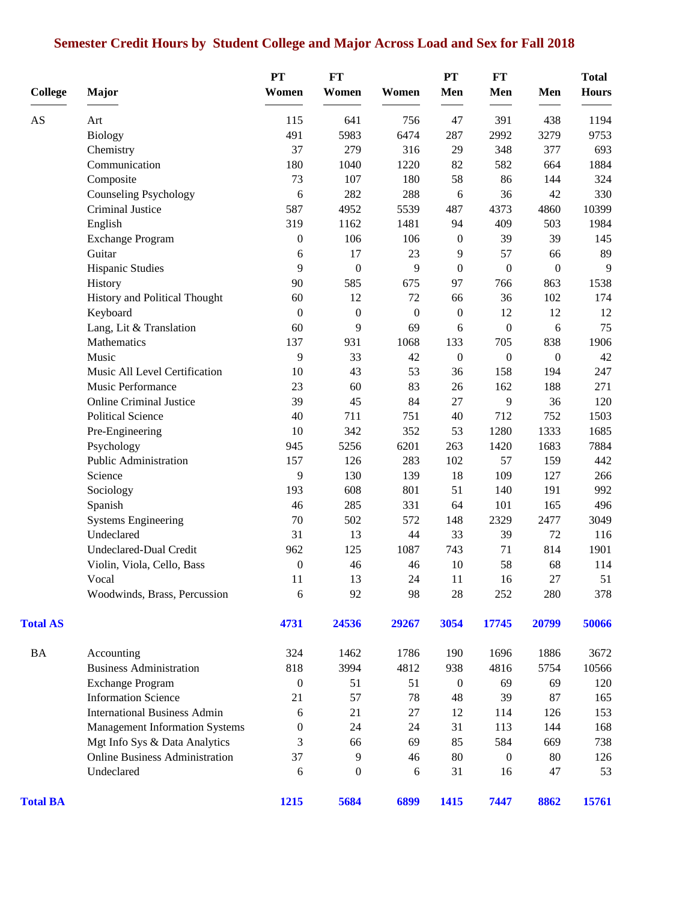# **Semester Credit Hours by Student College and Major Across Load and Sex for Fall 2018**

| <b>College</b>  | <b>Major</b>                          | PT<br>Women      | <b>FT</b><br>Women | Women            | PT<br>Men        | <b>FT</b><br>Men | Men              | <b>Total</b><br><b>Hours</b> |
|-----------------|---------------------------------------|------------------|--------------------|------------------|------------------|------------------|------------------|------------------------------|
|                 |                                       |                  |                    |                  |                  |                  |                  |                              |
| AS              | Art                                   | 115              | 641                | 756              | 47               | 391              | 438              | 1194                         |
|                 | Biology                               | 491              | 5983               | 6474             | 287              | 2992             | 3279             | 9753                         |
|                 | Chemistry                             | 37               | 279                | 316              | 29               | 348              | 377              | 693                          |
|                 | Communication                         | 180              | 1040               | 1220             | 82               | 582              | 664              | 1884                         |
|                 | Composite                             | 73               | 107                | 180              | 58               | 86               | 144              | 324                          |
|                 | <b>Counseling Psychology</b>          | 6                | 282                | 288              | 6                | 36               | 42               | 330                          |
|                 | Criminal Justice                      | 587              | 4952               | 5539             | 487              | 4373             | 4860             | 10399                        |
|                 | English                               | 319              | 1162               | 1481             | 94               | 409              | 503              | 1984                         |
|                 | Exchange Program                      | $\boldsymbol{0}$ | 106                | 106              | $\boldsymbol{0}$ | 39               | 39               | 145                          |
|                 | Guitar                                | 6                | 17                 | 23               | 9                | 57               | 66               | 89                           |
|                 | Hispanic Studies                      | 9                | $\boldsymbol{0}$   | 9                | $\boldsymbol{0}$ | $\boldsymbol{0}$ | $\boldsymbol{0}$ | 9                            |
|                 | History                               | 90               | 585                | 675              | 97               | 766              | 863              | 1538                         |
|                 | History and Political Thought         | 60               | 12                 | 72               | 66               | 36               | 102              | 174                          |
|                 | Keyboard                              | $\boldsymbol{0}$ | $\boldsymbol{0}$   | $\boldsymbol{0}$ | $\boldsymbol{0}$ | 12               | 12               | 12                           |
|                 | Lang, Lit & Translation               | 60               | 9                  | 69               | 6                | $\boldsymbol{0}$ | 6                | 75                           |
|                 | Mathematics                           | 137              | 931                | 1068             | 133              | 705              | 838              | 1906                         |
|                 | Music                                 | 9                | 33                 | 42               | $\boldsymbol{0}$ | $\boldsymbol{0}$ | $\boldsymbol{0}$ | 42                           |
|                 | Music All Level Certification         | 10               | 43                 | 53               | 36               | 158              | 194              | 247                          |
|                 | Music Performance                     | 23               | 60                 | 83               | 26               | 162              | 188              | 271                          |
|                 | <b>Online Criminal Justice</b>        | 39               | 45                 | 84               | 27               | 9                | 36               | 120                          |
|                 | <b>Political Science</b>              | 40               | 711                | 751              | 40               | 712              | 752              | 1503                         |
|                 | Pre-Engineering                       | 10               | 342                | 352              | 53               | 1280             | 1333             | 1685                         |
|                 | Psychology                            | 945              | 5256               | 6201             | 263              | 1420             | 1683             | 7884                         |
|                 | Public Administration                 | 157              | 126                | 283              | 102              | 57               | 159              | 442                          |
|                 | Science                               | 9                | 130                | 139              | 18               | 109              | 127              | 266                          |
|                 | Sociology                             | 193              | 608                | 801              | 51               | 140              | 191              | 992                          |
|                 | Spanish                               | 46               | 285                | 331              | 64               | 101              | 165              | 496                          |
|                 | <b>Systems Engineering</b>            | 70               | 502                | 572              | 148              | 2329             | 2477             | 3049                         |
|                 | Undeclared                            | 31               | 13                 | 44               | 33               | 39               | 72               | 116                          |
|                 | Undeclared-Dual Credit                | 962              | 125                | 1087             | 743              | 71               | 814              | 1901                         |
|                 | Violin, Viola, Cello, Bass            | $\boldsymbol{0}$ | 46                 | 46               | $10\,$           | 58               | 68               | 114                          |
|                 | Vocal                                 | 11               | 13                 | $24\,$           | 11               | $16\,$           | 27               | 51                           |
|                 | Woodwinds, Brass, Percussion          | 6                | 92                 | 98               | 28               | 252              | 280              | 378                          |
| <b>Total AS</b> |                                       | 4731             | 24536              | 29267            | 3054             | 17745            | 20799            | 50066                        |
| BA              | Accounting                            | 324              | 1462               | 1786             | 190              | 1696             | 1886             | 3672                         |
|                 | <b>Business Administration</b>        | 818              | 3994               | 4812             | 938              | 4816             | 5754             | 10566                        |
|                 | <b>Exchange Program</b>               | $\boldsymbol{0}$ | 51                 | 51               | 0                | 69               | 69               | 120                          |
|                 | <b>Information Science</b>            | 21               | 57                 | 78               | 48               | 39               | 87               | 165                          |
|                 | <b>International Business Admin</b>   | 6                | 21                 | 27               | 12               | 114              | 126              | 153                          |
|                 | <b>Management Information Systems</b> | 0                | 24                 | 24               | 31               | 113              | 144              | 168                          |
|                 | Mgt Info Sys & Data Analytics         | 3                | 66                 | 69               | 85               | 584              | 669              | 738                          |
|                 | <b>Online Business Administration</b> | 37               | 9                  | 46               | 80               | $\boldsymbol{0}$ | 80               | 126                          |
|                 | Undeclared                            | 6                | $\boldsymbol{0}$   | 6                | 31               | 16               | 47               | 53                           |
| <b>Total BA</b> |                                       | 1215             | 5684               | 6899             | 1415             | 7447             | 8862             | 15761                        |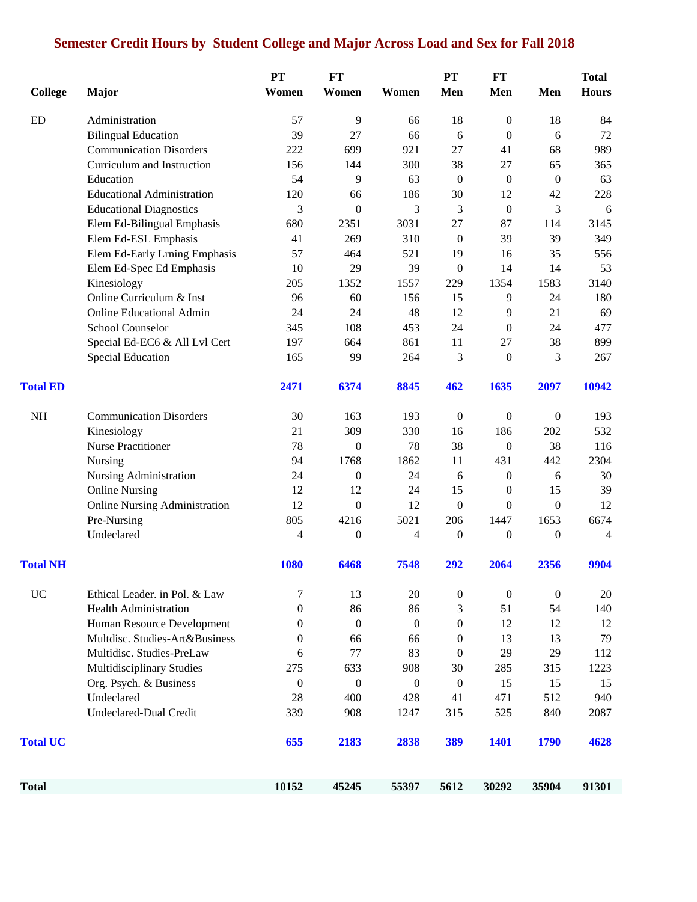# **Semester Credit Hours by Student College and Major Across Load and Sex for Fall 2018**

| <b>College</b>  | <b>Major</b>                         | <b>PT</b><br>Women | <b>FT</b><br>Women | Women            | PT<br>Men        | FT<br>Men                          | Men              | <b>Total</b><br><b>Hours</b> |
|-----------------|--------------------------------------|--------------------|--------------------|------------------|------------------|------------------------------------|------------------|------------------------------|
| <b>ED</b>       | Administration                       | 57                 |                    | 66               | 18               |                                    | 18               |                              |
|                 | <b>Bilingual Education</b>           | 39                 | 9<br>27            | 66               | 6                | $\boldsymbol{0}$<br>$\overline{0}$ | 6                | 84<br>72                     |
|                 | <b>Communication Disorders</b>       | 222                | 699                | 921              | 27               | 41                                 | 68               | 989                          |
|                 | Curriculum and Instruction           | 156                | 144                | 300              | 38               | 27                                 | 65               | 365                          |
|                 | Education                            | 54                 | 9                  | 63               | $\boldsymbol{0}$ | $\boldsymbol{0}$                   | $\mathbf{0}$     | 63                           |
|                 | <b>Educational Administration</b>    | 120                | 66                 | 186              | 30               | 12                                 | 42               | 228                          |
|                 | <b>Educational Diagnostics</b>       | 3                  | $\boldsymbol{0}$   | 3                | 3                | $\boldsymbol{0}$                   | 3                | 6                            |
|                 | Elem Ed-Bilingual Emphasis           | 680                | 2351               | 3031             | 27               | 87                                 | 114              | 3145                         |
|                 | Elem Ed-ESL Emphasis                 | 41                 | 269                | 310              | $\boldsymbol{0}$ | 39                                 | 39               | 349                          |
|                 | Elem Ed-Early Lrning Emphasis        | 57                 | 464                | 521              | 19               | 16                                 | 35               | 556                          |
|                 | Elem Ed-Spec Ed Emphasis             | 10                 | 29                 | 39               | $\boldsymbol{0}$ | 14                                 | 14               | 53                           |
|                 | Kinesiology                          | 205                | 1352               | 1557             | 229              | 1354                               | 1583             | 3140                         |
|                 | Online Curriculum & Inst             | 96                 | 60                 | 156              | 15               | 9                                  | 24               | 180                          |
|                 | <b>Online Educational Admin</b>      | 24                 | 24                 | 48               | 12               | 9                                  | 21               | 69                           |
|                 | School Counselor                     | 345                | 108                | 453              | 24               | $\theta$                           | 24               | 477                          |
|                 | Special Ed-EC6 & All Lvl Cert        | 197                | 664                | 861              | 11               | 27                                 | 38               | 899                          |
|                 | <b>Special Education</b>             | 165                | 99                 | 264              | 3                | $\overline{0}$                     | 3                | 267                          |
| <b>Total ED</b> |                                      | 2471               | 6374               | 8845             | 462              | 1635                               | 2097             | 10942                        |
| NH              | <b>Communication Disorders</b>       | 30                 | 163                | 193              | $\boldsymbol{0}$ | $\boldsymbol{0}$                   | $\mathbf{0}$     | 193                          |
|                 | Kinesiology                          | 21                 | 309                | 330              | 16               | 186                                | 202              | 532                          |
|                 | Nurse Practitioner                   | 78                 | $\mathbf{0}$       | 78               | 38               | $\overline{0}$                     | 38               | 116                          |
|                 | Nursing                              | 94                 | 1768               | 1862             | 11               | 431                                | 442              | 2304                         |
|                 | Nursing Administration               | 24                 | $\boldsymbol{0}$   | 24               | 6                | $\mathbf{0}$                       | 6                | 30                           |
|                 | <b>Online Nursing</b>                | 12                 | 12                 | 24               | 15               | $\boldsymbol{0}$                   | 15               | 39                           |
|                 | <b>Online Nursing Administration</b> | 12                 | $\boldsymbol{0}$   | 12               | $\boldsymbol{0}$ | $\mathbf{0}$                       | $\mathbf{0}$     | 12                           |
|                 | Pre-Nursing                          | 805                | 4216               | 5021             | 206              | 1447                               | 1653             | 6674                         |
|                 | Undeclared                           | $\overline{4}$     | $\boldsymbol{0}$   | $\overline{4}$   | $\boldsymbol{0}$ | $\overline{0}$                     | $\overline{0}$   | $\overline{4}$               |
| <b>Total NH</b> |                                      | 1080               | 6468               | 7548             | 292              | 2064                               | 2356             | 9904                         |
| <b>UC</b>       | Ethical Leader. in Pol. & Law        | 7                  | 13                 | 20               | $\boldsymbol{0}$ | $\boldsymbol{0}$                   | $\boldsymbol{0}$ | 20                           |
|                 | <b>Health Administration</b>         | $\boldsymbol{0}$   | 86                 | 86               | 3                | 51                                 | 54               | 140                          |
|                 | Human Resource Development           | $\mathbf{0}$       | $\boldsymbol{0}$   | $\boldsymbol{0}$ | $\boldsymbol{0}$ | 12                                 | 12               | 12                           |
|                 | Multdisc. Studies-Art&Business       | $\boldsymbol{0}$   | 66                 | 66               | $\boldsymbol{0}$ | 13                                 | 13               | 79                           |
|                 | Multidisc. Studies-PreLaw            | 6                  | 77                 | 83               | $\boldsymbol{0}$ | 29                                 | 29               | 112                          |
|                 | Multidisciplinary Studies            | 275                | 633                | 908              | 30               | 285                                | 315              | 1223                         |
|                 | Org. Psych. & Business               | $\boldsymbol{0}$   | $\boldsymbol{0}$   | $\boldsymbol{0}$ | $\boldsymbol{0}$ | 15                                 | 15               | 15                           |
|                 | Undeclared                           | 28                 | 400                | 428              | 41               | 471                                | 512              | 940                          |
|                 | <b>Undeclared-Dual Credit</b>        | 339                | 908                | 1247             | 315              | 525                                | 840              | 2087                         |
| <b>Total UC</b> |                                      | 655                | 2183               | 2838             | 389              | 1401                               | 1790             | 4628                         |
| Total           |                                      | 10152              | 45245              | 55397            | 5612             | 30292                              | 35904            | 91301                        |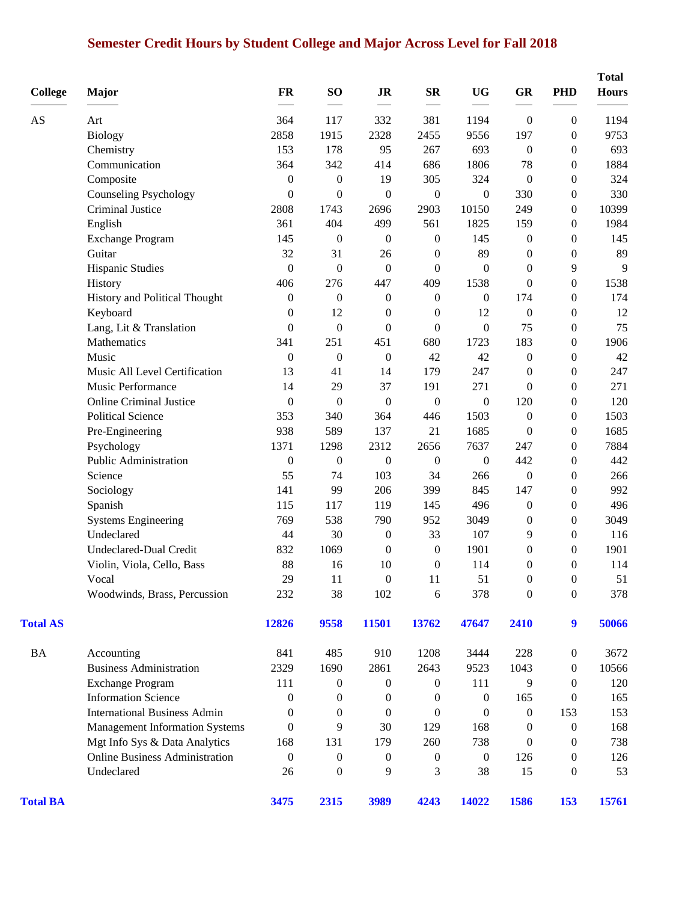# **Semester Credit Hours by Student College and Major Across Level for Fall 2018**

| <b>College</b>  | Major                                 | <b>FR</b>        | SO <sub>1</sub>  | <b>JR</b>        | $S_{\mathbf{R}}$ | <b>UG</b>        | GR               | <b>PHD</b>       | <b>Total</b><br><b>Hours</b> |
|-----------------|---------------------------------------|------------------|------------------|------------------|------------------|------------------|------------------|------------------|------------------------------|
| AS              | Art                                   | 364              | 117              | 332              | 381              | 1194             | $\boldsymbol{0}$ | $\boldsymbol{0}$ | 1194                         |
|                 | <b>Biology</b>                        | 2858             | 1915             | 2328             | 2455             | 9556             | 197              | $\boldsymbol{0}$ | 9753                         |
|                 | Chemistry                             | 153              | 178              | 95               | 267              | 693              | $\boldsymbol{0}$ | $\Omega$         | 693                          |
|                 | Communication                         | 364              | 342              | 414              | 686              | 1806             | 78               | $\overline{0}$   | 1884                         |
|                 | Composite                             | $\boldsymbol{0}$ | $\boldsymbol{0}$ | 19               | 305              | 324              | $\boldsymbol{0}$ | $\theta$         | 324                          |
|                 | <b>Counseling Psychology</b>          | $\boldsymbol{0}$ | $\theta$         | $\overline{0}$   | $\boldsymbol{0}$ | $\boldsymbol{0}$ | 330              | $\overline{0}$   | 330                          |
|                 | Criminal Justice                      | 2808             | 1743             | 2696             | 2903             | 10150            | 249              | $\boldsymbol{0}$ | 10399                        |
|                 | English                               | 361              | 404              | 499              | 561              | 1825             | 159              | $\overline{0}$   | 1984                         |
|                 | <b>Exchange Program</b>               | 145              | $\boldsymbol{0}$ | $\boldsymbol{0}$ | $\boldsymbol{0}$ | 145              | $\boldsymbol{0}$ | $\overline{0}$   | 145                          |
|                 | Guitar                                | 32               | 31               | 26               | $\boldsymbol{0}$ | 89               | $\boldsymbol{0}$ | $\boldsymbol{0}$ | 89                           |
|                 | <b>Hispanic Studies</b>               | $\boldsymbol{0}$ | $\boldsymbol{0}$ | $\boldsymbol{0}$ | $\mathbf{0}$     | $\mathbf{0}$     | $\boldsymbol{0}$ | 9                | 9                            |
|                 | History                               | 406              | 276              | 447              | 409              | 1538             | $\boldsymbol{0}$ | $\mathbf{0}$     | 1538                         |
|                 | History and Political Thought         | $\boldsymbol{0}$ | $\boldsymbol{0}$ | $\boldsymbol{0}$ | $\boldsymbol{0}$ | $\boldsymbol{0}$ | 174              | $\overline{0}$   | 174                          |
|                 | Keyboard                              | $\mathbf{0}$     | 12               | $\boldsymbol{0}$ | $\boldsymbol{0}$ | 12               | $\boldsymbol{0}$ | $\overline{0}$   | 12                           |
|                 | Lang, Lit & Translation               | $\Omega$         | $\boldsymbol{0}$ | $\mathbf{0}$     | $\mathbf{0}$     | $\mathbf{0}$     | 75               | $\overline{0}$   | 75                           |
|                 | Mathematics                           | 341              | 251              | 451              | 680              | 1723             | 183              | $\boldsymbol{0}$ | 1906                         |
|                 | Music                                 | $\boldsymbol{0}$ | $\boldsymbol{0}$ | $\boldsymbol{0}$ | 42               | 42               | $\boldsymbol{0}$ | $\theta$         | 42                           |
|                 | Music All Level Certification         | 13               | 41               | 14               | 179              | 247              | $\boldsymbol{0}$ | $\overline{0}$   | 247                          |
|                 | Music Performance                     | 14               | 29               | 37               | 191              | 271              | $\boldsymbol{0}$ | $\boldsymbol{0}$ | 271                          |
|                 | <b>Online Criminal Justice</b>        | $\boldsymbol{0}$ | $\boldsymbol{0}$ | $\boldsymbol{0}$ | $\boldsymbol{0}$ | $\boldsymbol{0}$ | 120              | $\boldsymbol{0}$ | 120                          |
|                 | <b>Political Science</b>              | 353              | 340              | 364              | 446              | 1503             | $\boldsymbol{0}$ | $\boldsymbol{0}$ | 1503                         |
|                 | Pre-Engineering                       | 938              | 589              | 137              | 21               | 1685             | $\boldsymbol{0}$ | $\boldsymbol{0}$ | 1685                         |
|                 | Psychology                            | 1371             | 1298             | 2312             | 2656             | 7637             | 247              | $\boldsymbol{0}$ | 7884                         |
|                 | Public Administration                 | $\theta$         | $\theta$         | $\overline{0}$   | $\boldsymbol{0}$ | $\boldsymbol{0}$ | 442              | $\overline{0}$   | 442                          |
|                 | Science                               | 55               | 74               | 103              | 34               | 266              | $\boldsymbol{0}$ | $\boldsymbol{0}$ | 266                          |
|                 | Sociology                             | 141              | 99               | 206              | 399              | 845              | 147              | $\overline{0}$   | 992                          |
|                 | Spanish                               | 115              | 117              | 119              | 145              | 496              | $\boldsymbol{0}$ | $\theta$         | 496                          |
|                 | <b>Systems Engineering</b>            | 769              | 538              | 790              | 952              | 3049             | $\boldsymbol{0}$ | $\overline{0}$   | 3049                         |
|                 | Undeclared                            | 44               | 30               | $\boldsymbol{0}$ | 33               | 107              | 9                | $\theta$         | 116                          |
|                 | Undeclared-Dual Credit                | 832              | 1069             | $\boldsymbol{0}$ | $\boldsymbol{0}$ | 1901             | $\boldsymbol{0}$ | $\overline{0}$   | 1901                         |
|                 | Violin, Viola, Cello, Bass            | 88               | 16               | 10               | $\boldsymbol{0}$ | 114              | $\boldsymbol{0}$ | $\overline{0}$   | 114                          |
|                 | Vocal                                 | 29               | 11               | $\overline{0}$   | 11               | 51               | $\boldsymbol{0}$ | $\Omega$         | 51                           |
|                 | Woodwinds, Brass, Percussion          | 232              | 38               | 102              | 6                | 378              | $\boldsymbol{0}$ | $\boldsymbol{0}$ | 378                          |
| <b>Total AS</b> |                                       | 12826            | 9558             | 11501            | 13762            | 47647            | 2410             | $\boldsymbol{9}$ | 50066                        |
| <b>BA</b>       | Accounting                            | 841              | 485              | 910              | 1208             | 3444             | 228              | $\boldsymbol{0}$ | 3672                         |
|                 | <b>Business Administration</b>        | 2329             | 1690             | 2861             | 2643             | 9523             | 1043             | $\boldsymbol{0}$ | 10566                        |
|                 | <b>Exchange Program</b>               | 111              | 0                | $\mathbf{0}$     | $\overline{0}$   | 111              | 9                | $\overline{0}$   | 120                          |
|                 | <b>Information Science</b>            | $\mathbf{0}$     | $\theta$         | $\mathbf{0}$     | $\mathbf{0}$     | $\boldsymbol{0}$ | 165              | $\theta$         | 165                          |
|                 | <b>International Business Admin</b>   | $\mathbf{0}$     | $\theta$         | $\theta$         | $\mathbf{0}$     | $\mathbf{0}$     | $\boldsymbol{0}$ | 153              | 153                          |
|                 | <b>Management Information Systems</b> | $\mathbf{0}$     | 9                | 30               | 129              | 168              | $\bf{0}$         | $\overline{0}$   | 168                          |
|                 | Mgt Info Sys & Data Analytics         | 168              | 131              | 179              | 260              | 738              | $\mathbf{0}$     | $\theta$         | 738                          |
|                 | <b>Online Business Administration</b> | $\boldsymbol{0}$ | $\boldsymbol{0}$ | $\mathbf{0}$     | $\boldsymbol{0}$ | $\boldsymbol{0}$ | 126              | $\boldsymbol{0}$ | 126                          |
|                 | Undeclared                            | 26               | $\theta$         | 9                | 3                | 38               | 15               | $\overline{0}$   | 53                           |
| <b>Total BA</b> |                                       | 3475             | 2315             | 3989             | 4243             | 14022            | 1586             | 153              | 15761                        |